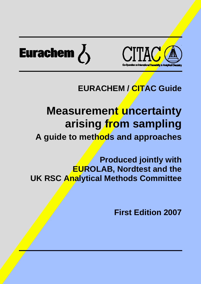

Eurachem  $\wedge$ 

# **EURACHEM / CITAC Guide**

# **Measurement uncertainty arising from sampling A guide to methods and approaches**

**Produced jointly with EUROLAB, Nordtest and the UK RSC Analytical Methods Committee** 

**First Edition 2007**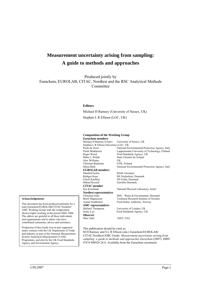# **Measurement uncertainty arising from sampling: A guide to methods and approaches**

Produced jointly by Eurachem, EUROLAB, CITAC, Nordtest and the RSC Analytical Methods Committee

#### **Editors**

Michael H Ramsey (University of Sussex, UK) Stephen L R Ellison (LGC, UK)

#### **Composition of the Working Group**

*Eurachem members*  Michael H Ramsey (Chair) University of Sussex, UK Stephen L R Ellison (Secretary) LGC, UK Paolo de Zorzi National Environmental Protection Agency, Italy Pentti Minkkinen Lappeenranta University of Technology, Finland<br>
Roger Wood Food Standards Agency. UK Roger Wood Food Standards Agency, UK<br>
Máire C Walsh State Chemist for Ireland State Chemist for Ireland Alex Williams<br>
Christian Backman<br>
GTK, Finland Christian Backman Maria Belli National Environmental Protection Agency, Italy *EUROLAB members*  Manfred Golze BAM, Germany<br>Rüdiger Kaus BS Niederhein. Rüdiger Kaus HS Niederhein, Denmark<br>
Ulrich Kurfürst FH Fulda. Denmark Ulrich Kurfürst FH Fulda, Denmark Eurofins Denmark *CITAC member*  Ilya Kuselman National Physical Laboratory, Israel *Nordtest representatives*  Christian Grøn DHI – Water & Environment, Denmark Technical Research Institute of Sweden Astrid Nordbotten Food Safety Authority, Norway *AMC representatives*  University of London, UK Jenny Lyn Food Standards Agency, UK *Observer*  Marc Salit NIST, USA

This publication should be cited as:

M H Ramsey and S L R Ellison (eds.) Eurachem/EUROLAB/ CITAC/Nordtest/AMC Guide: *Measurement uncertainty arising from sampling: a guide to methods and approaches Eurachem* (2007). ISBN 978 0 948926 26 6. Available from the Eurachem secretariat

#### **Acknowledgements**

This document has been produced primarily by a joint Eurachem/EUROLAB/CITAC/Nordtest/ AMC Working Group with the composition shown (right) working in the period 2004–2006. The editors are grateful to all these individuals and organisations and to others who have contributed comments, advice and assistance.

Production of this Guide was in part supported under contract with the UK Department of Trade and Industry as part of the National Measurement System Analytical Measurement (VAM) Programme, and also by the UK Food Standards Agency and Environment Agency.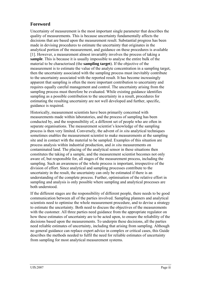# **Foreword**

Uncertainty of measurement is the most important single parameter that describes the quality of measurements. This is because uncertainty fundamentally affects the decisions that are based upon the measurement result. Substantial progress has been made in devising procedures to estimate the uncertainty that originates in the analytical portion of the measurement, and guidance on these procedures is available [1]. However, a measurement almost invariably involves the process of taking a **sample**. This is because it is usually impossible to analyse the entire bulk of the material to be characterised (the **sampling target**). If the objective of the measurement is to estimate the value of the analyte concentration in a sampling target, then the uncertainty associated with the sampling process must inevitably contribute to the uncertainty associated with the reported result. It has become increasingly apparent that sampling is often the more important contribution to uncertainty and requires equally careful management and control. The uncertainty arising from the sampling process must therefore be evaluated. While existing guidance identifies sampling as a possible contribution to the uncertainty in a result, procedures for estimating the resulting uncertainty are not well developed and further, specific, guidance is required.

Historically, measurement scientists have been primarily concerned with measurements made within laboratories, and the process of sampling has been conducted by, and the responsibility of, a different set of people who are often in separate organisations. The measurement scientist's knowledge of the sampling process is then very limited. Conversely, the advent of *in situ* analytical techniques sometimes enables the measurement scientist to make measurements at the sampling site and in contact with the material to be sampled. Examples of this situation are process analysis within industrial production, and *in situ* measurements on contaminated land. The placing of the analytical sensor in these situations then constitutes the taking of a sample, and the measurement scientist becomes not only aware of, but responsible for, all stages of the measurement process, including the sampling. Such an awareness of the whole process is important, irrespective of the division of effort. Since analytical and sampling processes contribute to the uncertainty in the result, the uncertainty can only be estimated if there is an understanding of the complete process. Further, optimisation of the relative effort in sampling and analysis is only possible where sampling and analytical processes are both understood.

If the different stages are the responsibility of different people, there needs to be good communication between all of the parties involved. Sampling planners and analytical scientists need to optimise the whole measurement procedure, and to devise a strategy to estimate the uncertainty. Both need to discuss the objectives of the measurements with the customer. All three parties need guidance from the appropriate regulator on how these estimates of uncertainty are to be acted upon, to ensure the reliability of the decisions based upon the measurements. To underpin these decisions, all the parties need reliable estimates of uncertainty, including that arising from sampling. Although no general guidance can replace expert advice in complex or critical cases, this Guide describes the methods needed to fulfil the need for reliable estimates of uncertainty from sampling for most analytical measurement systems.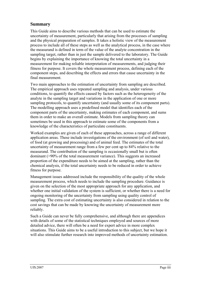# **Summary**

This Guide aims to describe various methods that can be used to estimate the uncertainty of measurement, particularly that arising from the processes of sampling and the physical preparation of samples. It takes a holistic view of the measurement process to include all of these steps as well as the analytical process, in the case where the measurand is defined in term of the value of the analyte concentration in the sampling target, rather than in just the sample delivered to the laboratory. The Guide begins by explaining the importance of knowing the total uncertainty in a measurement for making reliable interpretation of measurements, and judging their fitness for purpose. It covers the whole measurement process, defining each of the component steps, and describing the effects and errors that cause uncertainty in the final measurement.

Two main approaches to the estimation of uncertainty from sampling are described. The empirical approach uses repeated sampling and analysis, under various conditions, to quantify the effects caused by factors such as the heterogeneity of the analyte in the sampling target and variations in the application of one or more sampling protocols, to quantify uncertainty (and usually some of its component parts). The modelling approach uses a predefined model that identifies each of the component parts of the uncertainty, making estimates of each component, and sums them in order to make an overall estimate. Models from sampling theory can sometimes be used in this approach to estimate some of the components from a knowledge of the characteristics of particulate constituents.

Worked examples are given of each of these approaches, across a range of different application areas. These include investigations of the environment (of soil and water), of food (at growing and processing) and of animal feed. The estimates of the total uncertainty of measurement range from a few per cent up to 84% relative to the measurand. The contribution of the sampling is occasionally small but is often dominant (>90% of the total measurement variance). This suggests an increased proportion of the expenditure needs to be aimed at the sampling, rather than the chemical analysis, if the total uncertainty needs to be reduced in order to achieve fitness for purpose.

Management issues addressed include the responsibility of the quality of the whole measurement process, which needs to include the sampling procedure. Guidance is given on the selection of the most appropriate approach for any application, and whether one initial validation of the system is sufficient, or whether there is a need for ongoing monitoring of the uncertainty from sampling using quality control of sampling. The extra cost of estimating uncertainty is also considered in relation to the cost savings that can be made by knowing the uncertainty of measurement more reliably.

Such a Guide can never be fully comprehensive, and although there are appendices with details of some of the statistical techniques employed and sources of more detailed advice, there will often be a need for expert advice in more complex situations. This Guide aims to be a useful introduction to this subject, but we hope it will also stimulate further research into improved methods of uncertainty estimation.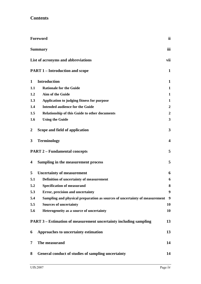# **Contents**

|                | Foreword                                                                   | ii                      |
|----------------|----------------------------------------------------------------------------|-------------------------|
|                | <b>Summary</b>                                                             | iii                     |
|                | List of acronyms and abbreviations                                         | vii                     |
|                | <b>PART 1 – Introduction and scope</b>                                     | $\mathbf{1}$            |
| $\mathbf{1}$   | <b>Introduction</b>                                                        | $\mathbf{1}$            |
| 1.1            | <b>Rationale for the Guide</b>                                             | $\mathbf{1}$            |
| 1.2            | Aim of the Guide                                                           | $\mathbf{1}$            |
| 1.3            | Application to judging fitness for purpose                                 | $\mathbf{1}$            |
| 1.4            | <b>Intended audience for the Guide</b>                                     | $\boldsymbol{2}$        |
| 1.5            | <b>Relationship of this Guide to other documents</b>                       | $\boldsymbol{2}$        |
| 1.6            | <b>Using the Guide</b>                                                     | $\overline{\mathbf{3}}$ |
| $\overline{2}$ | Scope and field of application                                             | 3                       |
| 3              | <b>Terminology</b>                                                         | $\overline{\mathbf{4}}$ |
|                | <b>PART 2 – Fundamental concepts</b>                                       | 5                       |
| 4              | Sampling in the measurement process                                        | 5                       |
| 5              | <b>Uncertainty of measurement</b>                                          | 6                       |
| 5.1            | Definition of uncertainty of measurement                                   | 6                       |
| 5.2            | <b>Specification of measurand</b>                                          | 8                       |
| 5.3            | Error, precision and uncertainty                                           | 9                       |
| 5.4            | Sampling and physical preparation as sources of uncertainty of measurement | 9                       |
| 5.5            | <b>Sources of uncertainty</b>                                              | 10                      |
| 5.6            | Heterogeneity as a source of uncertainty                                   | 10                      |
|                | <b>PART 3 – Estimation of measurement uncertainty including sampling</b>   | 13                      |
| 6              | Approaches to uncertainty estimation                                       | 13                      |
| 7              | The measurand                                                              | 14                      |
| 8              | General conduct of studies of sampling uncertainty                         | 14                      |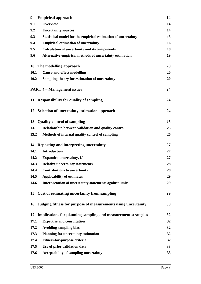| 9<br><b>Empirical approach</b>                                       | 14 |
|----------------------------------------------------------------------|----|
| <b>Overview</b><br>9.1                                               | 14 |
| <b>Uncertainty sources</b><br>9.2                                    | 14 |
| 9.3<br>Statistical model for the empirical estimation of uncertainty | 15 |
| 9.4<br><b>Empirical estimation of uncertainty</b>                    | 16 |
| 9.5<br><b>Calculation of uncertainty and its components</b>          | 18 |
| 9.6<br>Alternative empirical methods of uncertainty estimation       | 19 |
| 10<br>The modelling approach                                         | 20 |
| 10.1<br><b>Cause-and-effect modelling</b>                            | 20 |
| 10.2<br>Sampling theory for estimation of uncertainty                | 20 |
| <b>PART 4 – Management issues</b>                                    | 24 |
| 11 Responsibility for quality of sampling                            | 24 |
| 12 Selection of uncertainty estimation approach                      | 24 |
| 13 Quality control of sampling                                       | 25 |
| 13.1<br>Relationship between validation and quality control          | 25 |
| 13.2<br>Methods of internal quality control of sampling              | 26 |
| 14 Reporting and interpreting uncertainty                            | 27 |
| <b>Introduction</b><br>14.1                                          | 27 |
| 14.2<br><b>Expanded uncertainty, U</b>                               | 27 |
| 14.3<br><b>Relative uncertainty statements</b>                       | 28 |
| 14.4<br><b>Contributions to uncertainty</b>                          | 28 |
| <b>Applicability of estimates</b><br>14.5                            | 29 |
| 14.6<br>Interpretation of uncertainty statements against limits      | 29 |
| Cost of estimating uncertainty from sampling<br>15                   | 29 |
| 16 Judging fitness for purpose of measurements using uncertainty     | 30 |
| Implications for planning sampling and measurement strategies<br>17  | 32 |
| 17.1<br><b>Expertise and consultation</b>                            | 32 |
| <b>Avoiding sampling bias</b><br>17.2                                | 32 |
| 17.3<br><b>Planning for uncertainty estimation</b>                   | 32 |
| Fitness-for-purpose criteria<br>17.4                                 | 32 |
| Use of prior validation data<br>17.5                                 | 33 |
| <b>Acceptability of sampling uncertainty</b><br>17.6                 | 33 |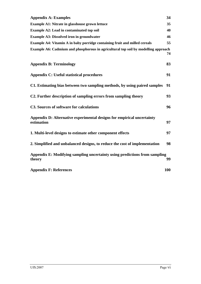| <b>Appendix A: Examples</b>                                                          | 34  |
|--------------------------------------------------------------------------------------|-----|
| <b>Example A1: Nitrate in glasshouse grown lettuce</b>                               | 35  |
| <b>Example A2: Lead in contaminated top soil</b>                                     | 40  |
| <b>Example A3: Dissolved iron in groundwater</b>                                     | 46  |
| Example A4: Vitamin A in baby porridge containing fruit and milled cereals           | 55  |
| Example A6: Cadmium and phosphorous in agricultural top soil by modelling approach   | 74  |
| <b>Appendix B: Terminology</b>                                                       | 83  |
| <b>Appendix C: Useful statistical procedures</b>                                     | 91  |
| C1. Estimating bias between two sampling methods, by using paired samples            | 91  |
| C2. Further description of sampling errors from sampling theory                      | 93  |
| C3. Sources of software for calculations                                             | 96  |
| Appendix D: Alternative experimental designs for empirical uncertainty<br>estimation | 97  |
| 1. Multi-level designs to estimate other component effects                           | 97  |
| 2. Simplified and unbalanced designs, to reduce the cost of implementation           | 98  |
| Appendix E: Modifying sampling uncertainty using predictions from sampling<br>theory | 99  |
| <b>Appendix F: References</b>                                                        | 100 |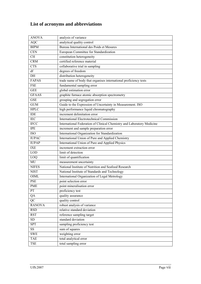# **List of acronyms and abbreviations**

| <b>ANOVA</b>   | analysis of variance                                                   |
|----------------|------------------------------------------------------------------------|
| AQC            | analytical quality control                                             |
| <b>BIPM</b>    | Bureau International des Poids et Mesures                              |
| <b>CEN</b>     | European Committee for Standardization                                 |
| <b>CH</b>      | constitution heterogeneity                                             |
| <b>CRM</b>     | certified reference material                                           |
| <b>CTS</b>     | collaborative trial in sampling                                        |
| df             | degrees of freedom                                                     |
| DH             | distribution heterogeneity                                             |
| <b>FAPAS</b>   | trade name of body that organises international proficiency tests      |
| <b>FSE</b>     | fundamental sampling error                                             |
| <b>GEE</b>     | global estimation error                                                |
| <b>GFAAS</b>   | graphite furnace atomic absorption spectrometry                        |
| <b>GSE</b>     | grouping and segregation error                                         |
| <b>GUM</b>     | Guide to the Expression of Uncertainty in Measurement. ISO             |
| <b>HPLC</b>    | high performance liquid chromatography                                 |
| IDE            | increment delimitation error                                           |
| <b>IEC</b>     | <b>International Electrotechnical Commission</b>                       |
| <b>IFCC</b>    | International Federation of Clinical Chemistry and Laboratory Medicine |
| <b>IPE</b>     | increment and sample preparation error                                 |
| <b>ISO</b>     | International Organization for Standardization                         |
| <b>IUPAC</b>   | International Union of Pure and Applied Chemistry                      |
| <b>IUPAP</b>   | International Union of Pure and Applied Physics                        |
| <b>IXE</b>     | increment extraction error                                             |
| <b>LOD</b>     | limit of detection                                                     |
| LOQ            | limit of quantification                                                |
| MU             | measurement uncertainty                                                |
| <b>NIFES</b>   | National Institute of Nutrition and Seafood Research                   |
| <b>NIST</b>    | National Institute of Standards and Technology                         |
| <b>OIML</b>    | International Organization of Legal Metrology                          |
| <b>PSE</b>     | point selection error                                                  |
| <b>PME</b>     | point mineralisation error                                             |
| PT             | proficiency test                                                       |
| QA             | quality assurance                                                      |
| QC             | quality control                                                        |
| <b>RANOVA</b>  | robust analysis of variance                                            |
| <b>RSD</b>     | relative standard deviation                                            |
| <b>RST</b>     | reference sampling target                                              |
| SD <sub></sub> | standard deviation                                                     |
| <b>SPT</b>     | sampling proficiency test                                              |
| $\rm SS$       | sum of squares                                                         |
| <b>SWE</b>     | weighting error                                                        |
| <b>TAE</b>     | total analytical error                                                 |
| <b>TSE</b>     | total sampling error                                                   |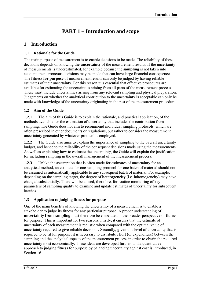# **PART 1 – Introduction and scope**

# **1 Introduction**

## **1.1 Rationale for the Guide**

The main purpose of measurement is to enable decisions to be made. The reliability of these decisions depends on knowing the **uncertainty** of the measurement results. If the uncertainty of measurements is underestimated, for example because the **sampling** is not taken into account, then erroneous decisions may be made that can have large financial consequences. The **fitness for purpose** of measurement results can only be judged by having reliable estimates of their uncertainty. For this reason it is essential that effective procedures are available for estimating the uncertainties arising from all parts of the measurement process. These must include uncertainties arising from any relevant sampling and physical preparation. Judgements on whether the analytical contribution to the uncertainty is acceptable can only be made with knowledge of the uncertainty originating in the rest of the measurement procedure.

#### **1.2 Aim of the Guide**

**1.2.1** The aim of this Guide is to explain the rationale, and practical application, of the methods available for the estimation of uncertainty that includes the contribution from sampling. The Guide does not aim to recommend individual sampling protocols, which are often prescribed in other documents or regulations, but rather to consider the measurement uncertainty generated by whatever protocol is employed.

**1.2.2** The Guide also aims to explain the importance of sampling to the overall uncertainty budget, and hence to the reliability of the consequent decisions made using the measurements. As well as explaining how to estimate the uncertainty, the Guide will explain the justification for including sampling in the overall management of the measurement process.

**1.2.3** Unlike the assumption that is often made for estimates of uncertainty for an analytical method, an estimate for one sampling protocol for one batch of material should not be assumed as automatically applicable to any subsequent batch of material. For example, depending on the sampling target, the degree of **heterogeneity** (i.e. inhomogeneity) may have changed substantially. There will be a need, therefore, for routine monitoring of key parameters of sampling quality to examine and update estimates of uncertainty for subsequent batches.

# **1.3 Application to judging fitness for purpose**

One of the main benefits of knowing the uncertainty of a measurement is to enable a stakeholder to judge its fitness for any particular purpose. A proper understanding of **uncertainty from sampling** must therefore be embedded in the broader perspective of fitness for purpose. This is important for two reasons. Firstly, it ensures that the estimate of uncertainty of each measurement is realistic when compared with the optimal value of uncertainty required to give reliable decisions. Secondly, given this level of uncertainty that is required to be fit for purpose, it is necessary to distribute effort (or expenditure) between the sampling and the analytical aspects of the measurement process in order to obtain the required uncertainty most economically. These ideas are developed further, and a quantitative approach to judging fitness for purpose by balancing uncertainty against cost is introduced, in Section 16.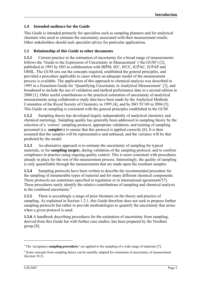## **1.4 Intended audience for the Guide**

This Guide is intended primarily for specialists such as sampling planners and for analytical chemists who need to estimate the uncertainty associated with their measurement results. Other stakeholders should seek specialist advice for particular applications.

#### **1.5 Relationship of this Guide to other documents**

**1.5.1** Current practice in the estimation of uncertainty for a broad range of measurements follows the 'Guide to the Expression of Uncertainty in Measurement' ('the GUM') [2], published in 1993 by ISO in collaboration with BIPM, IEC, IFCC, IUPAC, IUPAP and OIML. The GUM sets out the concepts required, established the general principles, and provided a procedure applicable to cases where an adequate model of the measurement process is available. The application of this approach to chemical analysis was described in 1995 in a Eurachem Guide for 'Quantifying Uncertainty in Analytical Measurement' [3], and broadened to include the use of validation and method performance data in a second edition in 2000 [1]. Other useful contributions to the practical estimation of uncertainty of analytical measurements using collaborative study data have been made by the Analytical Methods Committee of the Royal Society of Chemistry in 1995 [4], and by ISO TC/69 in 2004 [5]. This Guide on sampling is consistent with the general principles established in the GUM.

**1.5.2** Sampling theory has developed largely independently of analytical chemistry and chemical metrology. Sampling quality has generally been addressed in sampling theory by the selection of a 'correct' sampling protocol, appropriate validation, and training of sampling personnel (i.e. **sampler**s) to ensure that this protocol is applied correctly [6]. It is then assumed that the samples will be representative and unbiased, and the variance will be that predicted by the model.

**1.5.3** An alternative approach is to estimate the uncertainty of sampling for typical materials, or for **sampling target**s, during validation of the sampling protocol, and to confirm compliance in practice using ongoing quality control. This is more consistent with procedures already in place for the rest of the measurement process. Interestingly, the quality of sampling is only quantifiable through the measurements that are made upon the resultant samples.

**1.5.4** Sampling protocols have been written to describe the recommended procedure for the sampling of innumerable types of material and for many different chemical components. These protocols are sometimes specified in regulation or in international agreements<sup>a</sup><sup>[7]</sup>. These procedures rarely identify the relative contributions of sampling and chemical analysis to the combined uncertainty.<sup>b</sup>

**1.5.5** There is accordingly a range of prior literature on the theory and practice of sampling. As explained in Section 1.2.1, this Guide therefore does not seek to propose further sampling protocols but rather to provide methodologies to quantify the uncertainty that arises when a given protocol is used.

**1.5.6** A handbook describing procedures for the estimation of uncertainty from sampling, derived from this Guide but with further case studies, has been prepared by the Nordtest group [8].

 $\overline{a}$ 

<sup>&</sup>lt;sup>a</sup> The 'acceptance **sampling procedures**' are applied to the sampling of a wide range of materials [7].

<sup>&</sup>lt;sup>b</sup> Some concepts from sampling theory can be usefully adapted for estimation of uncertainty of measurement (Section 10.2).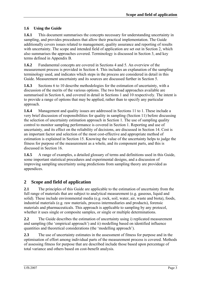## **1.6 Using the Guide**

**1.6.1** This document summarises the concepts necessary for understanding uncertainty in sampling, and provides procedures that allow their practical implementation. The Guide additionally covers issues related to management, quality assurance and reporting of results with uncertainty. The scope and intended field of application are set out in Section 2, which also summarises the approaches covered. Terminology is discussed in Section 3, and key terms defined in Appendix B.

**1.6.2** Fundamental concepts are covered in Sections 4 and 5. An overview of the measurement process is provided in Section 4. This includes an explanation of the sampling terminology used, and indicates which steps in the process are considered in detail in this Guide. Measurement uncertainty and its sources are discussed further in Section 5.

**1.6.3** Sections 6 to 10 describe methodologies for the estimation of uncertainty, with a discussion of the merits of the various options. The two broad approaches available are summarised in Section 6, and covered in detail in Sections 1 and 10 respectively. The intent is to provide a range of options that may be applied, rather than to specify any particular approach.

**1.6.4** Management and quality issues are addressed in Sections 11 to 1. These include a very brief discussion of responsibilities for quality in sampling (Section 11) before discussing the selection of uncertainty estimation approach in Section 1. The use of sampling quality control to monitor sampling performance is covered in Section 1. Reporting and use of uncertainty, and its effect on the reliability of decisions, are discussed in Section 14. Cost is an important factor and selection of the most cost-effective and appropriate method of estimation is explained in Section 15. Knowing the value of the uncertainty helps to judge the fitness for purpose of the measurement as a whole, and its component parts, and this is discussed in Section 16.

**1.6.5** A range of examples, a detailed glossary of terms and definitions used in this Guide, some important statistical procedures and experimental designs, and a discussion of improving sampling uncertainty using predictions from sampling theory are provided as appendices.

# **2 Scope and field of application**

2.1 The principles of this Guide are applicable to the estimation of uncertainty from the full range of materials that are subject to analytical measurement (e.g. gaseous, liquid and solid). These include environmental media (e.g. rock, soil, water, air, waste and biota), foods, industrial materials (e.g. raw materials, process intermediaries and products), forensic materials and pharmaceuticals. This approach is applicable to sampling by any protocol, whether it uses single or composite samples, or single or multiple determinations.

**2.2** The Guide describes the estimation of uncertainty using i) replicated measurement and sampling (the 'empirical approach') and ii) modelling based on identified influence quantities and theoretical considerations (the 'modelling approach').

**2.3** The use of uncertainty estimates in the assessment of fitness for purpose and in the optimisation of effort among individual parts of the measurement process is covered. Methods of assessing fitness for purpose that are described include those based upon percentage of total variance and others based on cost-benefit analysis.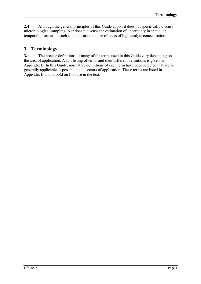**2.4** Although the general principles of this Guide apply, it does not specifically discuss microbiological sampling. Nor does it discuss the estimation of uncertainty in spatial or temporal information such as the location or size of areas of high analyte concentration.

# **3 Terminology**

**3.1** The precise definitions of many of the terms used in this Guide vary depending on the area of application. A full listing of terms and their different definitions is given in Appendix B. In this Guide, normative definitions of each term have been selected that are as generally applicable as possible to all sectors of application. These terms are listed in Appendix B and in bold on first use in the text.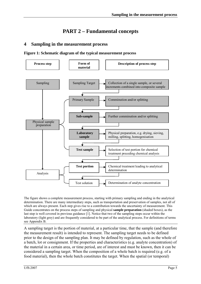# **PART 2 – Fundamental concepts**

# **4 Sampling in the measurement process**

**Figure 1: Schematic diagram of the typical measurement process** 



The figure shows a complete measurement process, starting with primary sampling and ending in the analytical determination. There are many intermediary steps, such as transportation and preservation of samples, not all of which are always present. Each step gives rise to a contribution towards the uncertainty of measurement. This Guide concentrates on the process steps of sampling and physical **sample preparation** (shaded boxes), as the last step is well covered in previous guidance [1]. Notice that two of the sampling steps occur within the laboratory (light grey) and are frequently considered to be part of the analytical process. For definitions of terms see Appendix B.

A sampling target is the portion of material, at a particular time, that the sample (and therefore the measurement result) is intended to represent. The sampling target needs to be defined prior to the design of the sampling plan. It may be defined by regulation, such as the whole of a batch, lot or consignment. If the properties and characteristics (e.g. analyte concentration) of the material in a certain area, or time period, are of interest and must be known, then it can be considered a sampling target. When the composition of a whole batch is required (e.g. of a food material), then the whole batch constitutes the target. When the spatial (or temporal)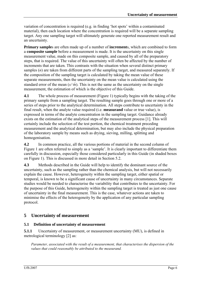variation of concentration is required (e.g. in finding 'hot spots' within a contaminated material), then each location where the concentration is required will be a separate sampling target. Any one sampling target will ultimately generate one reported measurement result and an uncertainty.

**Primary sample**s are often made up of a number of **increment**s, which are combined to form a **composite sample** before a measurement is made. It is the uncertainty on this single measurement value, made on this composite sample, and caused by all of the preparatory steps, that is required. The value of this uncertainty will often be affected by the number of increments that are taken. This contrasts with the situation when several distinct primary samples (*n*) are taken from different parts of the sampling target, and measured separately. If the composition of the sampling target is calculated by taking the mean value of these separate measurements, then the uncertainty on the mean value is calculated using the standard error of the mean  $(s/\psi n)$ . This is not the same as the uncertainty on the single measurement, the estimation of which is the objective of this Guide.

**4.1** The whole process of measurement (Figure 1) typically begins with the taking of the primary sample from a sampling target. The resulting sample goes through one or more of a series of steps prior to the analytical determination. All steps contribute to uncertainty in the final result, when the analyte value required (i.e. **measurand** value or true value), is expressed in terms of the analyte concentration in the sampling target. Guidance already exists on the estimation of the analytical steps of the measurement process [1]. This will certainly include the selection of the test portion, the chemical treatment preceding measurement and the analytical determination, but may also include the physical preparation of the laboratory sample by means such as drying, sieving, milling, splitting and homogenisation.

**4.2** In common practice, all the various portions of material in the second column of Figure 1 are often referred to simply as a 'sample'. It is clearly important to differentiate them carefully in discussion, especially those considered particularly in this Guide (in shaded boxes on Figure 1). This is discussed in more detail in Section 5.2.

**4.3** Methods described in the Guide will help to identify the dominant source of the uncertainty, such as the sampling rather than the chemical analysis, but will not necessarily explain the cause. However, heterogeneity within the sampling target, either spatial or temporal, is known to be a significant cause of uncertainty in many circumstances. Separate studies would be needed to characterise the variability that contributes to the uncertainty. For the purpose of this Guide, heterogeneity within the sampling target is treated as just one cause of uncertainty in the final measurement. This is the case, whatever actions are taken to minimise the effects of the heterogeneity by the application of any particular sampling protocol.

# **5 Uncertainty of measurement**

#### **5.1 Definition of uncertainty of measurement**

**5.1.1** Uncertainty of measurement, or measurement uncertainty (MU), is defined in metrological terminology [2] as:

*Parameter, associated with the result of a measurement, that characterises the dispersion of the values that could reasonably be attributed to the measurand.*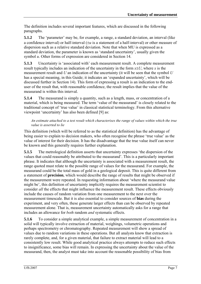The definition includes several important features, which are discussed in the following paragraphs.

**5.1.2** The 'parameter' may be, for example, a range, a standard deviation, an interval (like a confidence interval) or half-interval (±*u* is a statement of a half-interval) or other measure of dispersion such as a relative standard deviation. Note that when MU is expressed as a standard deviation, the parameter is known as 'standard uncertainty', usually given the symbol *u*. Other forms of expression are considered in Section 14.

**5.1.3** Uncertainty is 'associated with' each measurement result. A complete measurement result typically includes an indication of the uncertainty in the form  $x \pm U$ , where *x* is the measurement result and *U* an indication of the uncertainty (it will be seen that the symbol *U* has a special meaning, in this Guide; it indicates an 'expanded uncertainty', which will be discussed further in Section 14). This form of expressing a result is an indication to the enduser of the result that, with reasonable confidence, the result implies that the value of the measurand is within this interval.

**5.1.4** The measurand is simply a quantity, such as a length, mass, or concentration of a material, which is being measured. The term 'value of the measurand' is closely related to the traditional concept of 'true value' in classical statistical terminology. From this alternative viewpoint 'uncertainty' has also been defined [9] as:

*An estimate attached to a test result which characterises the range of values within which the true value is asserted to lie* 

This definition (which will be referred to as the statistical definition) has the advantage of being easier to explain to decision makers, who often recognise the phrase 'true value' as the value of interest for their decision. It has the disadvantage that the true value itself can never be known and this generally requires further explanation.

**5.1.5** The metrological definition asserts that uncertainty expresses 'the dispersion of the values that could reasonably be attributed to the measurand'. This is a particularly important phrase. It indicates that although the uncertainty is associated with a measurement result, the range quoted must relate to the possible range of values for the measurand. For example, the measurand could be the total mass of gold in a geological deposit. This is quite different from a statement of **precision**, which would describe the range of results that might be observed if the measurement were repeated. In requesting information about 'where the measurand value might be', this definition of uncertainty implicitly requires the measurement scientist to consider *all* the effects that might influence the measurement result. These effects obviously include the causes of random variation from one measurement to the next over the measurement timescale. But it is also essential to consider sources of **bias** during the experiment, and very often, these generate larger effects than can be observed by repeated measurement alone. That is, measurement uncertainty automatically asks for a range that includes an allowance for *both* random *and* systematic effects.

**5.1.6** To consider a simple analytical example, a simple measurement of concentration in a solid will typically involve extraction of material, weighings, volumetric operations and perhaps spectrometry or chromatography. Repeated measurement will show a spread of values due to random variations in these operations. But all analysts know that extraction is rarely complete, and, for a given material, that failure to extract material will lead to a consistently low result. While good analytical practice always attempts to reduce such effects to insignificance, some bias will remain. In expressing the uncertainty about the value of the measurand, then, the analyst must take into account the reasonable possibility of bias from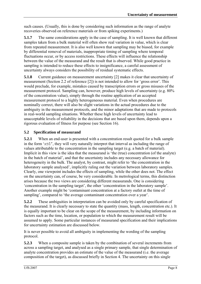such causes. (Usually, this is done by considering such information as the range of analyte recoveries observed on reference materials or from spiking experiments.)

**5.1.7** The same considerations apply in the case of sampling. It is well known that different samples taken from a bulk material will often show real variation in value, which is clear from repeated measurement. It is also well known that sampling may be biased, for example by differential removal of materials, inappropriate timing of sampling where temporal fluctuations occur, or by access restrictions. These effects will influence the relationship between the value of the measurand and the result that is observed. While good practice in sampling is intended to reduce these effects to insignificance, a careful assessment of uncertainty always considers the possibility of residual systematic effects.

**5.1.8** Current guidance on measurement uncertainty [2] makes it clear that uncertainty of measurement (Section 2.2 of reference [2]) is not intended to allow for 'gross error'. This would preclude, for example, mistakes caused by transcription errors or gross misuses of the measurement protocol. Sampling can, however, produce high levels of uncertainty (e.g. 80% of the concentration value), simply through the routine application of an accepted measurement protocol to a highly heterogeneous material. Even when procedures are nominally correct, there will also be slight variations in the actual procedures due to the ambiguity in the measurement protocols, and the minor adaptations that are made to protocols in real-world sampling situations. Whether these high levels of uncertainty lead to unacceptable levels of reliability in the decisions that are based upon them, depends upon a rigorous evaluation of fitness for purpose (see Section 16).

# **5.2 Specification of measurand**

**5.2.1** When an end-user is presented with a concentration result quoted for a bulk sample in the form  $x \pm U$ , they will very naturally interpret that interval as including the range of values attributable to the concentration in the sampling target (e.g. a batch of material). Implicit in this view is the idea that the measurand is 'the (true) concentration (of the analyte) in the batch of material', and that the uncertainty includes any necessary allowance for heterogeneity in the bulk. The analyst, by contrast, might refer to 'the concentration in the laboratory sample analysed', implicitly ruling out the variation between laboratory samples. Clearly, one viewpoint includes the effects of sampling, while the other does not. The effect on the uncertainty can, of course, be very considerable. In metrological terms, this distinction arises because the two views are considering different measurands. One is considering 'concentration in the sampling target', the other 'concentration in the laboratory sample'. Another example might be 'contaminant concentration at a factory outlet at the time of sampling', compared to 'the average contaminant concentration over a year'.

**5.2.2** These ambiguities in interpretation can be avoided only by careful specification of the measurand. It is clearly necessary to state the quantity (mass, length, concentration etc.). It is equally important to be clear on the scope of the measurement, by including information on factors such as the time, location, or population to which the measurement result will be assumed to apply. Some particular instances of measurand specification and their implications for uncertainty estimation are discussed below.

It is never possible to avoid all ambiguity in implementing the wording of the sampling protocol.

**5.2.3** When a composite sample is taken by the combination of several increments from across a sampling target, and analysed as a single primary sample, that single determination of analyte concentration provides an estimate of the value of the measurand (i.e. the average composition of the target), as discussed briefly in Section 4. The uncertainty on this single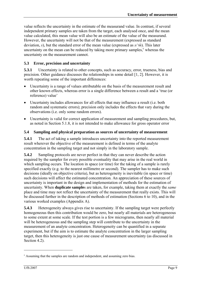value reflects the uncertainty in the estimate of the measurand value. In contrast, if several independent primary samples are taken from the target, each analysed once, and the mean value calculated, this mean value will also be an estimate of the value of the measurand. However, the uncertainty will not be that of the measurement (expressed as standard deviation, *s*), but the standard error of the mean value (expressed as *s/*√*n*). This later uncertainty on the mean can be reduced by taking more primary samples, $\degree$  whereas the uncertainty on the measurement cannot.

## **5.3 Error, precision and uncertainty**

**5.3.1** Uncertainty is related to other concepts, such as accuracy, error, trueness, bias and precision. Other guidance discusses the relationships in some detail [1, 2]. However, it is worth repeating some of the important differences:

- Uncertainty is a range of values attributable on the basis of the measurement result and other known effects, whereas error is a single difference between a result and a 'true (or reference) value'
- Uncertainty includes allowances for all effects that may influence a result (i.e. both random and systematic errors); precision only includes the effects that vary during the observations (i.e. only some random errors).
- Uncertainty is valid for correct application of measurement and sampling procedures, but, as noted in Section 5.1.8, it is not intended to make allowance for gross operator error

#### **5.4 Sampling and physical preparation as sources of uncertainty of measurement**

**5.4.1** The act of taking a sample introduces uncertainty into the reported measurement result wherever the objective of the measurement is defined in terms of the analyte concentration in the sampling target and not simply in the laboratory sample.

**5.4.2** Sampling protocols are never perfect in that they can never describe the action required by the sampler for every possible eventuality that may arise in the real world in which sampling occurs. The location in space (or time) for the taking of a sample is rarely specified exactly (e.g. to the nearest millimetre or second). The sampler has to make such decisions (ideally on objective criteria), but as heterogeneity is inevitable (in space or time) such decisions will affect the estimated concentration. An appreciation of these sources of uncertainty is important in the design and implementation of methods for the estimation of uncertainty. When **duplicate sample**s are taken, for example, taking them at exactly the *same* place and time may not reflect the uncertainty of the measurement that really exists. This will be discussed further in the description of methods of estimation (Sections 6 to 10), and in the various worked examples (Appendix A).

**5.4.3** Heterogeneity always gives rise to uncertainty. If the sampling target were perfectly homogeneous then this contribution would be zero, but nearly all materials are heterogeneous to some extent at some scale. If the test portion is a few micrograms, then nearly all material will be heterogeneous and the sampling step will contribute to the uncertainty in the measurement of an analyte concentration. Heterogeneity can be quantified in a separate experiment, but if the aim is to estimate the analyte concentration in the larger sampling target, then this heterogeneity is just one cause of measurement uncertainty (as discussed in Section 4.2).

 $\overline{a}$ 

<sup>&</sup>lt;sup>c</sup> Assuming that the samples are random and independent, and assuming zero bias.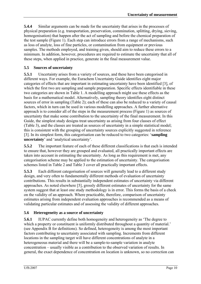**5.4.4** Similar arguments can be made for the uncertainty that arises in the processes of physical preparation (e.g. transportation, preservation, comminution, splitting, drying, sieving, homogenisation) that happen after the act of sampling and before the chemical preparation of the test sample (Figure 1). Each step can introduce errors from a range of mechanisms, such as loss of analyte, loss of fine particles, or contamination from equipment or previous samples. The methods employed, and training given, should aim to reduce these errors to a minimum. In addition, however, procedures are required to estimate the uncertainty that all of these steps, when applied in practice, generate in the final measurement value.

# **5.5 Sources of uncertainty**

**5.5.1** Uncertainty arises from a variety of sources, and these have been categorised in different ways. For example, the Eurachem Uncertainty Guide identifies eight major categories of effects that are important in estimating uncertainty have been identified [3], of which the first two are sampling and sample preparation. Specific effects identifiable in these two categories are shown in Table 1. A modelling approach might use these effects as the basis for a mathematical model. Alternatively, sampling theory identifies eight distinct sources of error in sampling (Table 2); each of these can also be reduced to a variety of causal factors, which in turn can be used in various modelling approaches. A further alternative approach is to consider all of the steps in the measurement process (Figure 1) as sources of uncertainty that make some contribution to the uncertainty of the final measurement. In this Guide, the simplest study designs treat uncertainty as arising from four classes of effect (Table 3), and the classes are treated as sources of uncertainty in a simple statistical model; this is consistent with the grouping of uncertainty sources explicitly suggested in reference [3]. In its simplest form, this categorisation can be reduced to two categories: '**sampling uncertainty**' and 'analytical uncertainty'.

**5.5.2** The important feature of each of these different classifications is that each is intended to ensure that, however they are grouped and evaluated, all practically important effects are taken into account in estimating the uncertainty. As long as this requirement is met, any categorisation scheme may be applied to the estimation of uncertainty. The categorisation schemes listed in Table 2 and Table 3 cover all practically important effects.

**5.5.3** Each different categorisation of sources will generally lead to a different study design, and very often to fundamentally different methods of evaluation of uncertainty contributions. This results in substantially independent estimates of uncertainty via different approaches. As noted elsewhere [5], grossly different estimates of uncertainty for the same system suggest that at least one study methodology is in error. This forms the basis of a check on the validity of an approach. Where practicable, therefore, comparison of uncertainty estimates arising from independent evaluation approaches is recommended as a means of validating particular estimates and of assessing the validity of different approaches.

#### **5.6 Heterogeneity as a source of uncertainty**

**5.6.1** IUPAC currently define both homogeneity and heterogeneity as 'The degree to which a property or constituent is uniformly distributed throughout a quantity of material.' (see Appendix B for definitions). So defined, heterogeneity is among the most important factors contributing to uncertainty associated with sampling. Increments from different locations in the sampling target will have different concentrations of analyte in a heterogeneous material and there will be a sample-to-sample variation in analyte concentration – usually visible as a contribution to the observed variation of results. In general, the exact dependence of concentration on location is unknown, so no correction can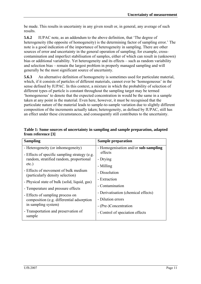be made. This results in uncertainty in any given result or, in general, any average of such results.

**5.6.2** IUPAC note, as an addendum to the above definition, that 'The degree of heterogeneity (the opposite of homogeneity) is the determining factor of sampling error.' The note is a good indication of the importance of heterogeneity in sampling. There are other sources of error and uncertainty in the general operation of sampling; for example, crosscontamination and imperfect stabilisation of samples, either of which can result in (unknown) bias or additional variability. Yet heterogeneity and its effects – such as random variability and selection bias – remain the largest problem in properly managed sampling and will generally be the most significant source of uncertainty.

**5.6.3** An alternative definition of homogeneity is sometimes used for particulate material, which, if it consists of particles of different materials, cannot ever be 'homogeneous' in the sense defined by IUPAC. In this context, a mixture in which the probability of selection of different types of particle is constant throughout the sampling target may be termed 'homogeneous' to denote that the expected concentration in would be the same in a sample taken at any point in the material. Even here, however, it must be recognised that the particulate nature of the material leads to sample-to-sample variation due to slightly different composition of the increments actually taken; heterogeneity, as defined by IUPAC, still has an effect under these circumstances, and consequently still contributes to the uncertainty.

| <b>Sampling</b>                                                                     | <b>Sample preparation</b>                       |  |  |
|-------------------------------------------------------------------------------------|-------------------------------------------------|--|--|
| - Heterogeneity (or inhomogeneity)<br>- Effects of specific sampling strategy (e.g. | - Homogenisation and/or sub-sampling<br>effects |  |  |
| random, stratified random, proportional                                             | - Drying                                        |  |  |
| $etc.$ )                                                                            | - Milling                                       |  |  |
| - Effects of movement of bulk medium<br>(particularly density selection)            | - Dissolution                                   |  |  |
| - Physical state of bulk (solid, liquid, gas)                                       | - Extraction                                    |  |  |
| - Temperature and pressure effects                                                  | - Contamination                                 |  |  |
| - Effects of sampling process on                                                    | - Derivatisation (chemical effects)             |  |  |
| composition (e.g. differential adsorption                                           | - Dilution errors                               |  |  |
| in sampling system)                                                                 | - (Pre-)Concentration                           |  |  |
| - Transportation and preservation of<br>sample                                      | - Control of speciation effects                 |  |  |

| Table 1: Some sources of uncertainty in sampling and sample preparation, adapted |  |
|----------------------------------------------------------------------------------|--|
| from reference [3]                                                               |  |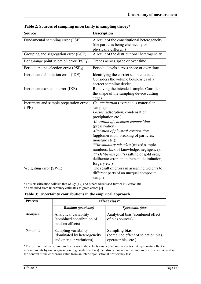| <b>Source</b>                                      | <b>Description</b>                                                                                                                                                                                                                                                                                                                                                                                                                                                                   |
|----------------------------------------------------|--------------------------------------------------------------------------------------------------------------------------------------------------------------------------------------------------------------------------------------------------------------------------------------------------------------------------------------------------------------------------------------------------------------------------------------------------------------------------------------|
| Fundamental sampling error (FSE)                   | A result of the constitutional heterogeneity<br>(the particles being chemically or<br>physically different)                                                                                                                                                                                                                                                                                                                                                                          |
| Grouping and segregation error (GSE)               | A result of the distributional heterogeneity                                                                                                                                                                                                                                                                                                                                                                                                                                         |
| Long-range point selection error $(PSE1)$          | Trends across space or over time                                                                                                                                                                                                                                                                                                                                                                                                                                                     |
| Periodic point selection error (PSE <sub>2</sub> ) | Periodic levels across space or over time                                                                                                                                                                                                                                                                                                                                                                                                                                            |
| Increment delimitation error (IDE)                 | Identifying the correct sample to take.<br>Considers the volume boundaries of a<br>correct sampling device                                                                                                                                                                                                                                                                                                                                                                           |
| Increment extraction error (IXE)                   | Removing the intended sample. Considers<br>the shape of the sampling device cutting<br>edges                                                                                                                                                                                                                                                                                                                                                                                         |
| Increment and sample preparation error<br>(IPE)    | Contamination (extraneous material in<br>sample):<br>Losses (adsorption, condensation,<br>precipitation etc.):<br>Alteration of chemical composition<br>(preservation):<br>Alteration of physical composition<br>(agglomeration, breaking of particles,<br>moisture etc.):<br>**Involuntary mistakes (mixed sample<br>numbers, lack of knowledge, negligence):<br><i>**Deliberate faults</i> (salting of gold ores,<br>deliberate errors in increment delimitation,<br>forgery etc.) |
| Weighting error (SWE)                              | The result of errors in assigning weights to<br>different parts of an unequal composite<br>sample                                                                                                                                                                                                                                                                                                                                                                                    |

**Table 2: Sources of sampling uncertainty in sampling theory\*** 

\*This classification follows that of Gy [17] and others (discussed further in Section10).

\*\* Excluded from uncertainty estimates as gross errors [2].

| Table 3: Uncertainty contributions in the empirical approach |
|--------------------------------------------------------------|
|--------------------------------------------------------------|

| <b>Process</b>  | Effect class*                                                                    |                                                                                    |  |  |
|-----------------|----------------------------------------------------------------------------------|------------------------------------------------------------------------------------|--|--|
|                 | <b>Random</b> (precision)                                                        | <b>Systematic</b> (bias)                                                           |  |  |
| <b>Analysis</b> | Analytical variability<br>(combined contribution of<br>random effects)           | Analytical bias (combined effect)<br>of bias sources)                              |  |  |
| <b>Sampling</b> | Sampling variability<br>(dominated by heterogeneity)<br>and operator variations) | <b>Sampling bias</b><br>(combined effect of selection bias,<br>operator bias etc.) |  |  |

\*The differentiation of random from systematic effects can depend on the context. A systematic effect in measurements by one organisation (e.g. analytical bias) can also be considered a random effect when viewed in the context of the consensus value from an inter-organisational proficiency test.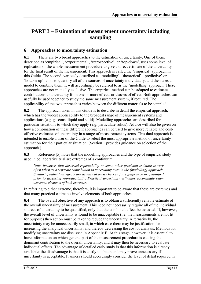# **PART 3 – Estimation of measurement uncertainty including sampling**

# **6 Approaches to uncertainty estimation**

**6.1** There are two broad approaches to the estimation of uncertainty. One of them, described as 'empirical', 'experimental', 'retrospective', or 'top-down', uses some level of replication of the whole measurement procedure to give a direct estimate of the uncertainty for the final result of the measurement. This approach is called the 'empirical' approach in this Guide. The second, variously described as 'modelling', 'theoretical', 'predictive' or 'bottom-up', aims to quantify all of the sources of uncertainty individually, and then uses a model to combine them. It will accordingly be referred to as the 'modelling' approach. These approaches are not mutually exclusive. The empirical method can be adapted to estimate contributions to uncertainty from one or more effects or classes of effect. Both approaches can usefully be used together to study the same measurement system, if required. The applicability of the two approaches varies between the different materials to be sampled.

**6.2** The approach taken in this Guide is to describe in detail the empirical approach, which has the widest applicability to the broadest range of measurement systems and applications (e.g. gaseous, liquid and solid). Modelling approaches are described for particular situations to which they apply (e.g. particulate solids). Advice will also be given on how a combination of these different approaches can be used to give more reliable and costeffective estimates of uncertainty in a range of measurement systems. This dual approach is intended to enable a user of the Guide to select the most appropriate method of uncertainty estimation for their particular situation. (Section 1 provides guidance on selection of the approach.)

**6.3** Reference [5] notes that the modelling approaches and the type of empirical study used in collaborative trial are extremes of a continuum:

*Note, however, that observed repeatability or some other precision estimate is very often taken as a separate contribution to uncertainty even in the [modelling] approach. Similarly, individual effects are usually at least checked for significance or quantified prior to assessing reproducibility. Practical uncertainty estimates accordingly often use some elements of both extremes.*

In referring to either extreme, therefore, it is important to be aware that these are extremes and that many practical estimates involve elements of both approaches.

**6.4** The overall objective of any approach is to obtain a sufficiently reliable estimate of the overall uncertainty of measurement. This need not necessarily require all of the individual sources of uncertainty to be quantified, only that the combined effect be assessed. If, however, the overall level of uncertainty is found to be unacceptable (i.e. the measurements are not fit for purpose) then action must be taken to reduce the uncertainty. Alternatively, the uncertainty may be unnecessarily small, in which case there may be justification for increasing the analytical uncertainty, and thereby decreasing the cost of analysis. Methods for modifying uncertainty are discussed in Appendix E. At this stage, however, it is essential to have information on which general part of the measurement procedure is causing the dominant contribution to the overall uncertainty, and it may then be necessary to evaluate individual effects. The advantage of detailed early study is that this information is already available; the disadvantage is that it is costly to obtain and may prove unnecessary if uncertainty is acceptable. Planners should accordingly consider the level of detail required in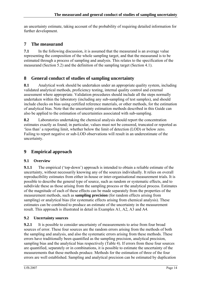an uncertainty estimate, taking account of the probability of requiring detailed information for further development.

# **7 The measurand**

**7.1** In the following discussion, it is assumed that the measurand is an average value representing the composition of the whole sampling target, and that the measurand is to be estimated through a process of sampling and analysis. This relates to the specification of the measurand (Section 5.2) and the definition of the sampling target (Section 4.1).

# **8 General conduct of studies of sampling uncertainty**

**8.1** Analytical work should be undertaken under an appropriate quality system, including validated analytical methods, proficiency testing, internal quality control and external assessment where appropriate. Validation procedures should include all the steps normally undertaken within the laboratory (including any sub-sampling of test samples), and should include checks on bias using certified reference materials, or other methods, for the estimation of analytical bias. Note that the uncertainty estimation methods described in this Guide can also be applied to the estimation of uncertainties associated with sub-sampling.

**8.2** Laboratories undertaking the chemical analysis should report the concentration estimates exactly as found; in particular, values must not be censored, truncated or reported as 'less than' a reporting limit, whether below the limit of detection (LOD) or below zero. Failing to report negative or sub-LOD observations will result in an underestimate of the uncertainty.

# **9 Empirical approach**

# **9.1 Overview**

**9.1.1** The empirical ('top-down') approach is intended to obtain a reliable estimate of the uncertainty, without necessarily knowing any of the sources individually. It relies on overall reproducibility estimates from either in-house or inter-organisational measurement trials. It is possible to describe the general type of source, such as random or systematic effects, and to subdivide these as those arising from the sampling process or the analytical process. Estimates of the magnitude of each of these effects can be made separately from the properties of the measurement methods, such as **sampling precision** (for random effects arising from sampling) or analytical bias (for systematic effects arising from chemical analysis). These estimates can be combined to produce an estimate of the uncertainty in the measurement result. This approach is illustrated in detail in Examples A1, A2, A3 and A4.

# **9.2 Uncertainty sources**

**9.2.1** It is possible to consider uncertainty of measurements to arise from four broad sources of error. These four sources are the random errors arising from the methods of both the sampling and analysis, and also the systematic errors arising from these methods. These errors have traditionally been quantified as the sampling precision, analytical precision, sampling bias and the analytical bias respectively (Table 4). If errors from these four sources are quantified, separately or in combinations, it is possible to estimate the uncertainty of the measurements that these methods produce. Methods for the estimation of three of the four errors are well established. Sampling and analytical precision can be estimated by duplication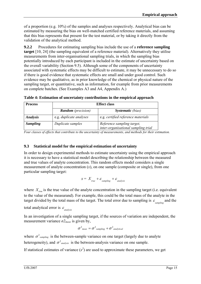of a proportion (e.g. 10%) of the samples and analyses respectively. Analytical bias can be estimated by measuring the bias on well-matched certified reference materials, and assuming that this bias represents that present for the test material, or by taking it directly from the validation of the analytical method.

**9.2.2** Procedures for estimating sampling bias include the use of a **reference sampling target** [10, 24] (the sampling equivalent of a reference material). Alternatively they utilise measurements from inter-organisational sampling trials, in which the sampling bias potentially introduced by each participant is included in the estimate of uncertainty based on the overall variability (Section 9.5). Although some of the components of uncertainty associated with systematic effects may be difficult to estimate, it may be unnecessary to do so if there is good evidence that systematic effects are small and under good control. Such evidence may be qualitative, as in prior knowledge of the chemical or physical nature of the sampling target, or quantitative, such as information, for example from prior measurements on complete batches. (See Examples A3 and A4, Appendix A.)

| Table 4: Estimation of uncertainty contributions in the empirical approach |
|----------------------------------------------------------------------------|
|----------------------------------------------------------------------------|

| <b>Process</b>                             | <b>Effect class</b>       |                                                                   |  |  |
|--------------------------------------------|---------------------------|-------------------------------------------------------------------|--|--|
|                                            | <b>Random</b> (precision) | <b>Systematic</b> (bias)                                          |  |  |
| <b>Analysis</b><br>e.g. duplicate analyses |                           | e.g. certified reference materials                                |  |  |
| <b>Sampling</b><br>Duplicate samples       |                           | Reference sampling target,<br>inter-organisational sampling trial |  |  |

*Four classes of effects that contribute to the uncertainty of measurements, and methods for their estimation.* 

#### **9.3 Statistical model for the empirical estimation of uncertainty**

In order to design experimental methods to estimate uncertainty using the empirical approach it is necessary to have a statistical model describing the relationship between the measured and true values of analyte concentration. This random effects model considers a single measurement of analyte concentration (*x*), on one sample (composite or single), from one particular sampling target:

$$
x = X_{true} + \varepsilon_{sampling} + \varepsilon_{analysis}
$$

where  $X_{true}$  is the true value of the analyte concentration in the sampling target (i.e. equivalent to the value of the measurand). For example, this could be the total mass of the analyte in the target divided by the total mass of the target. The total error due to sampling is  $\varepsilon_{\text{sampling}}$  and the

total analytical error is *ε*<sub>*analysis*</sub>

In an investigation of a single sampling target, if the sources of variation are independent, the measurement variance  $\sigma^2_{meas}$  is given by,

$$
\sigma^2_{meas} = \sigma^2_{sampling} + \sigma^2_{analytical}
$$

where  $\sigma^2_{sampling}$  is the between-sample variance on one target (largely due to analyte heterogeneity), and  $\sigma^2$ <sub>analysis</sub> is the between-analysis variance on one sample.

If statistical estimates of variance  $(s^2)$  are used to approximate these parameters, we get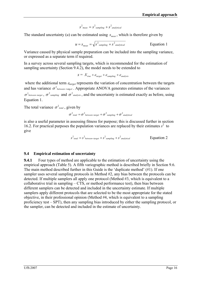$$
s^2_{meas} = s^2_{sampling} + s^2_{analytical}
$$

The standard uncertainty (*u*) can be estimated using  $s_{\text{meas}}$ , which is therefore given by

$$
u = s_{meas} = \sqrt{s^2_{sampling} + s^2_{analytical}}
$$
 Equation 1

Variance caused by physical sample preparation can be included into the sampling variance, or expressed as a separate term if required.

In a survey across several sampling targets, which is recommended for the estimation of sampling uncertainty (Section 9.4.2), the model needs to be extended to

 $\chi = X_{true} + \varepsilon_{target} + \varepsilon_{sampling} + \varepsilon_{analysis}$ 

 where the additional term <sup>ε</sup>*target* represents the variation of concentration between the targets and has variance  $\sigma^2_{between - target}$ . Appropriate ANOVA generates estimates of the variances  $\sigma^2$ <sub>between−target</sub>,  $\sigma^2$ <sub>sampling</sub> and  $\sigma^2$ <sub>analysis</sub>, and the uncertainty is estimated exactly as before, using Equation 1.

The total variance  $\sigma^2_{total}$ , given by

$$
\sigma^2_{total} = \sigma^2_{between-target} + \sigma^2_{sampling} + \sigma^2_{analytical}
$$

is also a useful parameter in assessing fitness for purpose; this is discussed further in section 16.2. For practical purposes the population variances are replaced by their estimates  $s^2$  to give

$$
s^2_{total} = s^2_{between-target} + s^2_{sampling} + s^2_{analytical}
$$
 Equation 2

#### **9.4 Empirical estimation of uncertainty**

**9.4.1** Four types of method are applicable to the estimation of uncertainty using the empirical approach (Table 5). A fifth variographic method is described briefly in Section 9.6. The main method described further in this Guide is the 'duplicate method' (#1). If one sampler uses several sampling protocols in Method #2, any bias between the protocols can be detected. If multiple samplers all apply one protocol (Method #3, which is equivalent to a collaborative trial in sampling – CTS, or method performance test), then bias between different samplers can be detected and included in the uncertainty estimate. If multiple samplers apply different protocols that are selected to be the most appropriate for the stated objective, in their professional opinion (Method #4, which is equivalent to a sampling proficiency test – SPT), then any sampling bias introduced by either the sampling protocol, or the sampler, can be detected and included in the estimate of uncertainty.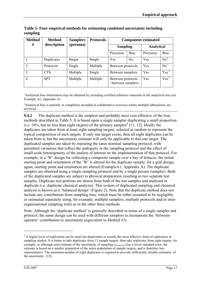| <b>Method</b>  | <b>Method</b> | <b>Samplers</b> | <b>Protocols</b> | <b>Component estimated</b>             |                |            |                       |
|----------------|---------------|-----------------|------------------|----------------------------------------|----------------|------------|-----------------------|
| #              | description   | (persons)       |                  | <b>Sampling</b>                        |                | Analytical |                       |
|                |               |                 |                  | Precision                              | <b>Bias</b>    | Precision  | <b>Bias</b>           |
|                | Duplicates    | Single          | Single           | Yes                                    | N <sub>o</sub> | Yes        | No <sup>1</sup>       |
| $\overline{2}$ | Protocols     | Single          | Multiple         | Between protocols                      |                | Yes        | $\mathrm{No}^{\perp}$ |
| 3              | <b>CTS</b>    | Multiple        | Single           | Between samplers                       |                | Yes        | Yes <sup>2</sup>      |
| $\overline{4}$ | <b>SPT</b>    | Multiple        | Multiple         | Between protocols<br>+between samplers |                | Yes        | Yes <sup>2</sup>      |

**Table 5: Four empirical methods for estimating combined uncertainty including sampling** 

<sup>1</sup>Analytical bias information may be obtained by including certified reference materials in the analytical run (see Example A2, Appendix A).

<sup>2</sup> Analytical bias is partially or completely included in collaborative exercises where multiple laboratories are involved.

**9.4.2** The duplicate method is the simplest and probably most cost-effective of the four methods described in Table 5. It is based upon a single sampler duplicating a small proportion (i.e. 10%, but no less than eight targets) of the primary samples<sup>d</sup> [11, 12]. Ideally the duplicates are taken from at least eight sampling targets, selected at random to represent the typical composition of such targets. If only one target exists, then all eight duplicates can be taken from it, but the uncertainty estimate will only be applicable to that one target. The duplicated samples are taken by repeating the same nominal sampling protocol, with permitted variations that reflect the ambiguity in the sampling protocol and the effect of small-scale heterogeneity of the analyte of interest on the implementation of that protocol. For example, in a 'W' design for collecting a composite sample over a bay of lettuces, the initial starting point and orientation of the 'W' is altered for the duplicate sample; for a grid design, again, starting point and orientation are altered (ExampleA1, Appendix A). The duplicate samples are obtained using a single sampling protocol and by a single person (sampler). Both of the duplicated samples are subject to physical preparation resulting in two separate test samples. Duplicate test portions are drawn from both of the test samples and analysed in duplicate (i.e. duplicate chemical analysis). This system of duplicated sampling and chemical analysis is known as a 'balanced design' (Figure 2). Note that the duplicate method does not include any contribution from sampling bias, which must be either assumed to be negligible, or estimated separately using, for example, multiple samplers, multiple protocols and/or interorganisational sampling trials as in the other three methods.

Note: Although the 'duplicate method' is generally described in terms of a single sampler and protocol, the same design can be used with different samplers to incorporate the 'betweenoperator' contribution to uncertainty (equivalent to Method #3).

 $\overline{a}$ 

<sup>&</sup>lt;sup>d</sup> A higher level of replication can be used, but duplication is usually the most effective form of replication in sampling studies. It is better to take duplicates from 12 sample targets, than take triplicates from eight targets, for example, as although each estimate of the uncertainty of sampling (*ssampling*) has a lower standard error, the estimate is based on a smaller proportion of the entire population of sample targets, and is therefore less representative. The minimum number of eight duplicates is required to provide sufficiently reliable estimates of the uncertainty [12].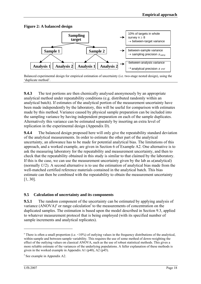## **Figure 2: A balanced design**



Balanced experimental design for empirical estimation of uncertainty (i.e. two-stage nested design), using the 'duplicate method'.

**9.4.3** The test portions are then chemically analysed anonymously by an appropriate analytical method under repeatability conditions (e.g. distributed randomly within an analytical batch). If estimates of the analytical portion of the measurement uncertainty have been made independently by the laboratory, this will be useful for comparison with estimates made by this method. Variance caused by physical sample preparation can be included into the sampling variance by having independent preparation on each of the sample duplicates. Alternatively this variance can be estimated separately by inserting an extra level of replication in the experimental design (Appendix D).

**9.4.4** The balanced design proposed here will only give the repeatability standard deviation of the analytical measurements. In order to estimate the other part of the analytical uncertainty, an allowance has to be made for potential analytical bias. The limitations of this approach, and a worked example, are given in Section 6 of Example A2. One alternative is to ask the measuring laboratory for the repeatability and measurement uncertainty, and then to check that the repeatability obtained in this study is similar to that claimed by the laboratory. If this is the case, we can use the measurement uncertainty given by the lab as *u*(analytical) (normally *U*/2). A second alternative is to use the estimation of analytical bias made from the well-matched certified reference materials contained in the analytical batch. This bias estimate can then be combined with the repeatability to obtain the measurement uncertainty [1, 30].

#### **9.5 Calculation of uncertainty and its components**

**9.5.1** The random component of the uncertainty can be estimated by applying analysis of variance  $(ANOVA)^e$  or range calculation<sup>f</sup> to the measurements of concentration on the duplicated samples. The estimation is based upon the model described in Section 9.3, applied to whatever measurement protocol that is being employed (with its specified number of sample increments and analytical replicates).

 $\overline{a}$ 

 $^e$  There is often a small proportion (i.e. <10%) of outlying values in the frequency distributions of the analytical, within-sample and between-sample variability. This requires the use of some method of down-weighting the effect of the outlying values on classical ANOVA, such as the use of robust statistical methods. This gives a more reliable estimate of the variances of the underlying populations. A fuller explanation of these methods is given in the worked example in Appendix A1 (p40), A2 (p45).

f See example in Appendix A2.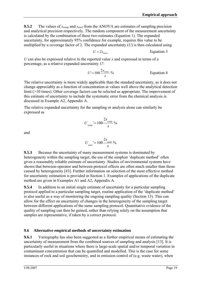**9.5.2** The values of *ssamp* and *sanal* from the ANOVA are estimates of sampling precision and analytical precision respectively. The random component of the measurement uncertainty is calculated by the combination of these two estimates (Equation 1). The expanded uncertainty, for approximately 95% confidence for example, requires this value to be multiplied by a coverage factor of 2. The expanded uncertainty (*U*) is then calculated using

$$
U = 2s_{\text{meas}} \qquad \qquad \text{Equation 3}
$$

*U* can also be expressed relative to the reported value *x* and expressed in terms of a percentage, as a relative expanded uncertainty *U*':

$$
U' = 100 \frac{2s_{meas}}{x} \%
$$
 Equation 4

The relative uncertainty is more widely applicable than the standard uncertainty, as it does not change appreciably as a function of concentration at values well above the analytical detection limit (>10 times). Other coverage factors can be selected as appropriate. The improvement of this estimate of uncertainty to include the systematic error from the chemical analysis is discussed in Example A2, Appendix A.

The relative expanded uncertainty for the sampling or analysis alone can similarly be expressed as

$$
U_{\text{ samp}} = 100 \frac{2s_{\text{ samp}}}{x} \%
$$

and

$$
U_{\text{anal}} = 100 \frac{2s_{\text{anal}}}{x} \%
$$

**9.5.3** Because the uncertainty of many measurement systems is dominated by heterogeneity within the sampling target, the use of the simplest 'duplicate method' often gives a reasonably reliable estimate of uncertainty. Studies of environmental systems have shown that between-operator and between-protocol effects are often much smaller than those caused by heterogeneity [43]. Further information on selection of the most effective method for uncertainty estimation is provided in Section 1. Examples of applications of the duplicate method are given in Examples A1 and A2, Appendix A.

**9.5.4** In addition to an initial single estimate of uncertainty for a particular sampling protocol applied to a particular sampling target, routine application of the 'duplicate method' is also useful as a way of monitoring the ongoing sampling quality (Section 13). This can allow for the effect on uncertainty of changes in the heterogeneity of the sampling target between different applications of the same sampling protocol. Quantitative evidence of the quality of sampling can then be gained, rather than relying solely on the assumption that samples are representative, if taken by a correct protocol.

#### **9.6 Alternative empirical methods of uncertainty estimation**

**9.6.1** Variography has also been suggested as a further empirical means of estimating the uncertainty of measurement from the combined sources of sampling and analysis [13]. It is particularly useful in situations where there is large-scale spatial and/or temporal variation in contaminant concentration that can be quantified and modelled. This is the case for some instances of rock and soil geochemistry, and in emission control of (e.g. waste water), when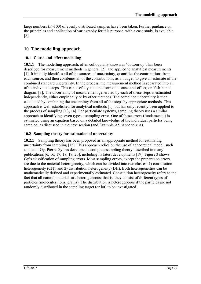large numbers (*n*>100) of evenly distributed samples have been taken. Further guidance on the principles and application of variography for this purpose, with a case study, is available [8].

# **10 The modelling approach**

#### **10.1 Cause-and-effect modelling**

**10.1.1** The modelling approach, often colloquially known as 'bottom-up', has been described for measurement methods in general [2], and applied to analytical measurements [1]. It initially identifies all of the sources of uncertainty, quantifies the contributions from each source, and then combines all of the contributions, as a budget, to give an estimate of the combined standard uncertainty. In the process, the measurement method is separated into all of its individual steps. This can usefully take the form of a cause-and-effect, or 'fish-bone', diagram [3]. The uncertainty of measurement generated by each of these steps is estimated independently, either empirically or by other methods. The combined uncertainty is then calculated by combining the uncertainty from all of the steps by appropriate methods. This approach is well established for analytical methods [1], but has only recently been applied to the process of sampling [13, 14]. For particulate systems, sampling theory uses a similar approach to identifying seven types a sampling error. One of these errors (fundamental) is estimated using an equation based on a detailed knowledge of the individual particles being sampled, as discussed in the next section (and Example A5, Appendix A).

#### **10.2 Sampling theory for estimation of uncertainty**

**10.2.1** Sampling theory has been proposed as an appropriate method for estimating uncertainty from sampling [15]. This approach relies on the use of a theoretical model, such as that of Gy. Pierre Gy has developed a complete sampling theory described in many publications [6, 16, 17, 18, 19, 20], including its latest developments[19]. Figure 3 shows Gy's classification of sampling errors. Most sampling errors, except the preparation errors, are due to the material heterogeneity, which can be divided into two classes: 1) constitution heterogeneity (CH), and 2) distribution heterogeneity (DH). Both heterogeneities can be mathematically defined and experimentally estimated. Constitution heterogeneity refers to the fact that all natural materials are heterogeneous, that is, they consist of different types of particles (molecules, ions, grains). The distribution is heterogeneous if the particles are not randomly distributed in the sampling target (or lot) to be investigated.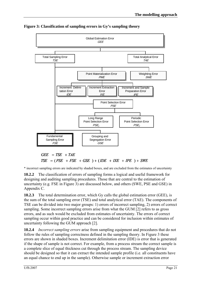

**Figure 3: Classification of sampling errors in Gy's sampling theory** 

```
TSE = (PSE + FSE + GSE) + (IDE + IXE + IPE) + SWEGEE = TSE + TAE
```
\* incorrect sampling errors are indicated by shaded boxes, and are excluded from the estimates of uncertainty

**10.2.2** The classification of errors of sampling forms a logical and useful framework for designing and auditing sampling procedures. Those that are central to the estimation of uncertainty (e.g. FSE in Figure 3) are discussed below, and others (SWE, PSE and GSE) in Appendix C.

**10.2.3** The total determination error, which Gy calls the global estimation error (GEE), is the sum of the total sampling error (TSE) and total analytical error (TAE). The components of TSE can be divided into two major groups: 1) errors of incorrect sampling, 2) errors of correct sampling. Some incorrect sampling errors arise from what the GUM [2] refers to as gross errors, and as such would be excluded from estimates of uncertainty. The errors of correct sampling occur within good practice and can be considered for inclusion within estimates of uncertainty following the GUM approach [2].

**10.2.4** *Incorrect sampling errors* arise from sampling equipment and procedures that do not follow the rules of sampling correctness defined in the sampling theory. In Figure 3 these errors are shown in shaded boxes. Increment delimitation error (IDE) is error that is generated if the shape of sample is not correct. For example, from a process stream the correct sample is a complete slice of equal thickness cut through the process stream. The sampling device should be designed so that it can extract the intended sample profile (i.e. all constituents have an equal chance to end up in the sample). Otherwise sample or increment extraction error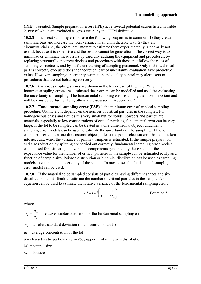(IXE) is created. Sample preparation errors (IPE) have several potential causes listed in Table 2, two of which are excluded as gross errors by the GUM definition.

**10.2.5** Incorrect sampling errors have the following properties in common: 1) they create sampling bias and increase the total variance in an unpredictable way, 2) they are circumstantial and, therefore, any attempt to estimate them experimentally is normally not useful, because it is expensive and the results cannot be generalised. The correct way is to minimise or eliminate these errors by carefully auditing the equipment and procedures, by replacing structurally incorrect devices and procedures with those that follow the rules of sampling correctness, and by sufficient training of sampling personnel. Only if this technical part is correctly executed does the theoretical part of uncertainty evaluation have predictive value. However, sampling uncertainty estimation and quality control may alert users to procedures that are not behaving correctly.

**10.2.6 Correct sampling errors** are shown in the lower part of Figure 3. When the incorrect sampling errors are eliminated these errors can be modelled and used for estimating the uncertainty of sampling. The fundamental sampling error is among the most important and will be considered further here; others are discussed in Appendix C2.

**10.2.7 Fundamental sampling error (FSE)** is the minimum error of an ideal sampling procedure. Ultimately it depends on the number of critical particles in the samples. For homogeneous gases and liquids it is very small but for solids, powders and particulate materials, especially at low concentrations of critical particles, fundamental error can be very large. If the lot to be sampled can be treated as a one-dimensional object, fundamental sampling error models can be used to estimate the uncertainty of the sampling. If the lot cannot be treated as a one-dimensional object, at least the point selection error has to be taken into account, when the variance of primary samples is estimated. If the sample preparation and size reduction by splitting are carried out correctly, fundamental sampling error models can be used for estimating the variance components generated by these steps. If the expectance value for the number of critical particles in the sample can be estimated easily as a function of sample size, Poisson distribution or binomial distribution can be used as sampling models to estimate the uncertainty of the sample. In most cases the fundamental sampling error model can be used.

**10.2.8** If the material to be sampled consists of particles having different shapes and size distributions it is difficult to estimate the number of critical particles in the sample. An equation can be used to estimate the relative variance of the fundamental sampling error:

$$
\sigma_r^2 = C d^3 \left( \frac{1}{M_s} - \frac{1}{M_L} \right)
$$
 Equation 5

where

$$
\sigma_r = \frac{\sigma_a}{a_L}
$$
 = relative standard deviation of the fundamental sampling error

 $\sigma_a$  = absolute standard deviation (in concentration units)

 $a<sub>L</sub>$  = average concentration of the lot

 $d$  = characteristic particle size = 95% upper limit of the size distribution

 $M<sub>S</sub>$  = sample size

 $M_L$  = lot size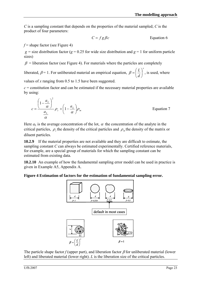*C* is a sampling constant that depends on the properties of the material sampled; *C* is the product of four parameters:

$$
C = f g \beta c
$$
 Equation 6

 $f$  = shape factor (see Figure 4)

 $g =$  size distribution factor ( $g = 0.25$  for wide size distribution and  $g = 1$  for uniform particle sizes)

 $\beta$  = liberation factor (see Figure 4). For materials where the particles are completely

liberated,  $\beta$  = 1. For unliberated material an empirical equation, *x d*  $\frac{L}{I}$ ⎠  $\left(\frac{L}{I}\right)$ ⎝  $\beta = \left(\frac{L}{I}\right)^{x}$ , is used, where

values of *x* ranging from 0.5 to 1.5 have been suggested.

 $c =$  constitution factor and can be estimated if the necessary material properties are available by using:

$$
c = \frac{\left(1 - \frac{a_L}{\alpha}\right)^2}{\frac{a_L}{\alpha}} \rho_c + \left(1 - \frac{a_L}{\alpha}\right) \rho_m
$$
Equation 7

Here  $a<sub>L</sub>$  is the average concentration of the lot,  $\alpha$  the concentration of the analyte in the critical particles,  $\rho_c$  the density of the critical particles and  $\rho_m$  the density of the matrix or diluent particles.

**10.2.9** If the material properties are not available and they are difficult to estimate, the sampling constant *C* can always be estimated experimentally. Certified reference materials, for example, are a special group of materials for which the sampling constant can be estimated from existing data.

**10.2.10** An example of how the fundamental sampling error model can be used in practice is given in Example A5, Appendix A.

#### **Figure 4 Estimation of factors for the estimation of fundamental sampling error.**



The particle shape factor *f* (upper part), and liberation factor  $\beta$  for unliberated material (lower left) and liberated material (lower right). *L* is the liberation size of the critical particles.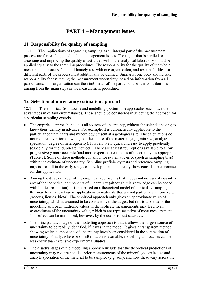# **PART 4 – Management issues**

# **11 Responsibility for quality of sampling**

**11.1** The implications of regarding sampling as an integral part of the measurement process are far reaching, and include management issues. The rigour that is applied to assessing and improving the quality of activities within the analytical laboratory should be applied equally to the sampling procedures. The responsibility for the quality of the whole measurement process should ultimately rest with one organisation, and responsibilities for different parts of the process must additionally be defined. Similarly, one body should take responsibility for estimating the measurement uncertainty, based on information from all participants. This organisation can then inform all of the participants of the contributions arising from the main steps in the measurement procedure.

# **12 Selection of uncertainty estimation approach**

**12.1** The empirical (top-down) and modelling (bottom-up) approaches each have their advantages in certain circumstances. These should be considered in selecting the approach for a particular sampling exercise.

- The empirical approach includes all sources of uncertainty, without the scientist having to know their identity in advance. For example, it is automatically applicable to the particular contaminants and mineralogy present at a geological site. The calculations do not require any prior knowledge of the nature of the material (e.g. grain size, analyte speciation, degree of heterogeneity). It is relatively quick and easy to apply practically (especially for the 'duplicate method'). There are at least four options available to allow progressively more accurate (and more expensive) estimates of uncertainty, as appropriate (Table 5). Some of these methods can allow for systematic error (such as sampling bias) within the estimate of uncertainty. Sampling proficiency tests and reference sampling targets are still in the early stages of development, but already show considerable promise for this application.
- Among the disadvantages of the empirical approach is that it does not necessarily quantify any of the individual components of uncertainty (although this knowledge can be added with limited resolution). It is not based on a theoretical model of particulate sampling, but this may be an advantage in applications to materials that are not particulate in form (e.g. gaseous, liquids, biota). The empirical approach only gives an approximate value of uncertainty, which is assumed to be constant over the target, but this is also true of the modelling approach. Extreme values in the replicate measurements may lead to an overestimate of the uncertainty value, which is not representative of most measurements. This effect can be minimised, however, by the use of robust statistics.
- The principal advantage of the modelling approach is that it allows the largest source of uncertainty to be readily identified, if it was in the model. It gives a transparent method showing which components of uncertainty have been considered in the summation of uncertainty. Finally, where prior information is available, modelling approaches can be less costly than extensive experimental studies.
- The disadvantages of the modelling approach include that the theoretical predictions of uncertainty may require detailed prior measurements of the mineralogy, grain size and analyte speciation of the material to be sampled (e.g. soil), and how these vary across the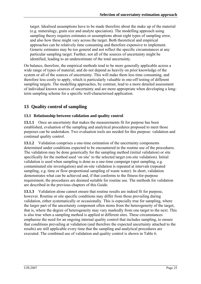target. Idealised assumptions have to be made therefore about the make up of the material (e.g. mineralogy, grain size and analyte speciation). The modelling approach using sampling theory requires estimates or assumptions about eight types of sampling error, and also how these might vary across the target. Both theoretical and empirical approaches can be relatively time consuming and therefore expensive to implement. Generic estimates may be too general and not reflect the specific circumstances at any particular sampling target. Further, not all of the sources of uncertainty might be identified, leading to an underestimate of the total uncertainty.

On balance, therefore, the empirical methods tend to be more generally applicable across a wide range of types of material, and do not depend as heavily on prior knowledge of the system or all of the sources of uncertainty. This will make them less time consuming, and therefore less costly to apply, which is particularly valuable in one-off testing of different sampling targets. The modelling approaches, by contrast, lead to a more detailed assessment of individual known sources of uncertainty and are more appropriate when developing a longterm sampling scheme for a specific well-characterised application.

# **13 Quality control of sampling**

#### **13.1 Relationship between validation and quality control**

**13.1.1** Once an uncertainty that makes the measurements fit for purpose has been established, evaluation of the sampling and analytical procedures proposed to meet those purposes can be undertaken. Two evaluation tools are needed for this purpose: validation and continual quality control.

**13.1.2** Validation comprises a one-time estimation of the uncertainty components determined under conditions expected to be encountered in the routine use of the procedures. The validation may be done generically for the sampling method (initial validation) or site specifically for the method used 'on site' to the selected target (on-site validation). Initial validation is used when sampling is done as a one-time campaign (spot sampling, e.g. contaminated site investigation) and on-site validation is repeated at intervals (repeated sampling, e.g. time or flow-proportional sampling of waste water). In short, validation demonstrates what can be achieved and, if that conforms to the fitness-for-purpose requirement, the procedures are deemed suitable for routine use. The methods for validation are described in the previous chapters of this Guide.

**13.1.3** Validation alone cannot ensure that routine results are indeed fit for purpose, however. Routine or site specific conditions may differ from those prevailing during validation, either systematically or occasionally. This is especially true for sampling, where the larger part of the uncertainty component often stems from the heterogeneity of the target, that is, where the degree of heterogeneity may vary markedly from one target to the next. This is also true when a sampling method is applied at different sites. These circumstances emphasise the need for an ongoing internal quality control that includes sampling, to ensure that conditions prevailing at validation (and therefore the expected uncertainty attached to the results) are still applicable every time that the sampling and analytical procedures are executed. The combined use of validation and quality control is shown in Table 6.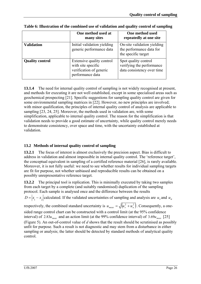|                        | One method used at<br>many sites                                                               | One method used<br>repeatedly at one site                                       |
|------------------------|------------------------------------------------------------------------------------------------|---------------------------------------------------------------------------------|
| <b>Validation</b>      | Initial validation yielding<br>generic performance data                                        | On-site validation yielding<br>the performance data for<br>the specific target  |
| <b>Quality control</b> | Extensive quality control<br>with site specific<br>verification of generic<br>performance data | Spot quality control<br>verifying the performance<br>data consistency over time |

| Table 6: Illustration of the combined use of validation and quality control of sampling |  |  |  |  |  |
|-----------------------------------------------------------------------------------------|--|--|--|--|--|
|                                                                                         |  |  |  |  |  |

**13.1.4** The need for internal quality control of sampling is not widely recognised at present, and methods for executing it are not well established, except in some specialised areas such as geochemical prospecting [21]. Specific suggestions for sampling quality control are given for some environmental sampling matrices in [22]. However, no new principles are involved; with minor qualification, the principles of internal quality control of analysis are applicable to sampling [23, 24, 25]. Moreover, the methods used in validation are, with some simplification, applicable to internal quality control. The reason for the simplification is that validation needs to provide a good estimate of uncertainty, while quality control merely needs to demonstrate consistency, over space and time, with the uncertainty established at validation.

#### **13.2 Methods of internal quality control of sampling**

**13.2.1** The focus of interest is almost exclusively the precision aspect. Bias is difficult to address in validation and almost impossible in internal quality control. The 'reference target', the conceptual equivalent in sampling of a certified reference material [26], is rarely available. Moreover, it is not fully useful: we need to see whether results for individual sampling targets are fit for purpose, not whether unbiased and reproducible results can be obtained on a possibly unrepresentative reference target.

**13.2.2** The principal tool is replication. This is minimally executed by taking two samples from each target by a complete (and suitably randomised) duplication of the sampling protocol. Each sample is analysed once and the difference between the results

 $D = |x_1 - x_2|$  calculated. If the validated uncertainties of sampling and analysis are  $u_s$  and  $u_a$ 

respectively, the combined standard uncertainty is  $u_{meas} = \sqrt{u_s^2 + u_a^2}$ . Consequently, a onesided range control chart can be constructed with a control limit (at the 95% confidence interval) of  $2.83u_{meas}$  and an action limit (at the 99% confidence interval) of  $3.69u_{meas}$  [25] (Figure 5). An out-of-control value of *d* shows that the result should be scrutinised as possibly unfit for purpose. Such a result is not diagnostic and may stem from a disturbance in either sampling or analysis; the latter should be detected by standard methods of analytical quality control.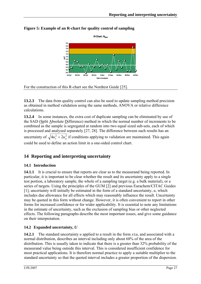

# **Figure 5: Example of an R-chart for quality control of sampling**

For the construction of this R-chart see the Nordtest Guide [25].

**13.2.3** The data from quality control can also be used to update sampling method precision as obtained in method validation using the same methods, ANOVA or relative difference calculations.

**13.2.4** In some instances, the extra cost of duplicate sampling can be eliminated by use of the SAD (Split Absolute Difference) method in which the normal number of increments to be combined as the sample is segregated at random into two equal sized sub-sets, each of which is processed and analysed separately [27, 28]. The difference between such results has an uncertainty of  $\sqrt{4u_s^2 + 2u_a^2}$  if conditions applying to validation are maintained. This again could be used to define an action limit in a one-sided control chart.

# **14 Reporting and interpreting uncertainty**

#### **14.1 Introduction**

**14.1.1** It is crucial to ensure that reports are clear as to the measurand being reported. In particular, it is important to be clear whether the result and its uncertainty apply to a single test portion, a laboratory sample, the whole of a sampling target (e.g. a bulk material), or a series of targets. Using the principles of the GUM [2] and previous Eurachem/CITAC Guides [1], uncertainty will initially be estimated in the form of a standard uncertainty,  $u$ , which includes due allowance for all effects which may reasonably influence the result. Uncertainty may be quoted in this form without change. However, it is often convenient to report in other forms for increased confidence or for wider applicability. It is essential to note any limitations in the estimate of uncertainty, such as the exclusion of sampling bias or other neglected effects. The following paragraphs describe the most important issues, and give some guidance on their interpretation.

#### **14.2 Expanded uncertainty,** *U*

**14.2.1** The standard uncertainty *u* applied to a result in the form  $x \pm u$ , and associated with a normal distribution, describes an interval including only about 68% of the area of the distribution. This is usually taken to indicate that there is a greater than 32% probability of the measurand value being outside this interval. This is considered insufficient confidence for most practical applications. It is therefore normal practice to apply a suitable multiplier to the standard uncertainty so that the quoted interval includes a greater proportion of the dispersion.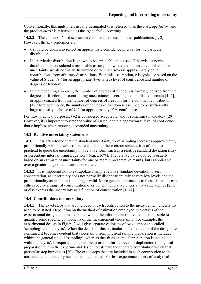Conventionally, this multiplier, usually designated *k*, is referred to as the *coverage factor*, and the product *ku=U* is referred to as the *expanded uncertainty*.

**14.2.2** The choice of *k* is discussed in considerable detail in other publications [1, 2]. However, the key principles are:

- *k* should be chosen to reflect an approximate confidence interval for the particular distribution.
- If a particular distribution is known to be applicable, it is used. Otherwise, a normal distribution is considered a reasonable assumption where the dominant contributions to uncertainty are all normally distributed or there are several approximately equal contributions from arbitrary distributions. With this assumption, *k* is typically based on the value of Student's *t* for an appropriate (two-tailed) level of confidence and number of degrees of freedom.
- In the modelling approach, the number of degrees of freedom is formally derived from the degrees of freedom for contributing uncertainties according to a published formula [1, 2], or approximated from the number of degrees of freedom for the dominant contribution [1]. More commonly, the number of degrees of freedom is assumed to be sufficiently large to justify a choice of  $k=2$  for approximately 95% confidence.

For most practical purposes,  $k=2$  is considered acceptable, and is sometimes mandatory [29]. However, it is important to state the value of *k* used, and the approximate level of confidence that *k* implies, when reporting expanded uncertainty.

## **14.3 Relative uncertainty statements**

**14.3.1** It is often found that the standard uncertainty from sampling increases approximately proportionally with the value of the result. Under these circumstances, it is often most practical to quote the uncertainty in a relative form, such as a relative standard deviation  $(u/x)$ or percentage interval using Equation 4 (e.g.  $\pm 10\%$ ). The relative value quoted is usually based on an estimate of uncertainty for one or more representative results, but is applicable over a greater range of concentration values.

**14.3.2** It is important not to extrapolate a simple relative standard deviation to zero concentration, as uncertainty does not normally disappear entirely at very low levels and the proportionality assumption is no longer valid. More general approaches to these situations can either specify a range of concentration over which the relative uncertainty value applies [25], or else express the uncertainty as a function of concentration [1, 42].

# **14.4 Contributions to uncertainty**

**14.4.1** The exact steps that are included in each contribution to the measurement uncertainty need to be stated. Depending on the method of estimation employed, the details of the experimental design, and the person to whom the information is intended, it is possible to quantify some specific components of the measurement uncertainty. For example, the experimental design in Figure 2 will give separate estimates of two components called 'sampling' and 'analysis'. When the details of this particular implementation of the design are examined it becomes evident that uncertainty from physical sample preparation is included within the general title of 'sampling', whereas that from chemical preparation is included within 'analysis'. If required, it is possible to insert a further level of duplication of physical preparation within the experimental design to estimate the separate contribution which that particular step introduces [30]. The exact steps that are included in each contribution to the measurement uncertainty need to be documented. For less experienced users of analytical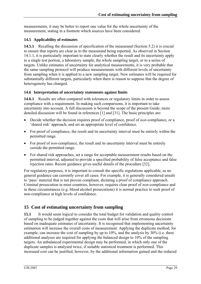measurements, it may be better to report one value for the whole uncertainty of the measurement, stating in a footnote which sources have been considered.

### **14.5 Applicability of estimates**

**14.5.1** Recalling the discussion of specification of the measurand (Section 5.2) it is crucial to ensure that reports are clear as to the measurand being reported. As observed in Section 14.1.1, it is particularly important to state clearly whether the result and its uncertainty apply to a single test portion, a laboratory sample, the whole sampling target, or to a series of targets. Unlike estimates of uncertainty for analytical measurements, it is very probable that the same sampling protocol will produce measurements with different levels of uncertainty from sampling when it is applied to a new sampling target. New estimates will be required for substantially different targets, particularly when there is reason to suppose that the degree of heterogeneity has changed.

### **14.6 Interpretation of uncertainty statements against limits**

14.6.1 Results are often compared with tolerances or regulatory limits in order to assess compliance with a requirement. In making such comparisons, it is important to take uncertainty into account. A full discussion is beyond the scope of the present Guide; more detailed discussion will be found in references [1] and [31]. The basic principles are:

- Decide whether the decision requires proof of compliance, proof of *non*-compliance, or a 'shared risk' approach, and set an appropriate level of confidence.
- For proof of compliance, the result and its uncertainty interval must be entirely within the permitted range.
- For proof of *non*-compliance, the result and its uncertainty interval must be entirely *out*side the permitted range.
- For shared risk approaches, set a range for acceptable measurement results based on the permitted interval, adjusted to provide a specified probability of false acceptance and false rejection rates. Recent guidance gives useful details of the procedure [32].

For regulatory purposes, it is important to consult the specific regulations applicable, as no general guidance can currently cover all cases. For example, it is generally considered unsafe to 'pass' material that is not proven compliant, dictating a proof of compliance approach. Criminal prosecution in most countries, however, requires clear proof of *non*-compliance and in these circumstances (e.g. blood alcohol prosecutions) it is normal practice to seek proof of non-compliance at high levels of confidence.

# **15 Cost of estimating uncertainty from sampling**

**15.1** It would seem logical to consider the total budget for validation and quality control of sampling to be judged together against the costs that will arise from erroneous decisions based on inadequate estimates of uncertainty. It is recognised that implementing uncertainty estimation will increase the overall costs of measurement. Applying the duplicate method, for example, can increase the cost of sampling by up to 10%, and the analysis by 30% (i.e. three additional analyses are required for applying the balanced design to 10% of the sampling targets. An unbalanced experimental design may be performed, in which only one of the duplicate samples is analysed twice, if suitable statistical treatment is performed. This increased cost can be justified, however, by the additional information gained and the reduced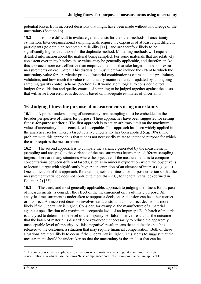potential losses from incorrect decisions that might have been made without knowledge of the uncertainty (Section 16).

**15.2** It is more difficult to evaluate general costs for the other methods of uncertainty estimation. Inter-organisational sampling trials require the expenses of at least eight different participants (to obtain an acceptable reliability [11]), and are therefore likely to be significantly higher than those for the duplicate method. Modelling methods will require detailed information about the material being sampled. For some materials that are relatively consistent over many batches these values may be generally applicable, and therefore make this approach more cost-effective than empirical methods that take larger numbers of extra measurements on each batch. This discussion must therefore include the extent to which the uncertainty value for a particular protocol/material combination is estimated at a preliminary validation, and how much the value is continually monitored and/or updated by an ongoing sampling quality control scheme (Section 1). It would seem logical to consider the total budget for validation and quality control of sampling to be judged together against the costs that will arise from erroneous decisions based on inadequate estimates of uncertainty.

# **16 Judging fitness for purpose of measurements using uncertainty**

**16.1** A proper understanding of uncertainty from sampling must be embedded in the broader perspective of fitness for purpose. Three approaches have been suggested for setting fitness-for-purpose criteria. The first approach is to set an arbitrary limit on the maximum value of uncertainty that is considered acceptable. This approach has been widely applied in the analytical sector, where a target relative uncertainty has been applied (e.g. 10%). The problem with this approach is that it does not necessarily relate to intended purpose for which the user requires the measurement.

**16.2** The second approach is to compare the variance generated by the measurement (sampling and analysis) to the variance of the measurements between the different sampling targets. There are many situations where the objective of the measurements is to compare concentrations between different targets, such as in mineral exploration where the objective is to locate a target with significantly higher concentration of an element of interest (e.g. gold). One application of this approach, for example, sets the fitness-for-purpose criterion so that the measurement variance does not contribute more than 20% to the total variance (defined in Equation 2) [33].

**16.3** The third, and most generally applicable, approach to judging the fitness for purpose of measurements, is consider the effect of the measurement on its ultimate purpose. All analytical measurement is undertaken to support a decision. A decision can be either correct or incorrect. An incorrect decision involves extra costs, and an incorrect decision is more likely if the uncertainty is higher. Consider, for example, the manufacture of a material against a specification of a maximum acceptable level of an impurity.<sup>8</sup> Each batch of material is analysed to determine the level of the impurity. A 'false positive' result has the outcome that the batch of material is discarded or reworked unnecessarily to reduce the apparently unacceptable level of impurity. A 'false negative' result means that a defective batch is released to the customer, a situation that may require financial compensation. Both of these situations are more likely to occur if the uncertainty is higher. This seems to suggest that the measurement should be undertaken so that the uncertainty is the smallest that can be

 $\overline{a}$ 

<sup>&</sup>lt;sup>g</sup> This concept is equally applicable to situations where materials have regulated minimum analyte concentrations, in which case the terms 'false compliance' and 'false non-compliance' are applicable.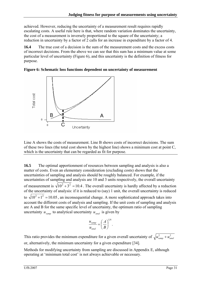achieved. However, reducing the uncertainty of a measurement result requires rapidly escalating costs. A useful rule here is that, where random variation dominates the uncertainty, the cost of a measurement is inversely proportional to the square of the uncertainty; a reduction in uncertainty by a factor of 2 calls for an increase in expenditure by a factor of 4.

**16.4** The true cost of a decision is the sum of the measurement costs and the excess costs of incorrect decisions. From the above we can see that this sum has a minimum value at some particular level of uncertainty (Figure 6), and this uncertainty is the definition of fitness for purpose.

**Figure 6: Schematic loss functions dependent on uncertainty of measurement** 



Line A shows the costs of measurement. Line B shows costs of incorrect decisions. The sum of these two lines (the total cost shown by the highest line) shows a minimum cost at point C, which is the uncertainty that can be regarded as fit for purpose.

**16.5** The optimal apportionment of resources between sampling and analysis is also a matter of costs. Even an elementary consideration (excluding costs) shows that the uncertainties of sampling and analysis should be roughly balanced. For example, if the uncertainties of sampling and analysis are 10 and 3 units respectively, the overall uncertainty of measurement is  $\sqrt{10^2 + 3^2} = 10.4$ . The overall uncertainty is hardly affected by a reduction of the uncertainty of analysis: if it is reduced to (say) 1 unit, the overall uncertainty is reduced to  $\sqrt{10^2 + 1^2} = 10.05$ , an inconsequential change. A more sophisticated approach takes into account the different costs of analysis and sampling. If the unit costs of sampling and analysis are A and B for the same specific level of uncertainty, the optimum ratio of sampling uncertainty  $u_{\text{sum}}$  to analytical uncertainty  $u_{\text{rand}}$  is given by

$$
\frac{u_{\text{ samp}}}{u_{\text{anal}}} = \left(\frac{A}{B}\right)^{1/4}.
$$

This ratio provides the minimum expenditure for a given overall uncertainty of  $\sqrt{u_{\textit{sample}}^2 + u_{\textit{anal}}^2}$ or, alternatively, the minimum uncertainty for a given expenditure [34].

Methods for modifying uncertainty from sampling are discussed in Appendix E, although operating at 'minimum total cost' is not always achievable or necessary.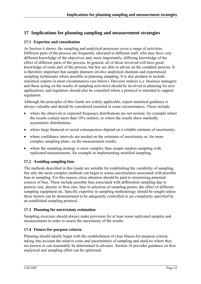### **17 Implications for planning sampling and measurement strategies**

#### **17.1 Expertise and consultation**

As Section 4 shows, the sampling and analytical processes cover a range of activities. Different parts of the process are frequently allocated to different staff, who may have very different knowledge of the objectives and, more importantly, differing knowledge of the effect of different parts of the process. In general, all of those involved will have good knowledge of some part of the process, but few are able to advise on the complete process. It is therefore important that sample planners involve analytical chemists and experienced sampling technicians where possible in planning sampling. It is also prudent to include statistical experts in most circumstances (see below). Decision makers (i.e. business managers and those acting on the results of sampling activities) should be involved in planning for new applications, and regulators should also be consulted where a protocol is intended to support regulation.

Although the principles of this Guide are widely applicable, expert statistical guidance is always valuable and should be considered essential in some circumstances. These include:

- where the observed or expected frequency distributions are not normal, for example where the results contain more than 10% outliers, or where the results show markedly asymmetric distributions;
- where large financial or social consequences depend on a reliable estimate of uncertainty;
- where confidence intervals are needed on the estimates of uncertainty or, for more complex sampling plans, on the measurement results;
- where the sampling strategy is more complex than simple random sampling with replicated measurements, for example in implementing stratified sampling.

#### **17.2 Avoiding sampling bias**

The methods described in this Guide are suitable for establishing the variability of sampling, but only the more complex methods can begin to assess uncertainties associated with possible bias in sampling. For this reason, close attention should be paid to minimising potential sources of bias. These include possible bias associated with differential sampling due to particle size, density or flow-rate; bias in selection of sampling points; the effect of different sampling equipment etc. Specific expertise in sampling methodology should be sought unless these factors can be demonstrated to be adequately controlled or are completely specified by an established sampling protocol.

#### **17.3 Planning for uncertainty estimation**

Sampling exercises should always make provision for at least some replicated samples and measurements in order to assess the uncertainty of the results.

#### **17.4 Fitness-for-purpose criteria**

Planning should ideally begin with the establishment of clear fitness-for-purpose criteria, taking into account the relative costs and uncertainties of sampling and analysis where they are known or can reasonably be determined in advance. Section 16 provides guidance on how analytical and sampling effort can be optimised.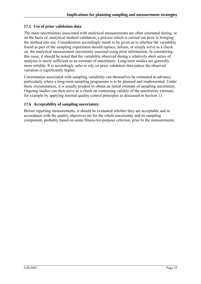### **17.5 Use of prior validation data**

The main uncertainties associated with analytical measurements are often estimated during, or on the basis of, analytical method validation, a process which is carried out prior to bringing the method into use. Consideration accordingly needs to be given as to whether the variability found as part of the sampling experiment should replace, inform, or simply serve as a check on, the analytical measurement uncertainty assessed using prior information. In considering this issue, it should be noted that the variability observed during a relatively short series of analyses is rarely sufficient as an estimate of uncertainty. Long-term studies are generally more reliable. It is accordingly safer to rely on prior validation data unless the observed variation is significantly higher.

Uncertainties associated with sampling variability can themselves be estimated in advance, particularly where a long-term sampling programme is to be planned and implemented. Under these circumstances, it is usually prudent to obtain an initial estimate of sampling uncertainty. Ongoing studies can then serve as a check on continuing validity of the uncertainty estimate, for example by applying internal quality control principles as discussed in Section 13.

### **17.6 Acceptability of sampling uncertainty**

Before reporting measurements, it should be evaluated whether they are acceptable and in accordance with the quality objectives set for the whole uncertainty and its sampling component, probably based on some fitness-for-purpose criterion, prior to the measurements.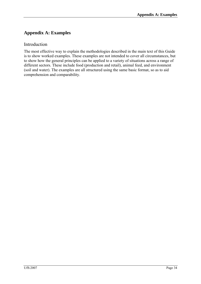# **Appendix A: Examples**

## Introduction

The most effective way to explain the methodologies described in the main text of this Guide is to show worked examples. These examples are not intended to cover all circumstances, but to show how the general principles can be applied to a variety of situations across a range of different sectors. These include food (production and retail), animal feed, and environment (soil and water). The examples are all structured using the same basic format, so as to aid comprehension and comparability.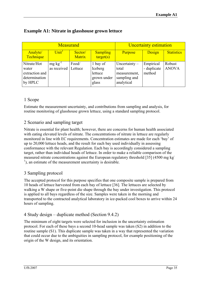| Measurand                                                          |                                        |                          |                                                        | Uncertainty estimation                                                 |                                    |                        |
|--------------------------------------------------------------------|----------------------------------------|--------------------------|--------------------------------------------------------|------------------------------------------------------------------------|------------------------------------|------------------------|
| Analyte/<br>Technique                                              | Unit <sup>1</sup>                      | Sector/<br><b>Matrix</b> | <b>Sampling</b><br>target(s)                           | Purpose                                                                | Design                             | <b>Statistics</b>      |
| Nitrate/Hot<br>water<br>extraction and<br>determination<br>by HPLC | $mg \, kg^{-1}$<br>as received Lettuce | Food/                    | 1 bay of<br>Iceberg<br>lettuce<br>grown under<br>glass | Uncertainty $-$<br>total<br>measurement,<br>sampling and<br>analytical | Empirical<br>- duplicate<br>method | Robust<br><b>ANOVA</b> |

# **Example A1: Nitrate in glasshouse grown lettuce**

# 1 Scope

Estimate the measurement uncertainty, and contributions from sampling and analysis, for routine monitoring of glasshouse grown lettuce, using a standard sampling protocol.

# 2 Scenario and sampling target

Nitrate is essential for plant health; however, there are concerns for human health associated with eating elevated levels of nitrate. The concentrations of nitrate in lettuce are regularly monitored in line with EC requirements. Concentration estimates are made for each 'bay' of up to 20,000 lettuce heads, and the result for each bay used individually in assessing conformance with the relevant Regulation. Each bay is accordingly considered a sampling target, rather than individual heads of lettuce. In order to make a reliable comparison of the measured nitrate concentrations against the European regulatory threshold [35] (4500 mg kg-<sup>1</sup>), an estimate of the measurement uncertainty is desirable.

# 3 Sampling protocol

The accepted protocol for this purpose specifies that one composite sample is prepared from 10 heads of lettuce harvested from each bay of lettuce [36]. The lettuces are selected by walking a W shape or five-point die shape through the bay under investigation. This protocol is applied to all bays regardless of the size. Samples were taken in the morning and transported to the contracted analytical laboratory in ice-packed cool boxes to arrive within 24 hours of sampling.

# 4 Study design – duplicate method (Section 9.4.2)

The minimum of eight targets were selected for inclusion in the uncertainty estimation protocol. For each of these bays a second 10-head sample was taken (S2) in addition to the routine sample (S1). This duplicate sample was taken in a way that represented the variation that could occur due to the ambiguities in sampling protocol, for example positioning of the origin of the W design, and its orientation.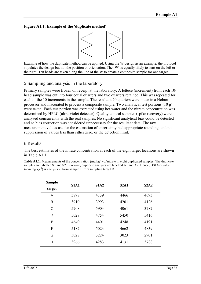#### **Figure A1.1: Example of the 'duplicate method'**



Example of how the duplicate method can be applied. Using the W design as an example, the protocol stipulates the design but not the position or orientation. The 'W' is equally likely to start on the left or the right. Ten heads are taken along the line of the W to create a composite sample for one target.

### 5 Sampling and analysis in the laboratory

Primary samples were frozen on receipt at the laboratory. A lettuce (increment) from each 10 head sample was cut into four equal quarters and two quarters retained. This was repeated for each of the 10 increments in the sample. The resultant 20 quarters were place in a Hobart processor and macerated to process a composite sample. Two analytical test portions (10 g) were taken. Each test portion was extracted using hot water and the nitrate concentration was determined by HPLC (ultra-violet detector). Quality control samples (spike recovery) were analysed concurrently with the real samples. No significant analytical bias could be detected and so bias correction was considered unnecessary for the resultant data. The raw measurement values use for the estimation of uncertainty had appropriate rounding, and no suppression of values less than either zero, or the detection limit.

### 6 Results

The best estimates of the nitrate concentration at each of the eight target locations are shown in Table A1.1.

**Table A1.1:** Measurements of the concentration (mg kg<sup>-1</sup>) of nitrate in eight duplicated samples. The duplicate samples are labelled S1 and S2. Likewise, duplicate analyses are labelled A1 and A2. Hence, DS1A2 (value  $4754$  mg kg<sup>-1</sup>) is analysis 2, from sample 1 from sampling target D

| <b>Sample</b> | <b>S1A1</b> | <b>S1A2</b> | S2A1 | S2A2 |
|---------------|-------------|-------------|------|------|
| target        |             |             |      |      |
| A             | 3898        | 4139        | 4466 | 4693 |
| B             | 3910        | 3993        | 4201 | 4126 |
| $\mathcal{C}$ | 5708        | 5903        | 4061 | 3782 |
| D             | 5028        | 4754        | 5450 | 5416 |
| E             | 4640        | 4401        | 4248 | 4191 |
| F             | 5182        | 5023        | 4662 | 4839 |
| G             | 3028        | 3224        | 3023 | 2901 |
| H             | 3966        | 4283        | 4131 | 3788 |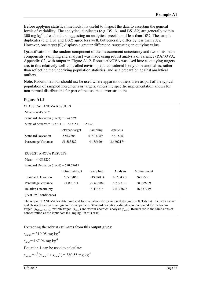Before applying statistical methods it is useful to inspect the data to ascertain the general levels of variability. The analytical duplicates (e.g. BS1A1 and BS1A2) are generally within  $300 \text{ mg kg}^{-1}$  of each other, suggesting an analytical precision of less than 10%. The sample duplicates (e.g. DS1 and DS2) agree less well, but generally differ by less than 20%. However, one target (C) displays a greater difference, suggesting an outlying value.

Quantification of the random component of the measurement uncertainty and two of its main components (sampling and analysis) was made using robust analysis of variance (RANOVA, Appendix C3, with output in Figure.A1.2. Robust ANOVA was used here as outlying targets are, in this relatively well-controlled environment, considered likely to be anomalies, rather than reflecting the underlying population statistics, and as a precaution against analytical outliers.

Note: Robust methods should *not* be used where apparent outliers arise as part of the typical population of sampled increments or targets, unless the specific implementation allows for non-normal distributions for part of the assumed error structure.

|                                          | <b>CLASSICAL ANOVA RESULTS</b> |           |           |             |  |  |  |
|------------------------------------------|--------------------------------|-----------|-----------|-------------|--|--|--|
| Mean = $4345.5625$                       |                                |           |           |             |  |  |  |
| Standard Deviation (Total) = $774.5296$  |                                |           |           |             |  |  |  |
| Sums of Squares $= 12577113$             | 4471511                        | 351320    |           |             |  |  |  |
|                                          | Between-target                 | Sampling  | Analysis  |             |  |  |  |
| <b>Standard Deviation</b>                | 556.2804                       | 518.16089 | 148.18063 |             |  |  |  |
| Percentage Variance                      | 51.583582                      | 44.756204 | 3.6602174 |             |  |  |  |
|                                          |                                |           |           |             |  |  |  |
| <b>ROBUST ANOVA RESULTS:</b>             |                                |           |           |             |  |  |  |
| Mean = $4408.3237$                       |                                |           |           |             |  |  |  |
| Standard Deviation (Total) = $670.57617$ |                                |           |           |             |  |  |  |
|                                          | Between-target                 | Sampling  | Analysis  | Measurement |  |  |  |
| <b>Standard Deviation</b>                | 565.39868                      | 319.04834 | 167.94308 | 360.5506    |  |  |  |
| Percentage Variance                      | 71.090791                      | 22.636889 | 6.2723172 | 28.909209   |  |  |  |
| <b>Relative Uncertainty</b>              |                                | 14.474814 | 7.6193626 | 16.357719   |  |  |  |
| $(\%$ at 95% confidence)                 |                                |           |           |             |  |  |  |

#### **Figure A1.2**

The output of ANOVA for data produced form a balanced experimental design (*n* = 8, Table A1.1). Both robust and classical estimates are given for comparison. Standard deviation estimates are computed for 'betweentarget' (*sbetween-target*), 'within-target' (*ssamp*) and within-chemical analysis (*sanal*). Results are in the same units of concentration as the input data (i.e. mg  $kg^{-1}$  in this case).

Extracting the robust estimates from this output gives:

 $s_{\text{r}} = 319.05 \text{ mg kg}^{-1}$ *sanal*= 167.94 mg kg-1

Equation 1 can be used to calculate:

 $s_{meas} = \sqrt{(s_{samp}^2 + s_{anal}^2)} = 360.55$  mg kg<sup>-1</sup>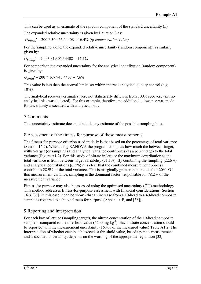This can be used as an estimate of the random component of the standard uncertainty (*u*).

The expanded relative uncertainty is given by Equation 3 as:

*Umeas*' = 200 \* 360.55 / 4408 = 16.4% (*of concentration value)* 

For the sampling alone, the expanded relative uncertainty (random component) is similarly given by:

 $U_{\text{Samp}}$ <sup>'</sup> = 200 \* 319.05 / 4408 = 14.5%

For comparison the expanded uncertainty for the analytical contribution (random component) is given by:

 $U_{anal}$ ' = 200 \* 167.94 / 4408 = 7.6%

This value is less than the normal limits set within internal analytical quality control (e.g.  $10\%$ ).

The analytical recovery estimates were not statistically different from 100% recovery (i.e. no analytical bias was detected). For this example, therefore, no additional allowance was made for uncertainty associated with analytical bias.

### 7 Comments

This uncertainty estimate does not include any estimate of the possible sampling bias.

#### 8 Assessment of the fitness for purpose of these measurements

The fitness-for-purpose criterion used initially is that based on the percentage of total variance (Section 16.2). When using RANOVA the program computes how much the between-target, within-target (or sampling) and analytical variance contributes (as a percentage) to the total variance (Figure A1.2). For this study of nitrate in lettuce the maximum contribution to the total variance is from between-target variability (71.1%). By combining the sampling (22.6%) and analytical contributions (6.3%) it is clear that the combined measurement process contributes 28.9% of the total variance. This is marginally greater than the ideal of 20%. Of this measurement variance, sampling is the dominant factor, responsible for 78.2% of the measurement variance.

Fitness for purpose may also be assessed using the optimised uncertainty (OU) methodology. This method addresses fitness-for-purpose assessment with financial considerations (Section 16.3)[37]. In this case it can be shown that an increase from a 10-head to a 40-head composite sample is required to achieve fitness for purpose (Appendix E, and [38]).

### 9 Reporting and interpretation

For each bay of lettuce (sampling target), the nitrate concentration of the 10-head composite sample is compared to the threshold value  $(4500 \text{ mg kg}^{-1})$ . Each nitrate concentration should be reported with the measurement uncertainty (16.4% of the measured value) Table A1.2. The interpretation of whether each batch exceeds a threshold value, based upon its measurement and associated uncertainty, depends on the wording of the appropriate regulation [32]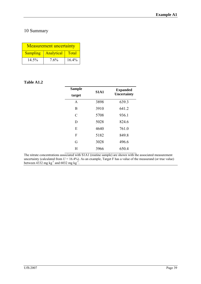# 10 Summary

| <b>Measurement uncertainty</b>         |      |       |  |  |  |  |
|----------------------------------------|------|-------|--|--|--|--|
| <b>Sampling</b><br>Analytical<br>Total |      |       |  |  |  |  |
| 14.5%                                  | 7.6% | 16.4% |  |  |  |  |

### **Table A1.2**

| <b>Sample</b><br>target | <b>S1A1</b> | <b>Expanded</b><br>Uncertainty |
|-------------------------|-------------|--------------------------------|
| $\mathsf{A}$            | 3898        | 639.3                          |
| B                       | 3910        | 641.2                          |
| $\mathcal{C}$           | 5708        | 936.1                          |
| D                       | 5028        | 824.6                          |
| E                       | 4640        | 761.0                          |
| F                       | 5182        | 849.8                          |
| G                       | 3028        | 496.6                          |
| H                       | 3966        | 650.4                          |
|                         |             |                                |

The nitrate concentrations associated with S1A1 (routine sample) are shown with the associated measurement uncertainty (calculated from  $U = 16.4\%$ ). As an example, Target F has a value of the measurand (or true value) between 4332 mg kg<sup>-1</sup> and 6032 mg kg<sup>-1</sup>.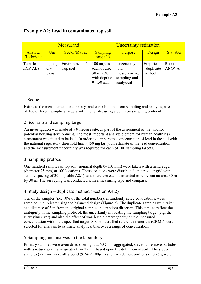| Measurand                    |                                 |                            |                                                 | Uncertainty estimation                                                                                                            |                                    |                        |
|------------------------------|---------------------------------|----------------------------|-------------------------------------------------|-----------------------------------------------------------------------------------------------------------------------------------|------------------------------------|------------------------|
| Analyte/<br>Technique        | <b>Unit</b>                     | Sector/Matrix              | <b>Sampling</b><br>target(s)                    | Purpose                                                                                                                           | Design                             | <b>Statistics</b>      |
| Total lead<br><b>ICP-AES</b> | $mg \, kg^{-1}$<br>dry<br>basis | Environmental/<br>Top soil | 100 targets $-$<br>each of area<br>$0 - 150$ mm | $Uncertainty -$<br>total<br>$30 \text{ m} \times 30 \text{ m}$ , measurement,<br>with depth of $\vert$ sampling and<br>analytical | Empirical<br>- duplicate<br>method | Robust<br><b>ANOVA</b> |

# **Example A2: Lead in contaminated top soil**

# 1 Scope

Estimate the measurement uncertainty, and contributions from sampling and analysis, at each of 100 different sampling targets within one site, using a common sampling protocol.

# 2 Scenario and sampling target

An investigation was made of a 9-hectare site, as part of the assessment of the land for potential housing development. The most important analyte element for human health risk assessment was found to be lead. In order to compare the concentration of lead in the soil with the national regulatory threshold limit  $(450 \text{ mg kg}^{-1})$ , an estimate of the lead concentration and the measurement uncertainty was required for each of 100 sampling targets.

# 3 Sampling protocol

One hundred samples of top soil (nominal depth 0–150 mm) were taken with a hand auger (diameter 25 mm) at 100 locations. These locations were distributed on a regular grid with sample spacing of 30 m (Table A2.1), and therefore each is intended to represent an area 30 m by 30 m. The surveying was conducted with a measuring tape and compass.

# 4 Study design – duplicate method (Section 9.4.2)

Ten of the samples (i.e. 10% of the total number), at randomly selected locations, were sampled in duplicate using the balanced design (Figure 2). The duplicate samples were taken at a distance of 3 m from the original sample, in a random direction. This aims to reflect the ambiguity in the sampling protocol, the uncertainty in locating the sampling target (e.g. the surveying error) and also the effect of small-scale heterogeneity on the measured concentration within the specified target. Six soil certified reference materials (CRMs) were selected for analysis to estimate analytical bias over a range of concentration.

# 5 Sampling and analysis in the laboratory

Primary samples were oven dried overnight at 60 C, disaggregated, sieved to remove particles with a natural grain size greater than 2 mm (based upon the definition of soil). The sieved samples ( $\leq$ 2 mm) were all ground ( $95\% \leq 100 \mu$ m) and mixed. Test portions of 0.25 g were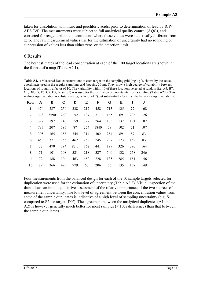taken for dissolution with nitric and perchloric acids, prior to determination of lead by ICP-AES [39]. The measurements were subject to full analytical quality control (AQC), and corrected for reagent blank concentrations where these values were statistically different from zero. The raw measurement values use for the estimation of uncertainty had no rounding or suppression of values less than either zero, or the detection limit.

### 6 Results

The best estimates of the lead concentration at each of the 100 target locations are shown in the format of a map (Table A2.1).

**Table A2.1:** Measured lead concentrations at each target on the sampling grid (mg kg<sup>-1</sup>), shown by the actual coordinates used in the regular sampling grid (spacing 30 m). They show a high degree of variability betweenlocations of roughly a factor of 10. The variability within 10 of these locations selected at random (i.e. A4, B7, C1, D9, E8, F7, G7, H5, I9 and J5) was used for the estimation of uncertainty from sampling (Table A2.2). This within-target variation is substantial (e.g. a factor of 2) but substantially less than the between-target variability.

| Row              | A   | B    | $\mathbf C$ | D    | E   | F    | G   | H   | I   | $\mathbf J$ |
|------------------|-----|------|-------------|------|-----|------|-----|-----|-----|-------------|
| 1                | 474 | 287  | 250         | 338  | 212 | 458  | 713 | 125 | 77  | 168         |
| $\boldsymbol{2}$ | 378 | 3590 | 260         | 152  | 197 | 711  | 165 | 69  | 206 | 126         |
| 3                | 327 | 197  | 240         | 159  | 327 | 264  | 105 | 137 | 131 | 102         |
| 4                | 787 | 207  | 197         | 87   | 254 | 1840 | 78  | 102 | 71  | 107         |
| 5                | 395 | 165  | 188         | 344  | 314 | 302  | 284 | 89  | 87  | 83          |
| 6                | 453 | 371  | 155         | 462  | 258 | 245  | 237 | 173 | 152 | 83          |
| 7                | 72  | 470  | 194         | 82.5 | 162 | 441  | 199 | 326 | 290 | 164         |
| 8                | 71  | 101  | 108         | 521  | 218 | 327  | 540 | 132 | 258 | 246         |
| 9                | 72  | 188  | 104         | 463  | 482 | 228  | 135 | 285 | 181 | 146         |
| 10               | 89  | 366  | 495         | 779  | 60  | 206  | 56  | 135 | 137 | 149         |

Four measurements from the balanced design for each of the 10 sample targets selected for duplication were used for the estimation of uncertainty (Table A2.2). Visual inspection of the data allows an initial qualitative assessment of the relative importance of the two sources of measurement uncertainty. The low level of agreement between the concentration values from some of the sample duplicates is indicative of a high level of sampling uncertainty (e.g. S1 compared to S2 for target 'D9'). The agreement between the analytical duplicates (A1 and A2) is however generally much better for most samples (< 10% difference) than that between the sample duplicates.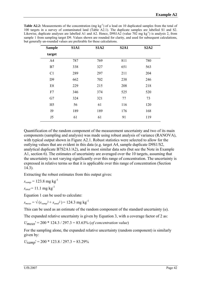**Table A2.2:** Measurements of the concentration (mg kg<sup>-1</sup>) of a lead on 10 duplicated samples from the total of 100 targets in a survey of contaminated land (Table A2.1). The duplicate samples are labelled S1 and S2. Likewise, duplicate analyses are labelled A1 and A2. Hence, D9S1A2 (value 702 mg kg<sup>-1</sup>) is analysis 2, from sample 1 from sampling target D9. Values shown are rounded for clarity, and used for subsequent calculations, but generally un-rounded values are preferable for these calculations.

| <b>Sample</b>  | <b>S1A1</b> | <b>S1A2</b> | <b>S2A1</b> | <b>S2A2</b> |
|----------------|-------------|-------------|-------------|-------------|
| target         |             |             |             |             |
| A4             | 787         | 769         | 811         | 780         |
| B7             | 338         | 327         | 651         | 563         |
| C1             | 289         | 297         | 211         | 204         |
| D <sub>9</sub> | 662         | 702         | 238         | 246         |
| E <sub>8</sub> | 229         | 215         | 208         | 218         |
| F7             | 346         | 374         | 525         | 520         |
| G7             | 324         | 321         | 77          | 73          |
| H <sub>5</sub> | 56          | 61          | 116         | 120         |
| I9             | 189         | 189         | 176         | 168         |
| J5             | 61          | 61          | 91          | 119         |

Quantification of the random component of the measurement uncertainty and two of its main components (sampling and analysis) was made using robust analysis of variance (RANOVA), with typical output shown in Figure A2.1. Robust statistics were selected to allow for the outlying values that are evident in this data (e.g. target A4, sample duplicate D9S1/S2, analytical duplicate B7S2A1/A2), and in most similar data sets (but see the Note in Example A1, section 6). The estimates of uncertainty are averaged over the 10 targets, assuming that the uncertainty is not varying significantly over this range of concentration. The uncertainty is expressed in relative terms so that it is applicable over this range of concentration (Section 14.3).

Extracting the robust estimates from this output gives:

 $s_{samm} = 123.8$  mg kg<sup>-1</sup>

 $s_{anal} = 11.1$  mg kg<sup>-1</sup>

Equation 1 can be used to calculate:

 $s_{meas} = \sqrt{(s_{\text{samp}}^2 + s_{\text{anal}}^2)} = 124.3 \text{ mg kg}^{-1}$ 

This can be used as an estimate of the random component of the standard uncertainty (*u*).

The expanded relative uncertainty is given by Equation 3, with a coverage factor of 2 as:

*Umeas*' = 200 \* 124.3 / 297.3 = 83.63% (*of concentration value*)

For the sampling alone, the expanded relative uncertainty (random component) is similarly given by:

 $U_{samm}$ ' = 200 \* 123.8 / 297.3 = 83.29%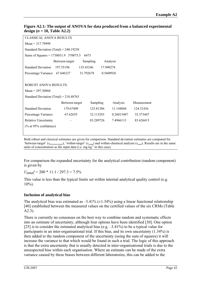| <b>CLASSICAL ANOVA RESULTS</b>           |                |           |           |            |             |  |
|------------------------------------------|----------------|-----------|-----------|------------|-------------|--|
|                                          |                |           |           |            |             |  |
| Mean = $317.79999$                       |                |           |           |            |             |  |
| Standard Deviation (Total) = $240.19238$ |                |           |           |            |             |  |
| Sums of Squares = $1738031.9$ 370075.5   |                | 6473      |           |            |             |  |
|                                          | Between-target | Sampling  | Analysis  |            |             |  |
| <b>Standard Deviation</b>                | 197.55196      | 135.43246 | 17.990274 |            |             |  |
| Percentage Variance                      | 67.646327      | 31.792678 | 0.5609926 |            |             |  |
|                                          |                |           |           |            |             |  |
| <b>ROBUST ANOVA RESULTS:</b>             |                |           |           |            |             |  |
| Mean = $297.30884$                       |                |           |           |            |             |  |
| Standard Deviation (Total) = $218.48763$ |                |           |           |            |             |  |
|                                          | Between-target | Sampling  |           | Analysis   | Measurement |  |
| <b>Standard Deviation</b>                | 179.67409      | 123.81386 |           | 11.144044  | 124.31436   |  |
| Percentage Variance                      | 67.62655       | 32.113293 |           | 0.26015487 | 32.373447   |  |
| <b>Relative Uncertainty</b>              |                | 83.289726 |           | 7.4966113  | 83.626415   |  |
| $(\%$ at 95% confidence)                 |                |           |           |            |             |  |
|                                          |                |           |           |            |             |  |

#### **Figure A2.1: The output of ANOVA for data produced from a balanced experimental**  design  $(n = 10, \text{Table A2.2})$

Both robust and classical estimates are given for comparison. Standard deviation estimates are computed for 'between-target' (*sbetween-target*), 'within-target' (*ssamp*) and within-chemical analysis (*sanal*). Results are in the same units of concentration as the input data (i.e. mg  $kg<sup>-1</sup>$  in this case).

For comparison the expanded uncertainty for the analytical contribution (random component) is given by

 $U_{anal}$ <sup>'</sup> = 200 \* 11.1 / 297.3 = 7.5%

This value is less than the typical limits set within internal analytical quality control (e.g.  $10\%$ ).

#### **Inclusion of analytical bias**

The analytical bias was estimated as  $-3.41\%$  ( $\pm 1.34\%$ ) using a linear functional relationship [40] established between the measured values on the certified values of the six CRMs (Table A2.3).

There is currently no consensus on the best way to combine random and systematic effects into an estimate of uncertainty, although four options have been identified [30]. One option [25] is to consider the estimated analytical bias (e.g.  $-3.41\%$ ) to be a typical value for participants in an inter-organisational trial. If this bias, and its own uncertainty (1.34%) is then added to the random component of the uncertainty (using the sum of squares) it will increase the variance to that which would be found in such a trial. The logic of this approach is that the extra uncertainty that is usually detected in inter-organisational trials is due to the unsuspected bias within each organisation. Where an estimate can be made of the extra variance caused by these biases between different laboratories, this can be added to the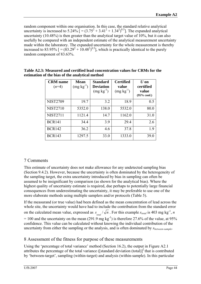random component within one organisation. In this case, the standard relative analytical uncertainty is increased to  $5.24\%$  [ $=(3.75^2 + 3.41^2 + 1.34^2)^{0.5}$ ]. The expanded analytical uncertainty (10.48%) is then greater than the analytical target value of 10%, but it can also usefully be compared with an independent estimate of the analytical measurement uncertainty made within the laboratory. The expanded uncertainty for the whole measurement is thereby increased to 83.95%  $[=(83.29^2+10.48^2)^{0.5}]$ , which is practically identical to the purely random component of 83.63%.

| <b>CRM</b> name<br>$(n=4)$ | <b>Mean</b><br>$(mg kg^{-1})$ | <b>Standard</b><br><b>Deviation</b><br>$(mg kg^{-1})$ | <b>Certified</b><br>value<br>$(mg kg^{-1})$ | $U$ on<br>certified<br>value<br>$(95%$ conf.) |
|----------------------------|-------------------------------|-------------------------------------------------------|---------------------------------------------|-----------------------------------------------|
| <b>NIST2709</b>            | 19.7                          | 3.2                                                   | 18.9                                        | 0.5                                           |
| <b>NIST2710</b>            | 5352.0                        | 138.0                                                 | 5532.0                                      | 80.0                                          |
| <b>NIST2711</b>            | 1121.4                        | 14.7                                                  | 1162.0                                      | 31.0                                          |
| <b>BCR141</b>              | 34.4                          | 3.9                                                   | 29.4                                        | 2.6                                           |
| <b>BCR142</b>              | 36.2                          | 4.6                                                   | 37.8                                        | 1.9                                           |
| <b>BCR143</b>              | 1297.5                        | 33.0                                                  | 1333.0                                      | 39.0                                          |

**Table A2.3: Measured and certified lead concentration values for CRMs for the estimation of the bias of the analytical method** 

# 7 Comments

This estimate of uncertainty does not make allowance for any undetected sampling bias (Section 9.4.2). However, because the uncertainty is often dominated by the heterogeneity of the sampling target, the extra uncertainty introduced by bias in sampling can often be assumed to be insignificant by comparison (as shown for the analytical bias). Where the highest quality of uncertainty estimate is required, due perhaps to potentially large financial consequences from underestimating the uncertainty, it may be preferable to use one of the more elaborate methods using multiple samplers and/or protocols (Table 5).

If the measurand (or true value) had been defined as the mean concentration of lead across the whole site, the uncertainty would have had to include the contribution from the standard error on the calculated mean value, expressed as  $s_{total} / \sqrt{n}$ . For this example  $s_{total}$  is 403 mg kg<sup>-1</sup>, *n*  $= 100$  and the uncertainty on the mean (291.9 mg kg<sup>-1</sup>) is therefore 27.6% of the value, at 95% confidence. This value can be calculated without knowing the individual contribution of the uncertainty from either the sampling or the analysis, and is often dominated by *sbetween-sample*.

# 8 Assessment of the fitness for purpose of these measurements

Using the 'percentage of total variance' method (Section 16.2), the output in Figure A2.1 attributes the percentage of the total variance ([standard deviation (total)]<sup>2</sup> that is contributed by 'between-target', sampling (within-target) and analysis (within-sample). In this particular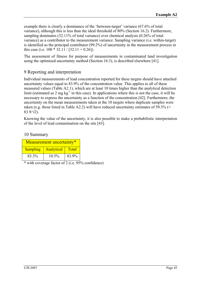example there is clearly a dominance of the 'between-target' variance (67.6% of total variance), although this is less than the ideal threshold of 80% (Section 16.2). Furthermore, sampling dominates (32.11% of total variance) over chemical analysis (0.26% of total variance) as a contributor to the measurement variance. Sampling variance (i.e. within-target) is identified as the principal contributor (99.2%) of uncertainty in the measurement process in this case (i.e.  $100 * 32.11 / [32.11 + 0.26]$ ).

The assessment of fitness for purpose of measurements in contaminated land investigation using the optimised uncertainty method (Section 16.3), is described elsewhere [41].

# 9 Reporting and interpretation

Individual measurements of lead concentration reported for these targets should have attached uncertainty values equal to 83.9% of the concentration value. This applies to all of these measured values (Table A2.1), which are at least 10 times higher than the analytical detection limit (estimated as 2 mg kg<sup>-1</sup> in this case). In applications where this is not the case, it will be necessary to express the uncertainty as a function of the concentration [42]. Furthermore, the uncertainty on the mean measurements taken at the 10 targets where duplicate samples were taken (e.g. those listed in Table A2.2) will have reduced uncertainty estimates of 59.3% (=  $83.9/\sqrt{2}$ ).

Knowing the value of the uncertainty, it is also possible to make a probabilistic interpretation of the level of lead contamination on the site [43].

### 10 Summary

| Measurement uncertainty* |            |       |  |  |  |
|--------------------------|------------|-------|--|--|--|
| <b>Sampling</b>          | Analytical | Total |  |  |  |
| 83.3%                    | 10.5%      | 83.9% |  |  |  |

\* with coverage factor of 2 (i.e.  $95\%$  confidence)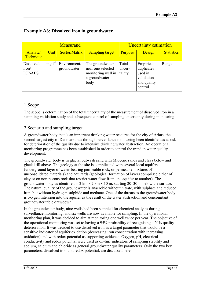| Measurand                            |             |                             |                                                                                     |                           | Uncertainty estimation                                                     |                   |  |
|--------------------------------------|-------------|-----------------------------|-------------------------------------------------------------------------------------|---------------------------|----------------------------------------------------------------------------|-------------------|--|
| Analyte/<br>Technique                | Unit        | Sector/Matrix               | <b>Sampling target</b>                                                              | <b>Purpose</b>            | Design                                                                     | <b>Statistics</b> |  |
| Dissolved<br>iron/<br><b>ICP-AES</b> | $mg l^{-1}$ | Environment/<br>groundwater | The groundwater<br>near one selected<br>monitoring well in<br>a groundwater<br>body | Total<br>uncer-<br>tainty | Empirical<br>duplicates<br>used in<br>validation<br>and quality<br>control | Range             |  |

# **Example A3: Dissolved iron in groundwater**

# 1 Scope

The scope is determination of the total uncertainty of the measurement of dissolved iron in a sampling validation study and subsequent control of sampling uncertainty during monitoring.

### 2 Scenario and sampling target

A groundwater body that is an important drinking water resource for the city of Århus, the second largest city of Denmark, has through surveillance monitoring been identified as at risk for deterioration of the quality due to intensive drinking water abstraction. An operational monitoring programme has been established in order to control the trend in water quality development.

The groundwater body is in glacial outwash sand with Miocene sands and clays below and glacial till above. The geology at the site is complicated with several local aquifers (underground layer of water-bearing permeable rock, or permeable mixtures of unconsolidated materials) and aquitards (geological formation of layers comprised either of clay or on non-porous rock that restrict water flow from one aquifer to another). The groundwater body as identified is 2 km x 2 km x 10 m, starting 20–30 m below the surface. The natural quality of the groundwater is anaerobic without nitrate, with sulphate and reduced iron, but without hydrogen sulphide and methane. One of the threats to the groundwater body is oxygen intrusion into the aquifer as the result of the water abstraction and concomitant groundwater table drawdown.

In the groundwater body, nine wells had been sampled for chemical analysis during surveillance monitoring, and six wells are now available for sampling. In the operational monitoring plan, it was decided to aim at monitoring one well twice per year. The objective of the operational monitoring was set to having a 95% probability of recognising a 20% quality deterioration. It was decided to use dissolved iron as a target parameter that would be a sensitive indicator of aquifer oxidation (decreasing iron concentration with increasing oxidation) and with redox potential as supporting evidence. Oxygen, pH, electrical conductivity and redox potential were used as on-line indicators of sampling stability and sodium, calcium and chloride as general groundwater quality parameters. Only the two key parameters, dissolved iron and redox potential, are discussed here.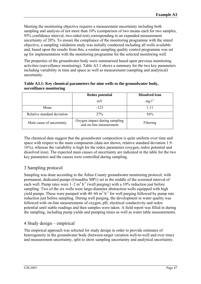Meeting the monitoring objective requires a measurement uncertainty including both sampling and analysis of not more than 10% (comparison of two means each for two samples, 95% confidence interval, two-sided test) corresponding to an expanded measurement uncertainty of 20%. To ensure the compliance of the monitoring programme with the stated objective, a sampling validation study was initially conducted including all wells available and, based upon the results from this, a routine sampling quality control programme was set up for implementation with the monitoring programme for the selected monitoring well.

The properties of the groundwater body were summarised based upon previous monitoring activities (surveillance monitoring). Table A3.1 shows a summary for the two key parameters including variability in time and space as well as measurement (sampling and analytical) uncertainty.

|                         | Table A3.1: Key chemical parameters for nine wells to the groundwater body, |
|-------------------------|-----------------------------------------------------------------------------|
| surveillance monitoring |                                                                             |

|                             | <b>Redox potential</b>                                   | <b>Dissolved iron</b> |
|-----------------------------|----------------------------------------------------------|-----------------------|
|                             | mV                                                       | $mg l^{-1}$           |
| Mean                        | $-123$                                                   | 111                   |
| Relative standard deviation | 27%                                                      | 56%                   |
| Main cause of uncertainty   | Oxygen impact during sampling<br>and on-line measurement | Filtering             |

The chemical data suggest that the groundwater composition is quite uniform over time and space with respect to the main components (data not shown, relative standard deviation 1.9– 16%), whereas the variability is high for the redox parameters (oxygen, redox potential and dissolved iron). The expected main causes of uncertainty are indicated in the table for the two key parameters and the causes were controlled during sampling.

# 3 Sampling protocol

Sampling was done according to the Århus County groundwater monitoring protocol, with permanent, dedicated pumps (Grundfos MP1) set in the middle of the screened interval of each well. Pump rates were  $1-2$  m<sup>3</sup> h<sup>-1</sup> (well purging) with a 10% reduction just before sampling. Two of the six wells were large-diameter abstraction wells equipped with high yield pumps. These were pumped with  $40-60$  m<sup>3</sup> h<sup>-1</sup> for well purging followed by pump rate reduction just before sampling. During well purging, the development in water quality was followed with on-line measurements of oxygen, pH, electrical conductivity and redox potential until stable readings and then samples were taken. A field report was filled in during the sampling, including pump yields and pumping times as well as water table measurements.

# 4 Study design – empirical

The empirical approach was selected for study design in order to provide estimates of heterogeneity in the groundwater body (between-target variation well-to-well and over time) and measurement uncertainty, split to show sampling uncertainty and analytical uncertainty.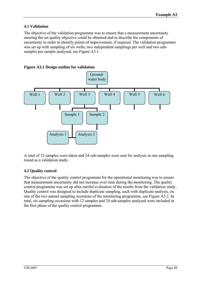### **4.1 Validation**

The objective of the validation programme was to ensure that a measurement uncertainty meeting the set quality objective could be obtained and to describe the components of uncertainty in order to identify points of improvement, if required. The validation programme was set up with sampling of six wells, two independent samplings per well and two subsamples per sample analysed, see Figure A3.1.





A total of 12 samples were taken and 24 sub-samples were sent for analysis in one sampling round as a validation study.

### **4.2 Quality control**

The objective of the quality control programme for the operational monitoring was to ensure that measurement uncertainty did not increase over time during the monitoring. The quality control programme was set up after careful evaluation of the results from the validation study. Quality control was designed to include duplicate sampling, each with duplicate analysis, on one of the two annual sampling occasions of the monitoring programme, see Figure A3.2. In total, six sampling occasions with 12 samples and 24 sub-samples analysed were included in the first phase of the quality control programme.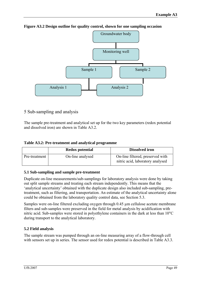

#### **Figure A3.2 Design outline for quality control, shown for one sampling occasion**

### 5 Sub-sampling and analysis

The sample pre-treatment and analytical set up for the two key parameters (redox potential and dissolved iron) are shown in Table A3.2.

#### **Table A3.2: Pre-treatment and analytical programme**

|               | <b>Redox potential</b> | <b>Dissolved iron</b>                                                |
|---------------|------------------------|----------------------------------------------------------------------|
| Pre-treatment | On-line analysed       | On-line filtered, preserved with<br>nitric acid, laboratory analysed |

#### **5.1 Sub-sampling and sample pre-treatment**

Duplicate on-line measurements/sub-samplings for laboratory analysis were done by taking out split sample streams and treating each stream independently. This means that the 'analytical uncertainty' obtained with the duplicate design also included sub-sampling, pretreatment, such as filtering, and transportation. An estimate of the analytical uncertainty alone could be obtained from the laboratory quality control data, see Section 5.3.

Samples were on-line filtered excluding oxygen through 0.45 µm cellulose acetate membrane filters and sub-samples were preserved in the field for metal analysis by acidification with nitric acid. Sub-samples were stored in polyethylene containers in the dark at less than 10°C during transport to the analytical laboratory.

#### **5.2 Field analysis**

The sample stream was pumped through an on-line measuring array of a flow-through cell with sensors set up in series. The sensor used for redox potential is described in Table A3.3.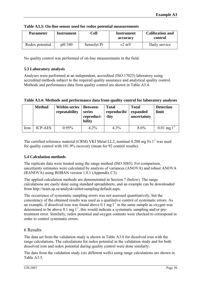| <b>Parameter</b> | <b>Instrument</b> | Cell        | <b>Instrument</b><br>accuracy | <b>Calibration and</b><br>control |
|------------------|-------------------|-------------|-------------------------------|-----------------------------------|
| Redox potential  | pH 340            | Sensolyt Pt | $\pm 2$ mV                    | Daily service                     |

**Table A3.3: On-line sensor used for redox potential measurements** 

No quality control was performed of on-line measurements in the field.

#### **5.3 Laboratory analysis**

Analyses were performed at an independent, accredited (ISO 17025) laboratory using accredited methods subject to the required quality assurance and analytical quality control. Methods and performance data from quality control are shown in Table A3.4.

|      | <b>Method</b>  | <b>Within-series</b><br>repeatability | <b>Between-</b><br>series<br>reproduci-<br>bility | <b>Total</b><br>reproducibi<br>-lity | <b>Total</b><br>expanded<br>uncertainty | <b>Detection</b><br>limit |
|------|----------------|---------------------------------------|---------------------------------------------------|--------------------------------------|-----------------------------------------|---------------------------|
| Iron | <b>ICP-AES</b> | $0.95\%$                              | $4.2\%$                                           | $4.3\%$                              | 8.6%                                    | $0.01 \text{ mg} l^{-1}$  |

The certified reference material (CRM) VKI Metal LL2, nominal 0.200 mg Fe l<sup>-1</sup> was used for quality control with 101.9% recovery (mean for 92 control results).

#### **5.4 Calculation methods**

The replicate data were treated using the range method (ISO 3085). For comparison, uncertainty estimates were calculated by analysis of variances (ANOVA) and robust ANOVA (RANOVA) using ROBAN version 1.0.1 (Appendix C3).

The applied calculation methods are demonstrated in Section 7 (below). The range calculations are easily done using standard spreadsheets, and an example can be downloaded from http://team.sp.se/analyskvalitet/sampling/default.aspx.

The occurrence of systematic sampling errors was not assessed quantitatively, but the consistency of the obtained results was used as a qualitative control of systematic errors. As an example, if dissolved iron was found above  $0.1 \text{ mg } l^{-1}$  in the same sample as oxygen was determined to be above 0.1 mg  $l^{-1}$ , this would indicate a systematic sampling and/or pretreatment error. Similarly, redox potential and oxygen contents were checked to correspond in order to control systematic errors.

### 6 Results

The data set from the validation study is shown in Table A3.8 for dissolved iron with the range calculations. The calculations for redox potential in the validation study and for both dissolved iron and redox potential during quality control were done similarly.

The data from the validation study (six different wells) using range calculations are shown in Table A3.5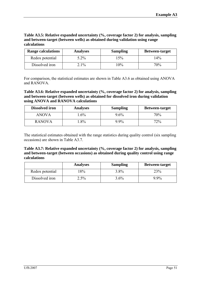| Table A3.5: Relative expanded uncertainty (%, coverage factor 2) for analysis, sampling |
|-----------------------------------------------------------------------------------------|
| and between-target (between wells) as obtained during validation using range            |
| calculations                                                                            |

| <b>Range calculations</b> | <b>Analyses</b> | <b>Sampling</b> | <b>Between-target</b> |
|---------------------------|-----------------|-----------------|-----------------------|
| Redox potential           | $5.2\%$         | 15%             | 14%                   |
| Dissolved iron            | $.1\%$          | 10%             | 70%                   |

For comparison, the statistical estimates are shown in Table A3.6 as obtained using ANOVA and RANOVA.

**Table A3.6: Relative expanded uncertainty (%, coverage factor 2) for analysis, sampling and between-target (between wells) as obtained for dissolved iron during validation using ANOVA and RANOVA calculations** 

| <b>Dissolved iron</b> | <b>Analyses</b> | <b>Sampling</b> | <b>Between-target</b> |
|-----------------------|-----------------|-----------------|-----------------------|
| ANOVA                 | $.6\%$          | 9.6%            | 70%                   |
| <b>RANOVA</b>         | $.8\%$          | 9.9%            | 72%                   |

The statistical estimates obtained with the range statistics during quality control (six sampling occasions) are shown in Table A3.7.

**Table A3.7: Relative expanded uncertainty (%, coverage factor 2) for analysis, sampling and between-target (between occasions) as obtained during quality control using range calculations** 

|                 | <b>Analyses</b> | <b>Sampling</b> | <b>Between-target</b> |
|-----------------|-----------------|-----------------|-----------------------|
| Redox potential | 8%              | 3.8%            | 23%                   |
| Dissolved iron  | $2.5\%$         | $3.6\%$         | 9.9%                  |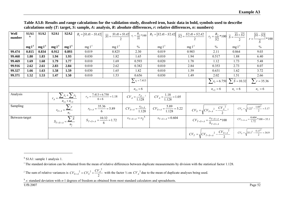| Well<br>number |          |          |         |          |                                                                   |             |                              | <b>S1A1</b> S1A2 S2A1 S2A2 $R_1 =  S1A1 - S1A2 $ $\overline{S1} = \frac{S1A1 + S1A2}{2}$ $r_1 = \frac{R_1}{S1}*100$ $R_2 =  S2A1 - S2A2 $ $\overline{S2} = \frac{S2A1 + S2A2}{2}$ $r_2 = \frac{R_2}{\overline{S2}}*100$ $\overline{S} = \frac{\overline{S1} + \overline{S2}}{2}$ $r_1 = \frac{ \overline{S1} - \overline{S2} }{\overline{S2}}*100$ |             |              |             |                                                                                                      |
|----------------|----------|----------|---------|----------|-------------------------------------------------------------------|-------------|------------------------------|----------------------------------------------------------------------------------------------------------------------------------------------------------------------------------------------------------------------------------------------------------------------------------------------------------------------------------------------------|-------------|--------------|-------------|------------------------------------------------------------------------------------------------------|
|                |          |          |         |          |                                                                   |             |                              |                                                                                                                                                                                                                                                                                                                                                    |             |              |             |                                                                                                      |
|                | $mg l-1$ | $mg l-1$ | $mgl^1$ | $mg l-1$ | $mg l^{-1}$                                                       | $mg l^{-1}$ | $\frac{0}{0}$                | $mg l^{-1}$                                                                                                                                                                                                                                                                                                                                        | $mg l^{-1}$ | $\%$         | $mg l^{-1}$ | $\%$                                                                                                 |
| 99.474         | 0.815    | 0.834    | 0.912   | 0.893    | 0.019                                                             | 0.825       | 2.30                         | 0.019                                                                                                                                                                                                                                                                                                                                              | 0.903       | 2.11         | 0.864       | 9.03                                                                                                 |
| 99.468         | 1.80     | 1.83     | 1.94    | 1.93     | 0.030                                                             | 1.82        | 1.65                         | 0.010                                                                                                                                                                                                                                                                                                                                              | 1.94        | 0.517        | 1.88        | 6.40                                                                                                 |
| 99.469         | 1.69     | 1.68     | 1.79    | 1.77     | 0.010                                                             | 1.69        | 0.593                        | 0.020                                                                                                                                                                                                                                                                                                                                              | 1.78        | 1.12         | 1.73        | 5.48                                                                                                 |
| 99.916         | 2.62     | 2.61     | 2.83    | 2.84     | 0.010                                                             | 2.62        | 0.382                        | 0.010                                                                                                                                                                                                                                                                                                                                              | 2.84        | 0.353        | 2.73        | 8.07                                                                                                 |
| 99.327         | 1.66     | 1.63     | 1.58    | 1.59     | 0.030                                                             | 1.65        | 1.82                         | 0.010                                                                                                                                                                                                                                                                                                                                              | 1.59        | 0.631        | 1.62        | 3.72                                                                                                 |
| 99.371         | 1.52     | 1.53     | 1.47    | 1.50     | 0.010                                                             | 1.53        | 0.656                        | 0.030                                                                                                                                                                                                                                                                                                                                              | 1.49        | 2.02         | 1.51        | 2.66                                                                                                 |
|                |          |          |         |          |                                                                   |             | $\sum_{i=1}^{n} r_i = 7.413$ |                                                                                                                                                                                                                                                                                                                                                    |             |              |             | $\sum r_2 = 6.750$ $\sum \overline{S} = 10.32$ $\sum r = 35.36$                                      |
|                |          |          |         |          |                                                                   |             | $n_{r1} = 6$                 |                                                                                                                                                                                                                                                                                                                                                    |             | $n_{r2} = 6$ | $n_r = 6$   | $n_r = 6$                                                                                            |
| Analysis       |          |          |         |          |                                                                   |             |                              | $r_A = \frac{\sum r_1 + \sum r_2}{n_{r1} + n_{r2}}$ $r_A = \frac{7.413 + 6.750}{6 + 6} = 1.18$ $CV_A = \frac{r_A}{1.128}$ $CV_A = \frac{1.18}{1.128} = 1.05$                                                                                                                                                                                       |             |              |             |                                                                                                      |
| Sampling       |          |          |         |          | $r_{S+A} = \frac{\sum r}{n_r}$ $r_{S+A} = \frac{35.36}{6} = 5.89$ |             |                              | $CV_{S+A} = \frac{r_{S+A}}{1.128}$ $CV_{S+A} = \frac{5.89}{1.128} = 5.22$                                                                                                                                                                                                                                                                          |             |              |             | $CV_S = \sqrt{CV_{S+A}^2 - \frac{CV_A^2}{2}}$ $IV_S = \sqrt{5.22^2 - \frac{1.05^2}{2}} = 5.17$       |
| Between-target |          |          |         |          |                                                                   |             |                              | $S_{T+S+A} = \frac{\sum \overline{S}}{n_r}$ $S_{T+S+A} = \frac{10.32}{6} = 1.72$ $S_{T+S+A} = s_{\overline{S}}$ $S_{T+S+A} = 0.604$                                                                                                                                                                                                                |             |              |             | $CV_{T+S+A} = \frac{s_{T+S+A}}{S_{T+S+A}} * 100$ $CV_{T+S+A} = \frac{0.604}{1.72} * 100 = 35.1$      |
|                |          |          |         |          |                                                                   |             |                              |                                                                                                                                                                                                                                                                                                                                                    |             |              |             | $CV_T = \sqrt{CV_{T+S+A}^2 - \frac{CV_{S+A}^2}{2}}$ $CV_S = \sqrt{35.1^2 - \frac{5.17^2}{2}} = 34.9$ |

**Table A3.8: Results and range calculations for the validation study, dissolved iron, basic data in bold, symbols used to describe calculations only (***T***: target,** *S***: sample,** *A***: analysis,** *R***: absolute differences,** *r***: relative differences,** *n***: numbers)** 

<sup>j</sup> The sum of relative variances is  $CV_{S+A}^2 = CV_S^2 + \frac{CV_S^2}{2}$  $S_{A}A^{2} = CV_{S}^{2} + \frac{CV_{A}^{2}}{2}$  $CV_{S+A}^2 = CV_S^2 + \frac{CV_A^2}{2}$  with the factor  $\frac{1}{2}$  on  $CV_A^2$  due to the mean of duplicate analyses being used.

k *s*: standard deviation with *n*-1 degrees of freedom as obtained from most standard calculators and spreadsheets.

UfS:2007 Page 52

h S1A1: sample 1 analysis 1.

<sup>&</sup>lt;sup>i</sup> The standard deviation can be obtained from the mean of relative differences between duplicate measurements by division with the statistical factor 1.128.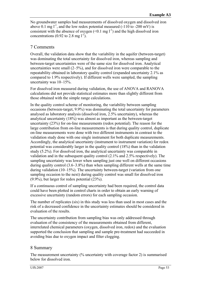No groundwater samples had measurements of dissolved oxygen and dissolved iron above 0.1 mg  $l^{-1}$ , and the low redox potential measured (-110 to -200 mV) is consistent with the absence of oxygen  $($  <0.1 mg  $l^{-1}$ ) and the high dissolved iron concentrations (0.92 to 2.8 mg  $1^{-1}$ ).

# 7 Comments

Overall, the validation data show that the variability in the aquifer (between-target) was dominating the total uncertainty for dissolved iron, whereas sampling and between-target uncertainties were of the same size for dissolved iron. Analytical uncertainties were small (2–5%), and for dissolved iron were comparable to the repeatability obtained in laboratory quality control (expanded uncertainty 2.1% as compared to 1.9% respectively). If different wells were sampled, the sampling uncertainty was 10–15%.

For dissolved iron measured during validation, the use of ANOVA and RANOVA calculations did not provide statistical estimates more than slightly different from those obtained with the simple range calculations.

In the quality control scheme of monitoring, the variability between sampling occasions (between-target, 9.9%) was dominating the total uncertainty for parameters analysed as laboratory analysis (dissolved iron, 2.5% uncertainty), whereas the analytical uncertainty (18%) was almost as important as the between-target uncertainty (23%) for on-line measurements (redox potential). The reason for the large contribution from on-line measurements is that during quality control, duplicate on-line measurements were done with two different instruments in contrast to the validation study done with one single instrument for both duplicate measurements. Accordingly, the analytical uncertainty (instrument to instrument variation) for redox potential was considerably larger in the quality control (18%) than in the validation study (5.2%). For dissolved iron, the analytical uncertainty was comparable in validation and in the subsequent quality control (2.1% and 2.5% respectively). The sampling uncertainty was lower when sampling just one well on different occasions during quality control (3.6–3.8%) than when sampling different wells at the same time during validation (10–15%). The uncertainty between-target (variation from one sampling occasion to the next) during quality control was small for dissolved iron (9.9%), but larger for redox potential (23%).

If a continuous control of sampling uncertainty had been required, the control data could have been plotted in control charts in order to obtain an early warning of excessive uncertainty (random errors) for each sampling occasion.

The number of replicates (six) in this study was less than used in most cases and the risk of a decreased confidence in the uncertainty estimates should be considered in evaluation of the results.

The uncertainty contribution from sampling bias was only addressed through evaluation of the consistency of the measurements obtained from different, interrelated chemical parameters (oxygen, dissolved iron, redox) and the evaluation supported the conclusion that sampling and sample pre-treatment had succeeded in avoiding bias due to oxygen impact and filter clogging.

### 8 Summary

The measurement uncertainty (% uncertainty with coverage factor 2) is summarised below for dissolved iron.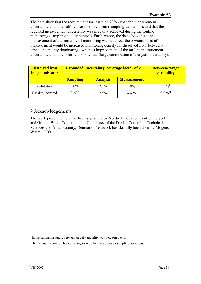The data show that the requirement for less than 20% expanded measurement uncertainty could be fulfilled for dissolved iron (sampling validation), and that the required measurement uncertainty was in reality achieved during the routine monitoring (sampling quality control). Furthermore, the data show that if an improvement of the certainty of monitoring was required, the obvious point of improvement would be increased monitoring density for dissolved iron (betweentarget uncertainty dominating), whereas improvement of the on-line measurement uncertainty could help for redox potential (large contribution of analysis uncertainty).

| <b>Dissolved iron</b><br>in groundwater | <b>Expanded uncertainty, coverage factor of 2</b> | <b>Between-target</b><br><b>variability</b> |         |                 |
|-----------------------------------------|---------------------------------------------------|---------------------------------------------|---------|-----------------|
|                                         | <b>Sampling</b>                                   | <b>Analysis</b>                             |         |                 |
| Validation                              | 10%                                               | $2.1\%$                                     | 10%     | $35\%$          |
| Quality control                         | 3.6%                                              | 2.5%                                        | $4.4\%$ | $9.9\%^{\rm m}$ |

### 9 Acknowledgements

The work presented here has been supported by Nordic Innovation Centre, the Soil and Ground Water Contamination Committee of the Danish Council of Technical Sciences and Århus County, Denmark. Fieldwork has skilfully been done by Mogens Wium, GEO.

 $\overline{a}$ 

<sup>&</sup>lt;sup>1</sup> In the validation study, between-target variability was between wells.

m In the quality control, between-target variability was between sampling occasions.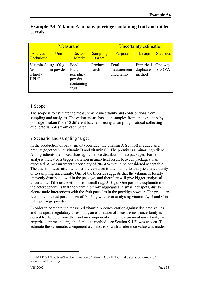| Measurand                                    |                                          |                                                             | Uncertainty estimation    |                                     |                                  |                         |
|----------------------------------------------|------------------------------------------|-------------------------------------------------------------|---------------------------|-------------------------------------|----------------------------------|-------------------------|
| Analyte/<br>Technique                        | Unit                                     | Sector/<br><b>Matrix</b>                                    | <b>Sampling</b><br>target | Purpose                             | Design                           | <b>Statistics</b>       |
| Vitamin A<br>(as<br>retinol)/<br><b>HPLC</b> | $\mu$ g 100 g <sup>-1</sup><br>in powder | Food/<br>Baby<br>porridge-<br>powder<br>containing<br>fruit | Produced<br>batch         | Total<br>measurement<br>uncertainty | Empirical<br>duplicate<br>method | One-way<br><b>ANOVA</b> |

### **Example A4: Vitamin A in baby porridge containing fruit and milled cereals**

### 1 Scope

The scope is to estimate the measurement uncertainty and contributions from sampling and analyses. The estimates are based on samples from one type of baby porridge – taken from 10 different batches – using a sampling protocol collecting duplicate samples from each batch.

# 2 Scenario and sampling target

In the production of baby (infant) porridge, the vitamin A (retinol) is added as a premix (together with vitamin D and vitamin C). The premix is a minor ingredient. All ingredients are mixed thoroughly before distribution into packages. Earlier analysis indicated a bigger variation in analytical result between packages than expected. A measurement uncertainty of 20–30% would be considered acceptable. The question was raised whether the variation is due mainly to analytical uncertainty or to sampling uncertainty. One of the theories suggests that the vitamin is locally unevenly distributed within the package, and therefore will give bigger analytical uncertainty if the test portion is too small (e.g.  $3-5$  g).<sup>n</sup> One possible explanation of the heterogeneity is that the vitamin premix aggregates in small hot spots, due to electrostatic interactions with the fruit particles in the porridge powder. The producers recommend a test portion size of 40–50 g whenever analysing vitamin A, D and C in baby porridge powder.

In order to compare the measured vitamin A concentration against declared values and European regulatory thresholds, an estimation of measurement uncertainty is desirable. To determine the random component of the measurement uncertainty, an empirical approach using the duplicate method (see Section 9.4.2) was chosen. To estimate the systematic component a comparison with a reference value was made.

 $\overline{a}$ 

<sup>&</sup>lt;sup>n</sup> EN-12823-1 'Foodstuffs – determination of vitamin A by HPLC' indicates a test sample of approximately 2–10 g.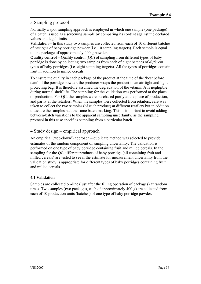# 3 Sampling protocol

Normally a spot sampling approach is employed in which one sample (one package) of a batch is used as a screening sample by comparing its content against the declared values and legal limits.

**Validation** – In this study two samples are collected from each of 10 different batches of *one type* of baby porridge powder (i.e. 10 sampling targets). Each sample is equal to one package of approximately 400 g powder.

**Quality control** – Quality control (QC) of sampling from different types of baby porridge is done by collecting two samples from each of eight batches of *different* types of baby porridges (i.e. eight sampling targets). All the types of porridges contain fruit in addition to milled cereals.

To ensure the quality in each package of the product at the time of the 'best before date' of the porridge powder, the producer wraps the product in an air-tight and lightprotecting bag. It is therefore assumed the degradation of the vitamin A is negligible during normal shelf life. The sampling for the validation was performed at the place of production. For QC, the samples were purchased partly at the place of production, and partly at the retailers. When the samples were collected from retailers, care was taken to collect the two samples (of each product) at different retailers but in addition to assure the samples had the same batch marking. This is important to avoid adding between-batch variations to the apparent sampling uncertainty, as the sampling protocol in this case specifies sampling from a particular batch.

# 4 Study design – empirical approach

An empirical ('top-down') approach – duplicate method was selected to provide estimates of the random component of sampling uncertainty. The validation is performed on one type of baby porridge containing fruit and milled cereals. In the sampling for the QC different products of baby porridge (all containing fruit and milled cereals) are tested to see if the estimate for measurement uncertainty from the validation study is appropriate for different types of baby porridges containing fruit and milled cereals.

#### **4.1 Validation**

Samples are collected on-line (just after the filling operation of packages) at random times. Two samples (two packages, each of approximately 400 g) are collected from each of 10 production units (batches) of one type of baby porridge powder.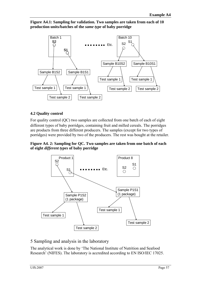**Figure A4.1: Sampling for validation. Two samples are taken from each of 10 production units/batches of the** *same type* **of baby porridge** 



### **4.2 Quality control**

For quality control (QC) two samples are collected from one batch of each of eight different types of baby porridges, containing fruit and milled cereals. The porridges are products from three different producers. The samples (except for two types of porridges) were provided by two of the producers. The rest was bought at the retailer.

#### **Figure A4. 2: Sampling for QC. Two samples are taken from one batch of each of eight** *different types* **of baby porridge**



# 5 Sampling and analysis in the laboratory

The analytical work is done by 'The National Institute of Nutrition and Seafood Research' (NIFES). The laboratory is accredited according to EN ISO/IEC 17025.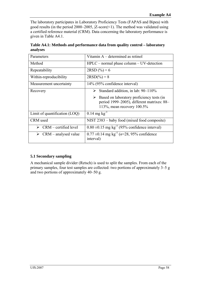The laboratory participates in Laboratory Proficiency Tests (FAPAS and Bipea) with good results (in the period 2000–2005, |Z-score|<1). The method was validated using a certified reference material (CRM). Data concerning the laboratory performance is given in Table A4.1.

| Parameters                    | Vitamin $A$ – determined as retinol                                                                                        |
|-------------------------------|----------------------------------------------------------------------------------------------------------------------------|
| Method                        | $HPLC$ – normal phase column – UV-detection                                                                                |
| Repeatability                 | $2RSD(%) = 6$                                                                                                              |
| Within-reproducibility        | $2RSD(\%)=8$                                                                                                               |
| Measurement uncertainty       | 14% (95% confidence interval)                                                                                              |
| Recovery                      | Standard addition, in lab: 90–110%                                                                                         |
|                               | Based on laboratory proficiency tests (in<br>➤<br>period 1999–2005), different matrixes: 88–<br>113%, mean recovery 100.5% |
| Limit of quantification (LOQ) | $0.14$ mg kg <sup>-1</sup>                                                                                                 |
| CRM used                      | NIST 2383 – baby food (mixed food composite)                                                                               |
| CRM – certified level<br>➤    | $0.80 \pm 0.15$ mg kg <sup>-1</sup> (95% confidence interval)                                                              |
| $CRM$ – analysed value        | $0.77 \pm 0.14$ mg kg <sup>-1</sup> ( <i>n</i> =28, 95% confidence<br>interval)                                            |

**Table A4.1: Methods and performance data from quality control – laboratory analyses** 

### **5.1 Secondary sampling**

A mechanical sample divider (Retsch) is used to split the samples. From each of the primary samples, four test samples are collected: two portions of approximately 3–5 g and two portions of approximately 40–50 g.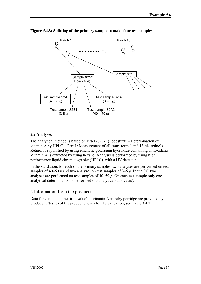

**Figure A4.3: Splitting of the primary sample to make four test samples** 

#### **5.2 Analyses**

The analytical method is based on EN-12823-1 (Foodstuffs – Determination of vitamin A by HPLC – Part 1: Measurement of all-trans-retinol and 13-cis-retinol). Retinol is saponified by using ethanolic potassium hydroxide containing antioxidants. Vitamin A is extracted by using hexane. Analysis is performed by using high performance liquid chromatography (HPLC), with a UV detector.

In the validation, for each of the primary samples, two analyses are performed on test samples of 40–50 g and two analyses on test samples of 3–5 g. In the QC two analyses are performed on test samples of 40–50 g. On each test sample only one analytical determination is performed (no analytical duplicates).

#### 6 Information from the producer

Data for estimating the 'true value' of vitamin A in baby porridge are provided by the producer (Nestlé) of the product chosen for the validation, see Table A4.2.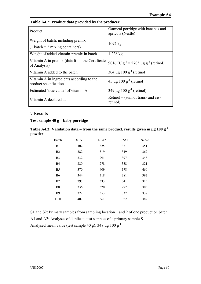| Table A4.2: Product data provided by the producer |  |  |
|---------------------------------------------------|--|--|
|---------------------------------------------------|--|--|

| Product                                                                                | Oatmeal porridge with bananas and<br>apricots (Nestlé) |
|----------------------------------------------------------------------------------------|--------------------------------------------------------|
| Weight of batch, including premix<br>$(1 \text{ batch} = 2 \text{ mixing containers})$ | $1092$ kg                                              |
| Weight of added vitamin-premix in batch                                                | $1.228$ kg                                             |
| Vitamin A in premix (data from the Certificate<br>of Analysis)                         | 9016 IU $g^{-1}$ = 2705 µg $g^{-1}$ (retinol)          |
| Vitamin A added to the batch                                                           | 304 $\mu$ g 100 g <sup>-1</sup> (retinol)              |
| Vitamin A in ingredients according to the<br>product specification                     | $45 \mu g 100 g^{-1}$ (retinol)                        |
| Estimated 'true value' of vitamin A                                                    | $349 \mu g 100 g^{-1}$ (retinol)                       |
| Vitamin A declared as                                                                  | Retinol $-$ (sum of trans- and cis-<br>retinol)        |

# 7 Results

### **Test sample 40 g – baby porridge**

| Table A4.3: Validation data – from the same product, results given in $\mu$ g 100 g <sup>-1</sup> |  |
|---------------------------------------------------------------------------------------------------|--|
| powder                                                                                            |  |

| Batch          | S1A1 | <b>S1A2</b> | S2A1 | S2A2 |
|----------------|------|-------------|------|------|
| B <sub>1</sub> | 402  | 325         | 361  | 351  |
| B <sub>2</sub> | 382  | 319         | 349  | 362  |
| B <sub>3</sub> | 332  | 291         | 397  | 348  |
| <b>B4</b>      | 280  | 278         | 358  | 321  |
| B <sub>5</sub> | 370  | 409         | 378  | 460  |
| <b>B6</b>      | 344  | 318         | 381  | 392  |
| B7             | 297  | 333         | 341  | 315  |
| B <sub>8</sub> | 336  | 320         | 292  | 306  |
| <b>B</b> 9     | 372  | 353         | 332  | 337  |
| <b>B10</b>     | 407  | 361         | 322  | 382  |

S1 and S2: Primary samples from sampling location 1 and 2 of one production batch A1 and A2: Analyses of duplicate test samples of a primary sample S Analysed mean value (test sample 40 g):  $348 \mu g$  100 g<sup>-1</sup>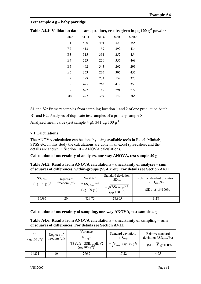#### **Test sample 4 g – baby porridge**

| IVII UUU       |      |      |      |      |
|----------------|------|------|------|------|
| <b>Batch</b>   | S1B1 | S1B2 | S2B1 | S2B2 |
| B <sub>1</sub> | 400  | 491  | 323  | 355  |
| B <sub>2</sub> | 413  | 159  | 392  | 434  |
| B <sub>3</sub> | 315  | 391  | 252  | 454  |
| B <sub>4</sub> | 223  | 220  | 357  | 469  |
| B <sub>5</sub> | 462  | 343  | 262  | 293  |
| <b>B6</b>      | 353  | 265  | 305  | 456  |
| B7             | 298  | 234  | 152  | 323  |
| B <sub>8</sub> | 425  | 263  | 417  | 353  |
| <b>B</b> 9     | 622  | 189  | 291  | 272  |
| <b>B10</b>     | 292  | 397  | 142  | 568  |
|                |      |      |      |      |

|  |  |  | Table A4.4: Validation data – same product, results given in $\mu$ g 100 g <sup>-1</sup> powder |
|--|--|--|-------------------------------------------------------------------------------------------------|
|--|--|--|-------------------------------------------------------------------------------------------------|

S1 and S2: Primary samples from sampling location 1 and 2 of one production batch

B1 and B2: Analyses of duplicate test samples of a primary sample S

Analysed mean value (test sample 4 g):  $341 \mu g 100 g^{-1}$ 

#### **7.1 Calculations**

The ANOVA calculation can be done by using available tools in Excel, Minitab, SPSS etc. In this study the calculations are done in an excel spreadsheet and the details are shown in Section 10 – ANOVA calculations.

#### **Calculation of uncertainty of analyses, one-way ANOVA, test sample 40 g**

#### **Table A4.5: Results from ANOVA calculations – uncertainty of analyses – sum of squares of differences, within-groups (SS-Error). For details see Section A4.11**

| $SS_{E\text{-}Anal}$<br>$(\mu g 100 g^{-1})^2$ | Degrees of<br>freedom (df) | Variance<br>$=$ SS <sub>E-Anal</sub> /df<br>$(\mu g 100 g^{-1})^2$ | Standard deviation,<br>SD <sub>anal</sub><br>$=\sqrt{(SS_{\text{EAnal}}/df)}$<br>$(\mu$ g 100 g <sup>-1</sup> ) | Relative standard deviation<br>$RSDanal(\%)$<br>$= (SD / X_a) * 100\%$ |
|------------------------------------------------|----------------------------|--------------------------------------------------------------------|-----------------------------------------------------------------------------------------------------------------|------------------------------------------------------------------------|
| 16595                                          | 20                         | 829.75                                                             | 28.805                                                                                                          | 8.28                                                                   |

#### **Calculation of uncertainty of sampling, one-way ANOVA, test sample 4 g**

**Table A4.6: Results from ANOVA calculations – uncertainty of sampling – sum of squares of differences. For details see Section A4.11** 

| $SS_{S}$<br>$(\mu g 100 g^{-1})^2$ | Degrees of<br>freedom (df) | Variance<br>$V_{\text{Samp}}=$                                              | Standard deviation,<br>$SD_{\text{samp}}$    | Relative standard<br>deviation $RSDsamp(\%)$ |
|------------------------------------|----------------------------|-----------------------------------------------------------------------------|----------------------------------------------|----------------------------------------------|
|                                    |                            | $(SS_S/df_S - SSE_{Anal}/df_A)/2$<br>(µg 100 g <sup>-1</sup> ) <sup>2</sup> | $=\sqrt{V_{Samp}}$ (µg 100 g <sup>-1</sup> ) | $=(SD / X_s) * 100\%$                        |
| 14231                              |                            | 296.7                                                                       | 17.22                                        | 4.95                                         |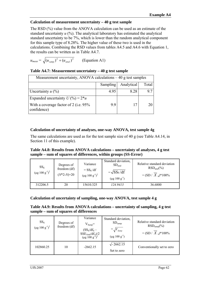#### **Calculation of measurement uncertainty – 40 g test sample**

The RSD (%) value from the ANOVA calculation can be used as an estimate of the standard uncertainty  $u$  (%). The analytical laboratory has estimated the analytical standard uncertainty to be 7%, which is lower than the random analytical component for this sample type of 8.28%. The higher value of these two is used in the calculations. Combining the RSD values from tables A4.5 and A4.6 with Equation 1, the results can be written as in Table A4.7.

$$
u_{meas} = \sqrt{(u_{\text{ samp}})^2 + (u_{\text{anal}})^2}
$$
 (Equation A1)

| Measurement uncertainty, ANOVA calculations $-40$ g test samples                               |      |      |    |  |  |
|------------------------------------------------------------------------------------------------|------|------|----|--|--|
| Total<br>Analytical<br>Sampling                                                                |      |      |    |  |  |
| Uncertainty $u(\%)$                                                                            | 4.95 | 8.28 | 97 |  |  |
| Expanded uncertainty $U(\%) = 2^*u$<br>With a coverage factor of 2 (i.e. $95\%$<br>confidence) | 9.9  | 17   | 20 |  |  |

#### **Calculation of uncertainty of analyses, one-way ANOVA, test sample 4g**

The same calculations are used as for the test sample size of 40 g (see Table A4.14, in Section 11 of this example).

**Table A4.8: Results from ANOVA calculations – uncertainty of analyses, 4 g test sample – sum of squares of differences, within groups (SS-Error)** 

| $SS_E$<br>$(\mu g 100 g^{-1})^2$ | Degrees of<br>freedom (df)<br>$(N^*2-N)=20$ | Variance<br>$=$ SS <sub>E</sub> /df<br>$(\mu g 100 g^{-1})^2$ | Standard deviation,<br>SD <sub>anal</sub><br>$=\sqrt{SS_E/df}$<br>$(\mu g 100 g^{-1})$ | Relative standard deviation<br>$RSDanal(\%)$<br>$=(SD / X_a)*100\%$ |
|----------------------------------|---------------------------------------------|---------------------------------------------------------------|----------------------------------------------------------------------------------------|---------------------------------------------------------------------|
| 312206.5                         | 20                                          | 15610.325                                                     | 124.9413                                                                               | 36.6800                                                             |

#### **Calculation of uncertainty of sampling, one-way ANOVA, test sample 4 g**

| Table A4.9: Results from ANOVA calculations – uncertainty of sampling, 4 g test |  |
|---------------------------------------------------------------------------------|--|
| sample – sum of squares of differences                                          |  |

| $SS_{S}$<br>$(\mu g 100 g^{-1})^2$ | Degrees of<br>freedom (df) | Variance<br>$V_{\text{Samp}}=$<br>$(SSS/dfS -$<br>$SSE_{\text{Anal}}/df_A)/2$<br>(µg 100 g <sup>-1</sup> ) <sup>2</sup> | Standard deviation,<br>$SD_{\text{samp}}$<br>$=\sqrt{V_{Samp}}$<br>$(\mu g 100 g^{-1})$ | Relative standard deviation<br>$RSDsamp(\%)$<br>$=(SD / X_s)^*100\%$ |
|------------------------------------|----------------------------|-------------------------------------------------------------------------------------------------------------------------|-----------------------------------------------------------------------------------------|----------------------------------------------------------------------|
| 102860.25                          | 10                         | $-2662.15$                                                                                                              | $\sqrt{-2662.15}$<br>Set to zero                                                        | Conventionally set to zero                                           |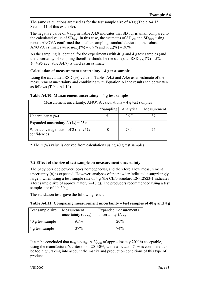The same calculations are used as for the test sample size of 40 g (Table A4.15, Section 11 of this example).

The negative value of  $V_{Samp}$  in Table A4.9 indicates that  $SD_{Samp}$  is small compared to the calculated value of  $SD<sub>anal</sub>$ . In this case, the estimates of  $SD<sub>anal</sub>$  and  $SD<sub>samp</sub>$  using robust ANOVA confirmed the smaller sampling standard deviation; the robust ANOVA estimates were  $u_{Samm}(% ) = 6.9\%$  and  $u_{Anol}(% ) = 30\%.$ 

As the sampling is identical for the experiments with 40 g and 4 g test samples (and the uncertainty of sampling therefore should be the same), an  $RSD_{\text{samn}}(\%) = 5\%$  $(\approx 4.95$  see table A4.7) is used as an estimate.

#### **Calculation of measurement uncertainty – 4 g test sample**

Using the calculated RSD (%) value in Tables A4.5 and A4.6 as an estimate of the measurement uncertainty and combining with Equation A1 the results can be written as follows (Table A4.10).

| Measurement uncertainty, ANOVA calculations $-4$ g test samples                                |           |            |             |  |
|------------------------------------------------------------------------------------------------|-----------|------------|-------------|--|
|                                                                                                | *Sampling | Analytical | Measurement |  |
| Uncertainty $u \left( \frac{\%}{\%} \right)$                                                   |           | 36.7       |             |  |
| Expanded uncertainty $U(\%) = 2^*u$<br>With a coverage factor of 2 (i.e. $95\%$<br>confidence) | 10        | 73.4       | 74          |  |

#### **Table A4.10: Measurement uncertainty – 4 g test sample**

**\*** The *u* (%) value is derived from calculations using 40 g test samples

#### **7.2 Effect of the size of test sample on measurement uncertainty**

The baby porridge powder looks homogeneous, and therefore a low measurement uncertainty  $(u)$  is expected. However, analyses of the powder indicated a surprisingly large *u* when using a test sample size of 4 g (the CEN-standard EN-12823-1 indicates a test sample size of approximately 2–10 g). The producers recommended using a test sample size of 40–50 g.

The validation tests gave the following results

| Test sample size | Measurement<br>uncertainty $(u_{meas})$ | <b>Expanded measurements</b><br>uncertainty $U_{meas}$ |
|------------------|-----------------------------------------|--------------------------------------------------------|
| 40 g test sample | $9.7\%$                                 | 20%                                                    |
| 4 g test sample  | 37%                                     | 74%                                                    |

### **Table A4.11: Comparing measurement uncertainty – test samples of 40 g and 4 g**

It can be concluded that  $u_{40g} \ll u_{4g}$ . A  $U_{meas}$  of approximately 20% is acceptable, using the manufacturer's criterion of 20–30%, while a *Umeas* of 74% is considered to be too high, taking into account the matrix and production conditions of this type of product.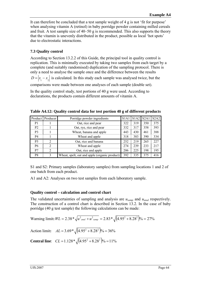It can therefore be concluded that a test sample weight of 4 g is not 'fit for purpose' when analysing vitamin A (retinol) in baby porridge powder containing milled cereals and fruit. A test sample size of 40–50 g is recommended. This also supports the theory that the vitamin is unevenly distributed in the product, possible as local 'hot spots' due to electrostatic interactions.

### **7.3 Quality control**

According to Section 13.2.2 of this Guide, the principal tool in quality control is replication. This is minimally executed by taking two samples from each target by a complete (and suitably randomised) duplication of the sampling protocol. There is only a need to analyse the sample once and the difference between the results  $D = |x_1 - x_2|$  is calculated. In this study each sample was analysed twice, but the comparisons were made between one analyses of each sample (double set).

In the quality control study, test portions of 40 g were used. According to declarations, the products contain different amounts of vitamin A.

|                | Product   Producer | Porridge powder ingredients                   | <b>S1A1</b> | S1A2 | S2A1 | S2A2 |
|----------------|--------------------|-----------------------------------------------|-------------|------|------|------|
| P1             |                    | Oat, rice and pear                            | 322         | 319  | 350  | 375  |
| P <sub>2</sub> |                    | Oat, rye, rice and pear                       | 332         | 317  | 358  | 393  |
| P3             |                    | Wheat, banana and apple                       | 443         | 430  | 461  | 388  |
| <b>P4</b>      |                    | Wheat and apple                               | 318         | 383  | 390  | 334  |
| P <sub>5</sub> |                    | Oat, rice and banana                          | 252         | 219  | 265  | 227  |
| P6             | $\mathfrak{D}$     | Wheat and apple                               | 274         | 239  | 233  | 217  |
| P7             | າ                  | Oat, rice and apple                           | 206         | 225  | 198  | 195  |
| P8             |                    | Wheat, spelt, oat and apple (organic product) | 392         | 335  | 375  | 416  |

**Table A4.12: Quality control data for test portion 40 g of different products** 

S1 and S2: Primary samples (laboratory samples) from sampling locations 1 and 2 of one batch from each product.

A1 and A2: Analyses on two test samples from each laboratory sample.

#### **Quality control – calculation and control chart**

The validated uncertainties of sampling and analysis are *usamp* and *uanal* respectively. The construction of a control chart is described in Section 13.2. In the case of baby porridge (40 g test sample) the following calculations can be made:

Warning limit:  $WL = 2.38 * \sqrt{u^2_{\text{anal}} + u^2_{\text{ samp}}} = 2.83 * \sqrt{(4.95^2 + 8.28^2)}\% = 27\%$ 

Action limit:  $AL = 3.69 * \sqrt{(4.95^2 + 8.28^2)}\% = 36\%$ 

**Central line**:  $CL = 1.128 * \sqrt{(4.95^2 + 8.28^2)}\% = 11\%$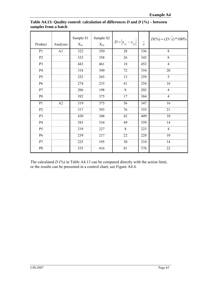| Product        | Analyses | Sample S1<br>$X_{S1}$ | Sample S2<br>$X_{S2}$ | $D =  x_{S1} - x_{S2} $ | $\frac{-}{x}$ | $D(\frac{9}{6}) = (D/\overline{x}) * 100\%$ |
|----------------|----------|-----------------------|-----------------------|-------------------------|---------------|---------------------------------------------|
| P <sub>1</sub> | A1       | 322                   | 350                   | 28                      | 336           | 8                                           |
| P2             |          | 332                   | 358                   | 26                      | 345           | 8                                           |
| P3             |          | 443                   | 461                   | 18                      | 452           | $\overline{4}$                              |
| <b>P4</b>      |          | 318                   | 390                   | 72                      | 354           | 20                                          |
| P <sub>5</sub> |          | 252                   | 265                   | 13                      | 259           | 5                                           |
| P6             |          | 274                   | 233                   | 41                      | 254           | 16                                          |
| P7             |          | 206                   | 198                   | 8                       | 202           | $\overline{4}$                              |
| P <sub>8</sub> |          | 392                   | 375                   | 17                      | 384           | $\overline{4}$                              |
| P1             | A2       | 319                   | 375                   | 56                      | 347           | 16                                          |
| P2             |          | 317                   | 393                   | 76                      | 355           | 21                                          |
| P <sub>3</sub> |          | 430                   | 388                   | 42                      | 409           | $\overline{10}$                             |
| <b>P4</b>      |          | 383                   | 334                   | 49                      | 359           | 14                                          |
| P <sub>5</sub> |          | 219                   | 227                   | 8                       | 223           | $\overline{4}$                              |
| P <sub>6</sub> |          | 239                   | 217                   | 22                      | 228           | $10\,$                                      |
| P7             |          | 225                   | 195                   | 30                      | 210           | 14                                          |
| ${\bf P}8$     |          | 335                   | 416                   | 81                      | 376           | 22                                          |

**Table A4.13: Quality control: calculation of differences** *D* **and** *D* **(%) – between samples from a batch** 

The calculated *D* (%) in Table A4.13 can be compared directly with the action limit, or the results can be presented in a control chart, see Figure A4.4.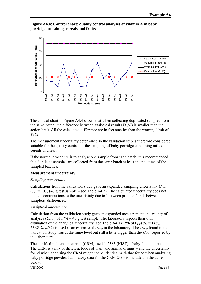**Figure A4.4: Control chart: quality control analyses of vitamin A in baby porridge containing cereals and fruits** 



The control chart in Figure A4.4 shows that when collecting duplicated samples from the same batch, the difference between analytical results  $D(\%)$  is smaller than the action limit. All the calculated difference are in fact smaller than the warning limit of 27%.

The measurement uncertainty determined in the validation step is therefore considered suitable for the quality control of the sampling of baby porridge containing milled cereals and fruit.

If the normal procedure is to analyse one sample from each batch, it is recommended that duplicate samples are collected from the same batch at least in one of ten of the sampled batches.

### **Measurement uncertainty**

### *Sampling uncertainty*

Calculations from the validation study gave an expanded sampling uncertainty *Usamp*  $(\%)=10\%$  (40 g test sample – see Table A4.7). The calculated uncertainty does not include contributions to the uncertainty due to 'between protocol' and 'between samplers' differences.

### *Analytical uncertainty*

Calculation from the validation study gave an expanded measurement uncertainty of analyses  $(U_{anal})$  of  $17\% - 40$  g test sample. The laboratory reports their own estimation of the analytical uncertainty (see Table A4.1):  $2*RSD_{inlab}(\%) = 14\%$ . 2\*RSDinlab(%) is used as an estimate of *Uanal* in the laboratory. The *Uanal* found in the validation study was at the same level but still a little bigger than the  $Ua_{nal}$  reported by the laboratory.

The certified reference material (CRM) used is 2383 (NIST) – baby food composite. The CRM is a mix of different foods of plant and animal origins – and the uncertainty found when analysing the CRM might not be identical with that found when analysing baby porridge powder. Laboratory data for the CRM 2383 is included in the table below.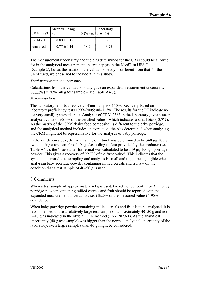| CRM 2383 kg <sup>-1</sup> | Mean value mg   | $U\binom{0}{0.95\%}$ | Laboratory<br>bias $(\% )$ |
|---------------------------|-----------------|----------------------|----------------------------|
| Certified                 | $0.80 \pm 0.15$ | 18.8                 |                            |
| Analysed                  | $0.77 \pm 0.14$ | 182                  | $-3.75$                    |

The measurement uncertainty and the bias determined for the CRM could be allowed for in the analytical measurement uncertainty (as in the NordTest UFS Guide, Example 2), but as the matrix in the validation study is different from that for the CRM used, we chose not to include it in this study.

### *Total measurement uncertainty*

Calculations from the validation study gave an expanded measurement uncertainty  $U_{meas}(\%) = 20\%$  (40 g test sample – see Table A4.7).

#### *Systematic bias*

The laboratory reports a recovery of normally 90–110%. Recovery based on laboratory proficiency tests 1999–2005: 88–113%. The results for the PT indicate no (or very small) systematic bias. Analyses of CRM 2383 in the laboratory gives a mean analysed value of 96.3% of the certified value – which indicates a small bias (-3.7%). As the matrix of the CRM 'baby food composite' is different to the baby porridge, and the analytical method includes an extraction, the bias determined when analysing the CRM might not be representative for the analyses of baby porridge.

In the validation study, the mean value of retinol was determined to be 348  $\mu$ g 100 g<sup>-1</sup> (when using a test sample of 40 g). According to data provided by the producer (see Table A4.2), the 'true value' for retinol was calculated to be 349  $\mu$ g 100 g<sup>-1</sup> porridge powder. This gives a recovery of 99.7% of the 'true value'. This indicates that the systematic error due to sampling and analyses is small and might be negligible when analysing baby porridge-powder containing milled cereals and fruits – on the condition that a test sample of 40–50 g is used.

### 8 Comments

When a test sample of approximately 40 g is used, the retinol concentration *C* in baby porridge-powder containing milled cereals and fruit should be reported with the expanded measurement uncertainty, i.e.  $C\pm 20\%$  of the measured value  $C$  (95%) confidence).

When baby porridge-powder containing milled cereals and fruit is to be analysed, it is recommended to use a relatively large test sample of approximately 40–50 g and not 2–10 g as indicated in the official CEN method (EN-12823-1). As the analytical uncertainty (40 g test sample) was bigger than the normal analytical uncertainty of the laboratory, even larger samples than 40 g might be considered.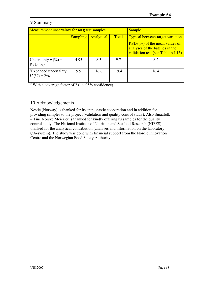### 9 Summary

| Measurement uncertainty for 40 g test samples                 |                 |            |       | <b>Sample</b>                                                                                                                                       |
|---------------------------------------------------------------|-----------------|------------|-------|-----------------------------------------------------------------------------------------------------------------------------------------------------|
|                                                               | <b>Sampling</b> | Analytical | Total | <b>Typical between-target variation</b><br>$RSD_B(\%)$ of the mean values of<br>analyses of the batches in the<br>validation test (see Table A4.15) |
| Uncertainty $u(\frac{0}{0})$ =<br>RSD(%)                      | 4.95            | 8.3        | 9.7   | 8.2                                                                                                                                                 |
| <sup>#</sup> Expanded uncertainty<br>$U(\frac{0}{0}) = 2 * u$ | 9.9             | 16.6       | 19.4  | 16.4                                                                                                                                                |

# With a coverage factor of 2 (i.e. 95% confidence)

# 10 Acknowledgements

Nestlé (Norway) is thanked for its enthusiastic cooperation and in addition for providing samples to the project (validation and quality control study). Also Smaafolk – Tine Norske Meierier is thanked for kindly offering us samples for the quality control study. The National Institute of Nutrition and Seafood Research (NIFES) is thanked for the analytical contribution (analyses and information on the laboratory QA-system). The study was done with financial support from the Nordic Innovation Centre and the Norwegian Food Safety Authority.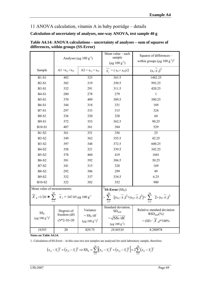# 11 ANOVA calculation, vitamin A in baby porridge – details

### **Calculation of uncertainty of analyses, one-way ANOVA, test sample 40 g**

|                                  | Analyses ( $\mu$ g 100 g <sup>-1</sup> )                                                           |                                                               | Mean value - each<br>sample<br>$(\mu g 100 g^{-1})$                                    | Squares of differences -<br>within groups ( $\mu$ g 100 g <sup>-1</sup> ) <sup>2</sup>                                             |
|----------------------------------|----------------------------------------------------------------------------------------------------|---------------------------------------------------------------|----------------------------------------------------------------------------------------|------------------------------------------------------------------------------------------------------------------------------------|
| Sample                           | $A2 = x_{i} = x_{i2}$<br>$A1 = x_{i} = x_{i1}$                                                     |                                                               | $x_i = (x_{i1} + x_{i2})/2$                                                            | $(\overline{x_i - x_i})^2$                                                                                                         |
| $B1-S1$                          | 402                                                                                                | 325                                                           | 363.5                                                                                  | 1482.25                                                                                                                            |
| $B2-S1$                          | 382                                                                                                | 319                                                           | 350.5                                                                                  | 992.25                                                                                                                             |
| <b>B3-S1</b>                     | 332                                                                                                | 291                                                           | 311.5                                                                                  | 420.25                                                                                                                             |
| <b>B4-S1</b>                     | 280                                                                                                | 278                                                           | 279                                                                                    | 1                                                                                                                                  |
| <b>B5-S1</b>                     | 370                                                                                                | 409                                                           | 389.5                                                                                  | 380.25                                                                                                                             |
| <b>B6-S1</b>                     | 344                                                                                                | 318                                                           | 331                                                                                    | 169                                                                                                                                |
| <b>B7-S1</b>                     | 297                                                                                                | 333                                                           | 315                                                                                    | 324                                                                                                                                |
| <b>B8-S1</b>                     | 336                                                                                                | 320                                                           | 328                                                                                    | 64                                                                                                                                 |
| <b>B9-S1</b>                     | 372                                                                                                | 353                                                           | 362.5                                                                                  | 90.25                                                                                                                              |
| <b>B10-S1</b>                    | 407                                                                                                | 361                                                           | 384                                                                                    | 529                                                                                                                                |
| <b>B1-S2</b>                     | 361                                                                                                | 351                                                           | 356                                                                                    | 25                                                                                                                                 |
| <b>B2-S2</b>                     | 349                                                                                                | 362                                                           | 355.5                                                                                  | 42.25                                                                                                                              |
| <b>B3-S2</b>                     | 397                                                                                                | 348                                                           | 372.5                                                                                  | 600.25                                                                                                                             |
| <b>B4-S2</b>                     | 358                                                                                                | 321                                                           | 339.5                                                                                  | 342.25                                                                                                                             |
| <b>B5-S2</b>                     | 378                                                                                                | 460                                                           | 419                                                                                    | 1681                                                                                                                               |
| <b>B6-S2</b>                     | 381                                                                                                | 392                                                           | 386.5                                                                                  | 30.25                                                                                                                              |
| <b>B7-S2</b>                     | 341                                                                                                | 315                                                           | 328                                                                                    | 169                                                                                                                                |
| <b>B8-S2</b>                     | 292                                                                                                | 306                                                           | 299                                                                                    | 49                                                                                                                                 |
| <b>B9-S2</b>                     | 332                                                                                                | 337                                                           | 334.5                                                                                  | 6.25                                                                                                                               |
| B10-S2                           | 322                                                                                                | 382                                                           | 352                                                                                    | 900                                                                                                                                |
| Mean value of measurements:      |                                                                                                    |                                                               | $SS\text{-}\mathbf{Error}(SS_E)$ :                                                     |                                                                                                                                    |
|                                  | $\overline{X}_a = 1/20$ * $\sum_{i=1}^{20} \overline{x}_i = 347.85 \text{ µg } 100 \text{ g}^{-1}$ |                                                               |                                                                                        | = $\sum_{i=1}^{20}$ $[(x_{i1} - \overline{x}_{i})^2 + (x_{i2} - \overline{x}_{i})^2] = \sum_{i=1}^{20} (x_i - \overline{x}_{i})^2$ |
| $SS_E$<br>$(\mu g 100 g^{-1})^2$ | Degrees of<br>freedom (df)<br>$(N^*2-N)=20$                                                        | Variance<br>$=$ SS <sub>E</sub> /df<br>$(\mu g 100 g^{-1})^2$ | Standard deviation,<br>SD <sub>anal</sub><br>$=\sqrt{SS_E/df}$<br>$(\mu g 100 g^{-1})$ | Relative standard deviation<br>$RSDanal(\%)$<br>$=(SD / X_a)*100\%$                                                                |
| 16595                            | 20                                                                                                 | 829.75                                                        | 28.80538                                                                               | 8.280978                                                                                                                           |

| Table A4.14: ANOVA calculations – uncertainty of analyses – sum of squares of |  |
|-------------------------------------------------------------------------------|--|
| differences, within groups (SS-Error)                                         |  |

**Notes on Table A4.14.** 

1. Calculation of SS-Error – in this case two test samples are analysed for each laboratory sample, therefore:

$$
(x_{i1} - \overline{x}_i)^2 = (x_{i2} - \overline{x}_i)^2 \Rightarrow SS_E = \sum_{i=1}^{20} \left[ (x_{i1} - \overline{x}_i)^2 + (x_{i2} - \overline{x}_i)^2 \right] = 2 \sum_{i=1}^{20} (x_{i1} - \overline{x}_i)^2
$$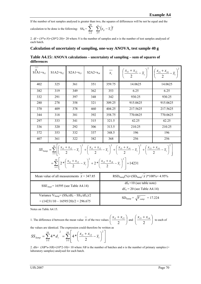If the number of test samples analysed is greater than two, the squares of differences will be not be equal and the

2

calculation to be done is the following:  $SS_E = \sum_{i=1}^{20}$  $\sum_{i=1}^{20} \sum_{j=1}^{n} (x_{ij} - \overline{x}_i)$ 

2. df = (*N*\**n*-*N*)=(20\*2-20)= 20 where *N* is the number of samples and *n* is the number of test samples analysed of each batch.

#### **Calculation of uncertainty of sampling, one-way ANOVA, test sample 40 g**

**Table A4.15: ANOVA calculations – uncertainty of sampling – sum of squares of differences** 

| $S\overset{\mathcal{X}}{1\text{Å}}1=x_{i1}$                                             | $S1A2=x_{i2}$                                                                                                                                                                                                                                                                                                                                                                                                                                                                     | $S2A1=x_{i3}$ | $S2A2=x_{i4}$ | $\overline{x_i}$                                              | $\left(\frac{x_{i1}+x_{i2}}{2}-\bar{x}_i\right)^2$ $\left(\frac{x_{i3}+x_{i4}}{2}-\bar{x}_i\right)^2$ |          |  |
|-----------------------------------------------------------------------------------------|-----------------------------------------------------------------------------------------------------------------------------------------------------------------------------------------------------------------------------------------------------------------------------------------------------------------------------------------------------------------------------------------------------------------------------------------------------------------------------------|---------------|---------------|---------------------------------------------------------------|-------------------------------------------------------------------------------------------------------|----------|--|
| 402                                                                                     | 325                                                                                                                                                                                                                                                                                                                                                                                                                                                                               | 361           | 351           | 359.75                                                        | 14.0625                                                                                               |          |  |
| 382                                                                                     | 319                                                                                                                                                                                                                                                                                                                                                                                                                                                                               | 349           | 362           | 353<br>6.25                                                   |                                                                                                       | 6.25     |  |
| 332                                                                                     | 291                                                                                                                                                                                                                                                                                                                                                                                                                                                                               | 397           | 348           | 342                                                           | 930.25                                                                                                | 930.25   |  |
| 280                                                                                     | 278                                                                                                                                                                                                                                                                                                                                                                                                                                                                               | 358           | 321           | 309.25                                                        | 915.0625                                                                                              | 915.0625 |  |
| 370                                                                                     | 409                                                                                                                                                                                                                                                                                                                                                                                                                                                                               | 378           | 460           | 404.25                                                        | 217.5625                                                                                              | 217.5625 |  |
| 344                                                                                     | 318                                                                                                                                                                                                                                                                                                                                                                                                                                                                               | 381           | 392           | 358.75                                                        | 770.0625                                                                                              | 770.0625 |  |
| 297                                                                                     | 333                                                                                                                                                                                                                                                                                                                                                                                                                                                                               | 341           | 315           | 321.5                                                         | 42.25                                                                                                 | 42.25    |  |
| 336                                                                                     | 320                                                                                                                                                                                                                                                                                                                                                                                                                                                                               | 292           | 306           | 313.5                                                         | 210.25                                                                                                | 210.25   |  |
| 372                                                                                     | 353                                                                                                                                                                                                                                                                                                                                                                                                                                                                               | 332           | 337           | 348.5                                                         | 196                                                                                                   | 196      |  |
| 407                                                                                     | 361                                                                                                                                                                                                                                                                                                                                                                                                                                                                               | 322           | 382           | 368                                                           | 256                                                                                                   | 256      |  |
|                                                                                         | $SS_{Samp} = \sum_{i=1}^{10} \left[ \left( \frac{x_{i1} + x_{i2}}{2} - \overline{x}_i \right)^2 + \left( \frac{x_{i1} + x_{i2}}{2} - \overline{x}_i \right)^2 + \left( \frac{x_{i3} + x_{i4}}{2} - \overline{x}_i \right)^2 + \left( \frac{x_{i3} + x_{i4}}{2} - \overline{x}_i \right)^2 \right]$<br>$=\sum_{i=1}^{10} \left[ 2 * \left( \frac{x_{i1} + x_{i2}}{2} - \overline{x}_i \right)^2 + 2 * \left( \frac{x_{i3} + x_{i4}}{2} - \overline{x}_i \right)^2 \right] = 14231$ |               |               |                                                               |                                                                                                       |          |  |
| Mean value of all measurements $x = 347.85$                                             |                                                                                                                                                                                                                                                                                                                                                                                                                                                                                   |               |               | $RSD_{Samp}(%)=(SD_{Samp}/ x)*100\% = 4.95\%$                 |                                                                                                       |          |  |
| $SSE_{\text{Anal}} = 16595$ (see Table A4.14)                                           |                                                                                                                                                                                                                                                                                                                                                                                                                                                                                   |               |               | $df_s = 10$ (see table note)<br>$df_A = 20$ (see Table A4.14) |                                                                                                       |          |  |
| Variance $V_{Samp} = (SS_S/df_S - SS_A/df_A)/2$<br>$=(14231/10 - 16595/20)/2 = 296.675$ |                                                                                                                                                                                                                                                                                                                                                                                                                                                                                   |               |               | $SD_{Samp} = \sqrt{V_{samp}} = 17.224$                        |                                                                                                       |          |  |

Notes on Table A4.15.

1. The difference d between the mean value 
$$
\overline{x}
$$
 of the two values  $\left(\frac{x_{i1} + x_{i2}}{2}\right)$  and  $\left(\frac{x_{i3} + x_{i4}}{2}\right)$  to each of

the values are identical. The expression could therefore be written as

$$
SS_{Samp} = \sum_{i=1}^{10} 4 * d_i^{2} = \sum_{i=1}^{10} \left[ 4 * \left( \frac{x_{i1} + x_{i2}}{2} - \overline{x}_i \right)^2 \right]
$$

2. dfs=  $(NB*n-NB)=(10*2-10)=10$  where *NB* is the number of batches and *n* is the number of primary samples (= laboratory samples) analysed for each batch.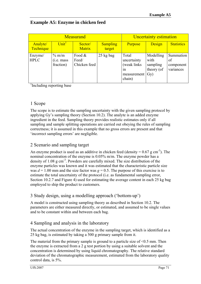# **Example A5: Enzyme in chicken feed**

| <b>Measurand</b>       |                                      |                                    |                           | Uncertainty estimation                                              |                                                    |                                           |
|------------------------|--------------------------------------|------------------------------------|---------------------------|---------------------------------------------------------------------|----------------------------------------------------|-------------------------------------------|
| Analyte/<br>Technique  | Unit <sup>1</sup>                    | Sector/<br><b>Matrix</b>           | <b>Sampling</b><br>target | <b>Purpose</b>                                                      | Design                                             | <b>Statistics</b>                         |
| Enzyme/<br><b>HPLC</b> | $\%$ m/m<br>(i.e. mass)<br>fraction) | Food $\&$<br>Feed/<br>Chicken feed | $25$ kg bag               | Total<br>uncertainty<br>(weak links)<br>1n<br>measurement<br>chain) | Modelling<br>with<br>sampling<br>theory (of<br>Gy) | Summation<br>of<br>component<br>variances |

<sup>1</sup>Including reporting base

### 1 Scope

The scope is to estimate the sampling uncertainty with the given sampling protocol by applying Gy's sampling theory (Section 10.2). The analyte is an added enzyme ingredient in the feed. Sampling theory provides realistic estimates only if all sampling and sample splitting operations are carried out obeying the rules of sampling correctness; it is assumed in this example that no gross errors are present and that 'incorrect sampling errors' are negligible.

# 2 Scenario and sampling target

An enzyme product is used as an additive in chicken feed (density =  $0.67 \text{ g cm}^{-3}$ ). The nominal concentration of the enzyme is 0.05% m/m. The enzyme powder has a density of 1.08 g cm-3. Powders are carefully mixed. The size distribution of the enzyme particles was known and it was estimated that the characteristic particle size was  $d = 1.00$  mm and the size factor was  $g = 0.5$ . The purpose of this exercise is to estimate the total uncertainty of the protocol (i.e. as fundamental sampling error, Section 10.2.7 and Figure 4) used for estimating the average content in each 25 kg bag employed to ship the product to customers.

# 3 Study design, using a modelling approach ('bottom-up')

A model is constructed using sampling theory as described in Section 10.2. The parameters are either measured directly, or estimated, and assumed to be single values and to be constant within and between each bag.

# 4 Sampling and analysis in the laboratory

The actual concentration of the enzyme in the sampling target, which is identified as a 25 kg bag, is estimated by taking a 500 g primary sample from it.

The material from the primary sample is ground to a particle size of  $\leq 0.5$  mm. Then the enzyme is extracted from a 2 g test portion by using a suitable solvent and the concentration is determined by using liquid chromatography. The relative standard deviation of the chromatographic measurement, estimated from the laboratory quality control data, is 5%.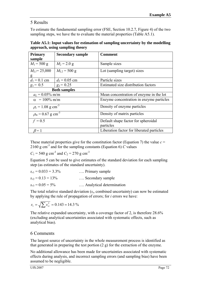### 5 Results

To estimate the fundamental sampling error (FSE, Section 10.2.7, Figure 4) of the two sampling steps, we have the to evaluate the material properties (Table A5.1).

| <b>Primary</b>                     | <b>Secondary sample</b> | <b>Comment</b>                            |
|------------------------------------|-------------------------|-------------------------------------------|
| sample                             |                         |                                           |
| $M_1 = 500$ g                      | $M_2 = 2.0$ g           | Sample sizes                              |
| $M_{LI} = 25,000$                  | $M_{L2}$ = 500 g        | Lot (sampling target) sizes               |
| g                                  |                         |                                           |
| $d_1 = 0.1$ cm                     | $d_2 = 0.05$ cm         | Particle sizes                            |
| $g_1 = 0.5$                        | $g_2 = 0.25$            | Estimated size distribution factors       |
|                                    | <b>Both samples</b>     |                                           |
| $a_L = 0.05\%$ m/m                 |                         | Mean concentration of enzyme in the lot   |
| $\alpha$ = 100% m/m                |                         | Enzyme concentration in enzyme particles  |
| $\rho_c$ = 1.08 g cm <sup>-3</sup> |                         | Density of enzyme particles               |
| $\rho_m$ = 0.67 g cm <sup>-3</sup> |                         | Density of matrix particles               |
| $f = 0.5$                          |                         | Default shape factor for spheroidal       |
|                                    |                         | particles                                 |
| $\beta = 1$                        |                         | Liberation factor for liberated particles |

**Table A5.1: Input values for estimation of sampling uncertainty by the modelling approach, using sampling theory** 

These material properties give for the constitution factor (Equation 7) the value  $c =$ 2160 g cm<sup>-3</sup> and for the sampling constants (Equation 6)  $\overrightarrow{C}$  values

$$
C_1 = 540
$$
 g cm<sup>-3</sup> and  $C_2 = 270$  g cm<sup>-3</sup>

Equation 5 can be used to give estimates of the standard deviation for each sampling step (as estimates of the standard uncertainty).

| $s_{r1} = 0.033 = 3.3\%$ | Primary sample           |
|--------------------------|--------------------------|
| $s_{r2} = 0.13 = 13\%$   | Secondary sample         |
| $s_{r3} = 0.05 = 5\%$    | Analytical determination |

The total relative standard deviation (*st*, combined uncertainty) can now be estimated by applying the rule of propagation of errors; for *i* errors we have:

$$
s_t = \sqrt{\sum s_{ri}^2} = 0.143 = 14.3\%
$$

The relative expanded uncertainty, with a coverage factor of 2, is therefore 28.6% (excluding analytical uncertainties associated with systematic effects, such as analytical bias).

# 6 Comments

The largest source of uncertainty in the whole measurement process is identified as that generated in preparing the test portion (2 g) for the extraction of the enzyme.

No additional allowance has been made for uncertainties associated with systematic effects during analysis, and incorrect sampling errors (and sampling bias) have been assumed to be negligible.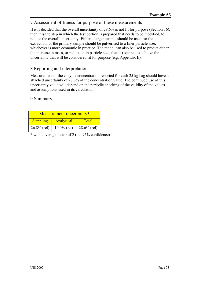### 7 Assessment of fitness for purpose of these measurements

If it is decided that the overall uncertainty of 28.6% is not fit for purpose (Section 16), then it is the step in which the test portion is prepared that needs to be modified, to reduce the overall uncertainty. Either a larger sample should be used for the extraction, or the primary sample should be pulverised to a finer particle size, whichever is more economic in practice. The model can also be used to predict either the increase in mass, or reduction in particle size, that is required to achieve the uncertainty that will be considered fit for purpose (e.g. Appendix E).

### 8 Reporting and interpretation

Measurement of the enzyme concentration reported for each 25 kg bag should have an attached uncertainty of 28.6% of the concentration value. The continued use of this uncertainty value will depend on the periodic checking of the validity of the values and assumptions used in its calculation.

### 9 Summary

| Measurement uncertainty* |                |                |  |
|--------------------------|----------------|----------------|--|
| <b>Sampling</b>          | Analytical     | Total          |  |
| $26.8\%$ (rel)           | $10.0\%$ (rel) | $28.6\%$ (rel) |  |

\* with coverage factor of 2 (i.e. 95% confidence)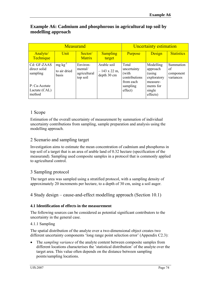### **Example A6: Cadmium and phosphorous in agricultural top soil by modelling approach**

| Measurand                                                                           |                                          |                                                 |                                              |                                                                                    | Uncertainty estimation                                                                         |                                           |
|-------------------------------------------------------------------------------------|------------------------------------------|-------------------------------------------------|----------------------------------------------|------------------------------------------------------------------------------------|------------------------------------------------------------------------------------------------|-------------------------------------------|
| Analyte/<br>Technique                                                               | Unit                                     | Sector/<br><b>Matrix</b>                        | <b>Sampling</b><br>target                    | Purpose                                                                            | Design                                                                                         | <b>Statistics</b>                         |
| Cd: GF-ZAAS<br>direct solid<br>sampling<br>P: Ca-Acetate<br>Lactate (CAL)<br>method | $mg \, kg^{-1}$<br>to air dried<br>basis | Environ-<br>mental/<br>agricultural<br>top soil | Arable soil<br>$-143$ x 22 m,<br>depth 30 cm | Total<br>uncertainty<br>(with<br>contributions<br>from each<br>sampling<br>effect) | Modelling<br>approach<br>(using)<br>exploratory<br>measure-<br>ments for<br>single<br>effects) | Summation<br>of<br>component<br>variances |

# 1 Scope

Estimation of the overall uncertainty of measurement by summation of individual uncertainty contributions from sampling, sample preparation and analysis using the modelling approach.

### 2 Scenario and sampling target

Investigation aims to estimate the mean concentration of cadmium and phosphorus in top soil of a target that is an area of arable land of 0.32 hectare (specification of the measurand). Sampling used composite samples in a protocol that is commonly applied to agricultural control.

### 3 Sampling protocol

The target area was sampled using a stratified protocol, with a sampling density of approximately 20 increments per hectare, to a depth of 30 cm, using a soil auger.

4 Study design – cause-and-effect modelling approach (Section 10.1)

### **4.1 Identification of effects in the measurement**

The following sources can be considered as potential significant contributors to the uncertainty in the general case.

### 4.1.1 Sampling

The spatial distribution of the analyte over a two-dimensional object creates two different uncertainty components 'long range point selection error' (Appendix C2.3):

• The *sampling variance* of the analyte content between composite samples from different locations characterises the 'statistical distribution' of the analyte over the target area. This value often depends on the distance between sampling points/sampling locations.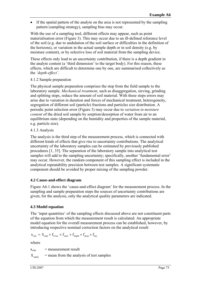• If the spatial pattern of the analyte on the area is not represented by the sampling pattern (sampling strategy), sampling bias may occur.

With the use of a sampling tool, different effects may appear, such as point materialisation error (Figure 3). This may occur due to an ill-defined reference level of the soil (e.g. due to undulation of the soil surface or difficulties in the definition of the horizons), or variation in the actual sample depth or in soil density (e.g. by moisture content), or by selective loss of soil material from the sampling device.

These effects only lead to an uncertainty contribution, if there is a depth gradient in the analyte content (a 'third dimension' to the target body). For this reason, these effects, which are difficult to determine one by one, are summarised collectively as the *'depth-effect'*.

#### 4.1.2 Sample preparation

The physical sample preparation comprises the step from the field sample to the laboratory sample. *Mechanical treatment*, such as disaggregation, sieving, grinding and splitting steps, reduce the amount of soil material. With these steps errors may arise due to variation in duration and forces of mechanical treatment, heterogeneity, segregation of different soil (particle) fractions and particles size distribution. A periodic point selection error (Figure 3) may occur due to *variation in moisture content* of the dried soil sample by sorption/desorption of water from air to an equilibrium state (depending on the humidity and properties of the sample material, e.g. particle size).

#### 4.1.3 Analysis

The analysis is the third step of the measurement process, which is connected with different kinds of effects that give rise to uncertainty contributions. The analytical uncertainty of the laboratory samples can be estimated by previously published procedures [1, 35]. The separation of the laboratory sample into analytical test samples will add to the sampling uncertainty; specifically, another 'fundamental error' may occur. However, the random component of this sampling effect is included in the analytical repeatability precision between test samples. A significant systematic component should be avoided by proper mixing of the sampling powder.

### **4.2 Cause-and-effect diagram**

Figure A6.1 shows the 'cause-and-effect diagram' for the measurement process. In the sampling and sample preparation steps the sources of uncertainty contributions are given; for the analysis, only the analytical quality parameters are indicated.

### **4.3 Model equation**

The 'input quantities' of the sampling effects discussed above are not constituent parts of the equation from which the measurement result is calculated. An appropriate model equation for the overall measurement process can be established, however, by introducing respective nominal correction factors on the analytical result:

$$
\mathbf{X}_{\text{site}} = \overline{\mathbf{X}}_{\text{only}} \times \mathbf{f}_{\text{b-loc}} \times \mathbf{f}_{\text{strat}} \times \mathbf{f}_{\text{depth}} \times \mathbf{f}_{\text{prep}} \times \mathbf{f}_{\text{dry}}
$$

where

 $x<sub>site</sub>$  = measurement result

 $\bar{x}_{\text{analytic}}$  = mean from the analysis of test samples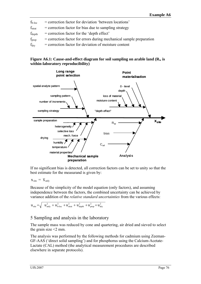| $f_{b-loc}$        | = correction factor for deviation 'between locations'                 |
|--------------------|-----------------------------------------------------------------------|
| $\rm f_{strat}$    | $=$ correction factor for bias due to sampling strategy               |
| $f_{\text{depth}}$ | $=$ correction factor for the 'depth effect'                          |
| $f_{\text{prep}}$  | $=$ correction factor for errors during mechanical sample preparation |
| $\rm f_{\rm dry}$  | $=$ correction factor for deviation of moisture content               |
|                    |                                                                       |

#### **Figure A6.1: Cause-and-effect diagram for soil sampling on arable land (** $\mathbb{R}_{w}$  **is within-laboratory reproducibility)**



If no significant bias is detected, all correction factors can be set to unity so that the best estimate for the measurand is given by:

$$
x_{site}\,=\,\overline{x}_{anly}
$$

Because of the simplicity of the model equation (only factors), and assuming independence between the factors, the combined uncertainty can be achieved by variance addition of the *relative standard uncertainties* from the various effects:

$$
u_{\text{site}}\!=\!\!\sqrt{-u_{\text{anly}}^2+u_{\text{b-loc}}^2+u_{\text{strat}}^2+u_{\text{depth}}^2+u_{\text{prep}}^2+u_{\text{dry}}^2}
$$

# 5 Sampling and analysis in the laboratory

The sample mass was reduced by cone and quartering, air dried and sieved to select the grain size  $\leq$  mm.

The analysis was performed by the following methods for cadmium using Zeeman-GF-AAS ('direct solid sampling') and for phosphorus using the Calcium-Acetate-Lactate (CAL) method (the analytical measurement procedures are described elsewhere in separate protocols).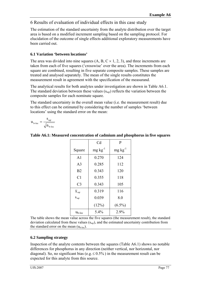# 6 Results of evaluation of individual effects in this case study

The estimation of the standard uncertainty from the analyte distribution over the target area is based on a modified increment sampling based on the sampling protocol. For elucidation of the outcome of single effects additional exploratory measurements have been carried out.

### **6.1 Variation 'between locations'**

The area was divided into nine squares  $(A, B, C \times 1, 2, 3)$ , and three increments are taken from each of five squares ('crosswise' over the area). The increments from each square are combined, resulting in five separate composite samples. These samples are treated and analysed separately. The mean of the single results constitutes the measurement result in agreement with the specification of the measurand.

The analytical results for both analytes under investigation are shown in Table A6.1. The standard deviation between these values  $(s_{\text{sar}})$  reflects the variation between the composite samples for each nominate square.

The standard uncertainty in the overall mean value (i.e. the measurement result) due to this effect can be estimated by considering the number of samples 'between locations' using the standard error on the mean:

$$
u_{b\text{-loc}}=\frac{s_{\text{sqrt}}}{\sqrt{n_{b\text{-loc}}}}
$$

### **Table A6.1: Measured concentration of cadmium and phosphorus in five squares**

|                              | C <sub>d</sub>  | P               |
|------------------------------|-----------------|-----------------|
| Square                       | $mg \, kg^{-1}$ | $mg \, kg^{-1}$ |
| A <sub>1</sub>               | 0.270           | 124             |
| A <sub>3</sub>               | 0.285           | 112             |
| B <sub>2</sub>               | 0.343           | 120             |
| C <sub>1</sub>               | 0.355           | 118             |
| C <sub>3</sub>               | 0.343           | 105             |
| $\overline{X}_{\text{sqrt}}$ | 0.319           | 116             |
| $S_{\text{sqr}}$             | 0.039           | 8.0             |
|                              | (12%)           | $(6.5\%)$       |
| $u_{b-loc}$                  | 5.4%            | 2.9%            |

The table shows the mean value across the five squares (the measurement result), the standard deviation calculated from these values  $(s_{\text{sqrt}})$ , and the estimated uncertainty contribution from the standard error on the mean  $(u_{b-loc})$ .

### **6.2 Sampling strategy**

Inspection of the analyte contents between the squares (Table A6.1) shows no notable differences for phosphorus in any direction (neither vertical, nor horizontal, nor diagonal). So, no significant bias (e.g.  $\leq 0.5\%$ ) in the measurement result can be expected for this analyte from this source.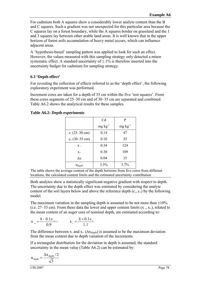For cadmium both A squares show a considerably lower analyte content than the B and C squares. Such a gradient was not unexpected for this particular area because the C squares lay on a forest boundary, while the A squares border on grassland and the 1 and 3 squares lay between other arable land areas. It is well known that in the upper horizon of forest soils accumulation of heavy metal occurs, which can influence adjacent areas.

A 'hypothesis-based' sampling pattern was applied to look for such an effect. However, the values measured with this sampling strategy only detected a minor systematic effect. A standard uncertainty of  $\leq 1\%$  is therefore inserted into the uncertainty budget for cadmium for sampling strategy.

### **6.3 'Depth effect'**

For revealing the collection of effects referred to as the 'depth effect', the following exploratory experiment was performed.

Increment cores are taken for a depth of 35 cm within the five 'test squares'. From these cores segments of 25–30 cm and of 30–35 cm are separated and combined. Table A6.2 shows the analytical results for these samples.

### **Table A6.2: Depth experiments**

|                         | C <sub>d</sub>  | P               |
|-------------------------|-----------------|-----------------|
|                         | $mg \, kg^{-1}$ | $mg \, kg^{-1}$ |
| c. $(25-30 \text{ cm})$ | 0.14            | 47              |
| $c_{+}$ (30–35 cm)      | 0.10            | 35              |
| $X$ .                   | 0.34            | 124             |
| $X_{+}$                 | 0.30            | 109             |
| $\Lambda$ x             | 0.04            | 15              |
| $u_{\text{depth}}$      | 3.5%            | 3.7%            |

The table shows the average content of the depth horizons from five cores from different locations, the calculated content limits and the estimated uncertainty contribution

Both analytes show a statistically significant negative gradient with respect to depth. The uncertainty due to the depth effect was estimated by considering the analyte content of the soil layers below and above the reference depth  $(c, c<sub>+</sub>)$  by the following model.

The maximum variation in the sampling depth is assumed to be not more than  $\pm 10\%$ (i.e. 27–33 cm). From these data the lower and upper content limits  $(x_-, x_+)$ , related to the mean content of an auger core of nominal depth, are estimated according to:

$$
x = \frac{\overline{x} - 0.1c}{0.9} \qquad x_{+} = \frac{\overline{x} + 0.1c_{+}}{1.1}
$$

The difference between x. and  $x_+(\Delta x_{\text{death}})$  is assumed to be the maximum deviation from the mean content due to depth variation of the increments.

If a rectangular distribution for the deviation in depth is assumed, the standard uncertainty in the mean value (Table A6.2) can be estimated by:

$$
u_{\text{depth}} = \frac{\Delta x_{\text{depth}} \mathop{/} 2}{\sqrt{3}}
$$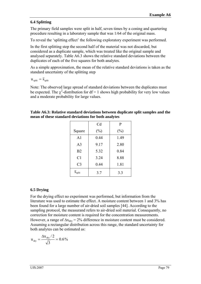### **6.4 Splitting**

The primary field samples were split in half, seven times by a coning and quartering procedure resulting in a laboratory sample that was 1/64 of the original mass.

To reveal the 'splitting effect' the following exploratory experiment was performed.

In the first splitting step the second half of the material was not discarded, but considered as a duplicate sample, which was treated like the original sample and analysed separately. Table A6.3 shows the relative standard deviations between the duplicates of each of the five squares for both analytes.

As a simple approximation, the mean of the relative standard deviations is taken as the standard uncertainty of the splitting step

 $u_{\text{split}} = \overline{s}_{\text{split}}$ 

Note: The observed large spread of standard deviations between the duplicates must be expected. The  $\chi^2$ -distribution for df = 1 shows high probability for very low values and a moderate probability for large values.

#### **Table A6.3: Relative standard deviations between duplicate split samples and the mean of these standard deviations for both analytes**

|                                 | C <sub>d</sub> | P      |
|---------------------------------|----------------|--------|
| Square                          | $(\%)$         | $(\%)$ |
| A <sub>1</sub>                  | 0.44           | 1.49   |
| A <sub>3</sub>                  | 9.17           | 2.80   |
| B <sub>2</sub>                  | 5.32           | 0.84   |
| C <sub>1</sub>                  | 3.24           | 8.88   |
| C <sub>3</sub>                  | 0.44           | 1.81   |
| $\overline{\mathbf{S}}_{split}$ | 3.7            | 3.3    |

### **6.5 Drying**

For the drying effect no experiment was performed, but information from the literature was used to estimate the effect. A moisture content between 1 and 3% has been found for a large number of air-dried soil samples [44]. According to the sampling protocol, the measurand refers to air-dried soil material. Consequently, no correction for moisture content is required for the concentration measurements. However, a range of  $\Delta x_{\text{div}} = 2\%$  difference in moisture content must be considered. Assuming a rectangular distribution across this range, the standard uncertainty for both analytes can be estimated as:

$$
u_{\text{dry}}=\frac{\Delta x_{\text{dry}}/2}{\sqrt{3}}=0.6\%
$$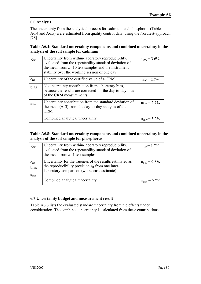#### **6.6 Analysis**

The uncertainty from the analytical process for cadmium and phosphorus (Tables A6.4 and A6.5) were estimated from quality control data, using the Nordtest-approach [25].

#### **Table A6.4: Standard uncertainty components and combined uncertainty in the analysis of the soil sample for cadmium**

| $R_W$     | Uncertainty from within-laboratory reproducibility,<br>evaluated from the repeatability standard deviation of<br>the mean from $n=10$ test samples and the instrument<br>stability over the working session of one day | $u_{\rm Rw} = 3.6\%$      |
|-----------|------------------------------------------------------------------------------------------------------------------------------------------------------------------------------------------------------------------------|---------------------------|
| $c_{ref}$ | Uncertainty of the certified value of a CRM                                                                                                                                                                            | $u_{ref} = 2.7\%$         |
| bias      | No uncertainty contribution from laboratory bias,<br>because the results are corrected for the day-to-day bias<br>of the CRM measurements                                                                              |                           |
| Sbias     | Uncertainty contribution from the standard deviation of<br>the mean $(n=3)$ from the day-to-day analysis of the<br><b>CRM</b>                                                                                          | $u_{bias} = 2.7\%$        |
|           | Combined analytical uncertainty                                                                                                                                                                                        | $u_{\text{anly}} = 5.2\%$ |

#### **Table A6.5: Standard uncertainty components and combined uncertainty in the analysis of the soil sample for phosphorus**

| $R_W$                                         | Uncertainty from within-laboratory reproducibility,<br>evaluated from the repeatability standard deviation of<br>the mean from $n=1$ test samples              | $u_{\text{Rw}} = 1.7\%$   |
|-----------------------------------------------|----------------------------------------------------------------------------------------------------------------------------------------------------------------|---------------------------|
| c <sub>ref</sub><br>bias<br>S <sub>bias</sub> | Uncertainty for the trueness of the results estimated as<br>the reproducibility precision $s_R$ from one inter-<br>laboratory comparison (worse case estimate) | $u_{bias} = 9.5\%$        |
|                                               | Combined analytical uncertainty                                                                                                                                | $u_{\text{anly}} = 9.7\%$ |

#### **6.7 Uncertainty budget and measurement result**

Table A6.6 lists the evaluated standard uncertainty from the effects under consideration. The combined uncertainty is calculated from these contributions.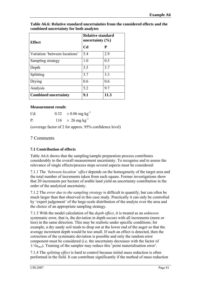| <b>Effect</b>                 | <b>Relative standard</b><br>uncertainty $(\% )$ |      |
|-------------------------------|-------------------------------------------------|------|
|                               | C <sub>d</sub>                                  | Р    |
| Variation 'between locations' | 5.4                                             | 2.9  |
| Sampling strategy             | 1.0                                             | 0.5  |
| Depth                         | 3.5                                             | 3.7  |
| Splitting                     | 3.7                                             | 3.3  |
| Drying                        | 0.6                                             | 0.6  |
| Analysis                      | 5.2                                             | 9.7  |
| <b>Combined uncertainty</b>   | 9.1                                             | 11.3 |

**Table A6.6: Relative standard uncertainties from the considered effects and the combined uncertainty for both analytes** 

#### **Measurement result:**

| $Cd$ : | $0.32 \pm 0.06$ mg kg <sup>-1</sup> |
|--------|-------------------------------------|
|        |                                     |

P:  $116 \pm 26 \text{ mg kg}^{-1}$ 

(coverage factor of 2 for approx. 95% confidence level)

### 7 Comments

### **7.1 Contribution of effects**

Table A6.6 shows that the sampling/sample preparation process contributes considerably to the overall measurement uncertainty. To recognise and to assess the relevance of single effects/process steps several aspects must be considered:

7.1.1 The *'between-location' effect* depends on the homogeneity of the target area and the total number of increments taken from each square. Former investigations show that 20 increments per hectare of arable land yield an uncertainty contribution in the order of the analytical uncertainty.

7.1.2 The *error due to the sampling strategy* is difficult to quantify, but can often be much larger than that observed in this case study. Practically it can only be controlled by 'expert judgement' of the large-scale distribution of the analyte over the area and the choice of an appropriate sampling strategy.

7.1.3 With the model calculation of the *depth effect*, it is treated as an *unknown* systematic error, that is, the deviation in depth occurs with all increments (more or less) in the same direction. This may be realistic under specific conditions; for example, a dry sandy soil tends to drop out at the lower end of the auger so that the average increment depth would be too small. If such an effect is detected, then the correction of the systematic deviation is possible and only the random error component must be considered (i.e. the uncertainty decreases with the factor of  $1/\sqrt{n_{\text{incr}}}$ ). Training of the sampler may reduce this 'point materialisation error'.

7.1.4 The *splitting effect* is hard to control because initial mass reduction is often performed in the field. It can contribute significantly if the method of mass reduction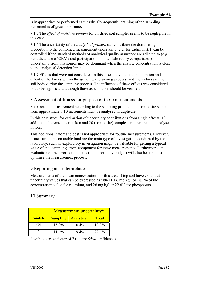is inappropriate or performed carelessly. Consequently, training of the sampling personnel is of great importance.

7.1.5 The *effect of moisture content* for air dried soil samples seems to be negligible in this case.

7.1.6 The uncertainty of the *analytical process* can contribute the dominating proportion to the combined measurement uncertainty (e.g. for cadmium). It can be controlled if the standard methods of analytical quality assurance are adhered to (e.g. periodical use of CRMs and participation on inter-laboratory comparisons). Uncertainty from this source may be dominant when the analyte concentration is close to the analytical detection limit.

7.1.7 Effects that were not considered in this case study include the duration and extent of the forces within the grinding and sieving process, and the wetness of the soil body during the sampling process. The influence of these effects was considered not to be significant, although these assumptions should be verified.

### 8 Assessment of fitness for purpose of these measurements

For a routine measurement according to the sampling protocol one composite sample from approximately 10 increments must be analysed in duplicate.

In this case study for estimation of uncertainty contributions from single effects, 10 additional increments are taken and 20 (composite) samples are prepared and analysed in total.

This additional effort and cost is not appropriate for routine measurements. However, if measurements on arable land are the main type of investigation conducted by the laboratory, such an exploratory investigation might be valuable for getting a typical value of the 'sampling error' component for these measurements. Furthermore, an evaluation of the error components (i.e. uncertainty budget) will also be useful to optimise the measurement process.

# 9 Reporting and interpretation

Measurements of the mean concentration for this area of top soil have expanded uncertainty values that can be expressed as either  $0.06$  mg kg<sup>-1</sup> or  $18.2\%$  of the concentration value for cadmium, and 26 mg  $kg^{-1}$  or 22.6% for phosphorus.

### 10 Summary

|                | Measurement uncertainty* |            |       |
|----------------|--------------------------|------------|-------|
| <b>Analyte</b> | <b>Sampling</b>          | Analytical | Total |
| Cd             | 15.0%                    | $10.4\%$   | 18.2% |
|                | 11.6%                    | 19.4%      | 22.6% |

\* with coverage factor of 2 (i.e. for 95% confidence)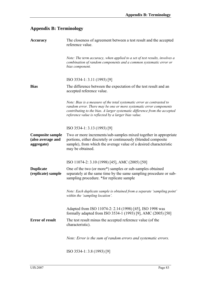# **Appendix B: Terminology**

| <b>Accuracy</b>                                            | The closeness of agreement between a test result and the accepted<br>reference value.                                                                                                                                                                                              |
|------------------------------------------------------------|------------------------------------------------------------------------------------------------------------------------------------------------------------------------------------------------------------------------------------------------------------------------------------|
|                                                            | Note: The term accuracy, when applied to a set of test results, involves a<br>combination of random components and a common systematic error or<br>bias component.                                                                                                                 |
|                                                            | ISO 3534-1: 3.11 (1993) [9]                                                                                                                                                                                                                                                        |
| <b>Bias</b>                                                | The difference between the expectation of the test result and an<br>accepted reference value.                                                                                                                                                                                      |
|                                                            | Note: Bias is a measure of the total systematic error as contrasted to<br>random error. There may be one or more systematic error components<br>contributing to the bias. A larger systematic difference from the accepted<br>reference value is reflected by a larger bias value. |
|                                                            | ISO 3534-1: 3.13 (1993) [9]                                                                                                                                                                                                                                                        |
| <b>Composite sample</b><br>(also average and<br>aggregate) | Two or more increments/sub-samples mixed together in appropriate<br>portions, either discretely or continuously (blended composite<br>sample), from which the average value of a desired characteristic<br>may be obtained.                                                        |
|                                                            | ISO 11074-2: 3.10 (1998) [45], AMC (2005) [50]                                                                                                                                                                                                                                     |
| <b>Duplicate</b><br>(replicate) sample                     | One of the two (or more*) samples or sub-samples obtained<br>separately at the same time by the same sampling procedure or sub-<br>sampling procedure. * for replicate sample                                                                                                      |
|                                                            | Note: Each duplicate sample is obtained from a separate 'sampling point'<br>within the 'sampling location'.                                                                                                                                                                        |
|                                                            | Adapted from ISO 11074-2: 2.14 (1998) [45], ISO 1998 was<br>formally adapted from ISO 3534-1 (1993) [9], AMC (2005) [50]                                                                                                                                                           |
| <b>Error of result</b>                                     | The test result minus the accepted reference value (of the<br>characteristic).                                                                                                                                                                                                     |
|                                                            | Note: Error is the sum of random errors and systematic errors.                                                                                                                                                                                                                     |
|                                                            | ISO 3534-1: 3.8 (1993) [9]                                                                                                                                                                                                                                                         |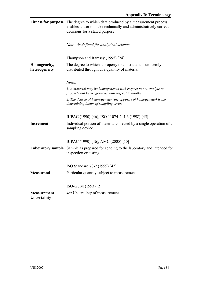|                                   | <b>Fitness for purpose</b> The degree to which data produced by a measurement process<br>enables a user to make technically and administratively correct<br>decisions for a stated purpose. |
|-----------------------------------|---------------------------------------------------------------------------------------------------------------------------------------------------------------------------------------------|
|                                   | Note: As defined for analytical science.                                                                                                                                                    |
|                                   | Thompson and Ramsey (1995) [24]                                                                                                                                                             |
| Homogeneity,<br>heterogeneity     | The degree to which a property or constituent is uniformly<br>distributed throughout a quantity of material.                                                                                |
|                                   | Notes:                                                                                                                                                                                      |
|                                   | 1. A material may be homogeneous with respect to one analyte or<br>property but heterogeneous with respect to another.                                                                      |
|                                   | 2. The degree of heterogeneity (the opposite of homogeneity) is the<br>determining factor of sampling error.                                                                                |
|                                   | IUPAC (1990) [46]; ISO 11074-2: 1.6 (1998) [45]                                                                                                                                             |
| <b>Increment</b>                  | Individual portion of material collected by a single operation of a<br>sampling device.                                                                                                     |
|                                   | IUPAC (1990) [46], AMC (2005) [50]                                                                                                                                                          |
| <b>Laboratory sample</b>          | Sample as prepared for sending to the laboratory and intended for<br>inspection or testing.                                                                                                 |
|                                   | ISO Standard 78-2 (1999) [47]                                                                                                                                                               |
| <b>Measurand</b>                  | Particular quantity subject to measurement.                                                                                                                                                 |
|                                   | ISO-GUM (1993) [2]                                                                                                                                                                          |
| <b>Measurement</b><br>Uncertainty | see Uncertainty of measurement                                                                                                                                                              |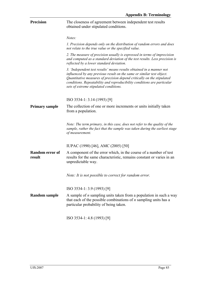| <b>Precision</b>                 | The closeness of agreement between independent test results<br>obtained under stipulated conditions.                                                                                                                                                                                                                                         |
|----------------------------------|----------------------------------------------------------------------------------------------------------------------------------------------------------------------------------------------------------------------------------------------------------------------------------------------------------------------------------------------|
|                                  | Notes:                                                                                                                                                                                                                                                                                                                                       |
|                                  | 1. Precision depends only on the distribution of random errors and does<br>not relate to the true value or the specified value.                                                                                                                                                                                                              |
|                                  | 2. The measure of precision usually is expressed in terms of imprecision<br>and computed as a standard deviation of the test results. Less precision is<br>reflected by a lower standard deviation.                                                                                                                                          |
|                                  | 3. 'Independent test results' means results obtained in a manner not<br>influenced by any previous result on the same or similar test object.<br>Quantitative measures of precision depend critically on the stipulated<br>conditions. Repeatability and reproducibility conditions are particular<br>sets of extreme stipulated conditions. |
|                                  | ISO 3534-1: 3.14 (1993) [9]                                                                                                                                                                                                                                                                                                                  |
| <b>Primary sample</b>            | The collection of one or more increments or units initially taken<br>from a population.                                                                                                                                                                                                                                                      |
|                                  | Note: The term primary, in this case, does not refer to the quality of the<br>sample, rather the fact that the sample was taken during the earliest stage<br>of measurement.                                                                                                                                                                 |
|                                  | IUPAC (1990) [46], AMC (2005) [50]                                                                                                                                                                                                                                                                                                           |
| <b>Random error of</b><br>result | A component of the error which, in the course of a number of test<br>results for the same characteristic, remains constant or varies in an<br>unpredictable way.                                                                                                                                                                             |
|                                  | Note: It is not possible to correct for random error.                                                                                                                                                                                                                                                                                        |
|                                  | ISO 3534-1: 3.9 (1993) [9]                                                                                                                                                                                                                                                                                                                   |
| <b>Random sample</b>             | A sample of $n$ sampling units taken from a population in such a way<br>that each of the possible combinations of $n$ sampling units has a<br>particular probability of being taken.                                                                                                                                                         |
|                                  |                                                                                                                                                                                                                                                                                                                                              |

ISO 3534-1: 4.8 (1993) [9]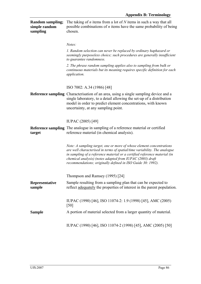| <b>Random sampling;</b><br>simple random<br>sampling | The taking of $n$ items from a lot of $N$ items in such a way that all<br>possible combinations of $n$ items have the same probability of being<br>chosen.                                                                                                                                                                                                 |
|------------------------------------------------------|------------------------------------------------------------------------------------------------------------------------------------------------------------------------------------------------------------------------------------------------------------------------------------------------------------------------------------------------------------|
|                                                      | Notes:                                                                                                                                                                                                                                                                                                                                                     |
|                                                      | 1. Random selection can never be replaced by ordinary haphazard or<br>seemingly purposeless choice; such procedures are generally insufficient<br>to guarantee randomness.                                                                                                                                                                                 |
|                                                      | 2. The phrase random sampling applies also to sampling from bulk or<br>continuous materials but its meaning requires specific definition for each<br>application.                                                                                                                                                                                          |
|                                                      | ISO 7002: A.34 (1986) [48]                                                                                                                                                                                                                                                                                                                                 |
|                                                      | <b>Reference sampling</b> Characterisation of an area, using a single sampling device and a<br>single laboratory, to a detail allowing the set-up of a distribution<br>model in order to predict element concentrations, with known<br>uncertainty, at any sampling point.                                                                                 |
|                                                      | IUPAC (2005) [49]                                                                                                                                                                                                                                                                                                                                          |
| target                                               | Reference sampling The analogue in sampling of a reference material or certified<br>reference material (in chemical analysis).                                                                                                                                                                                                                             |
|                                                      | Note: A sampling target, one or more of whose element concentrations<br>are well characterised in terms of spatial/time variability. The analogue<br>in sampling of a reference material or a certified reference material (in<br>chemical analysis) (notes adapted from IUPAC (2003) draft<br>recommendations; originally defined in ISO Guide 30: 1992). |
|                                                      | Thompson and Ramsey (1995) [24]                                                                                                                                                                                                                                                                                                                            |
| Representative<br>sample                             | Sample resulting from a sampling plan that can be expected to<br>reflect adequately the properties of interest in the parent population.                                                                                                                                                                                                                   |
|                                                      | IUPAC (1990) [46], ISO 11074-2: 1.9 (1998) [45], AMC (2005)<br>[50]                                                                                                                                                                                                                                                                                        |
| <b>Sample</b>                                        | A portion of material selected from a larger quantity of material.                                                                                                                                                                                                                                                                                         |
|                                                      | IUPAC (1990) [46], ISO 11074-2 (1998) [45], AMC (2005) [50]                                                                                                                                                                                                                                                                                                |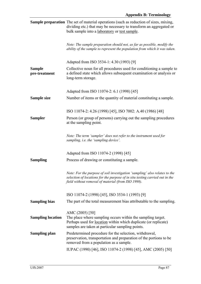|                                | <b>Sample preparation</b> The set of material operations (such as reduction of sizes, mixing,<br>dividing etc.) that may be necessary to transform an aggregated or<br>bulk sample into a laboratory or test sample. |
|--------------------------------|----------------------------------------------------------------------------------------------------------------------------------------------------------------------------------------------------------------------|
|                                | Note: The sample preparation should not, as far as possible, modify the<br>ability of the sample to represent the population from which it was taken.                                                                |
|                                | Adapted from ISO 3534-1: 4.30 (1993) [9]                                                                                                                                                                             |
| <b>Sample</b><br>pre-treatment | Collective noun for all procedures used for conditioning a sample to<br>a defined state which allows subsequent examination or analysis or<br>long-term storage.                                                     |
|                                | Adapted from ISO 11074-2: 6.1 (1998) [45]                                                                                                                                                                            |
| <b>Sample size</b>             | Number of items or the quantity of material constituting a sample.                                                                                                                                                   |
|                                | ISO 11074-2: 4.26 (1998) [45], ISO 7002: A.40 (1986) [48]                                                                                                                                                            |
| <b>Sampler</b>                 | Person (or group of persons) carrying out the sampling procedures<br>at the sampling point.                                                                                                                          |
|                                | Note: The term 'sampler' does not refer to the instrument used for<br>sampling, i.e. the 'sampling device'.                                                                                                          |
|                                | Adapted from ISO 11074-2 (1998) [45]                                                                                                                                                                                 |
| <b>Sampling</b>                | Process of drawing or constituting a sample.                                                                                                                                                                         |
|                                | Note: For the purpose of soil investigation 'sampling' also relates to the<br>selection of locations for the purpose of in situ testing carried out in the<br>field without removal of material (from ISO 1998).     |
|                                | ISO 11074-2 (1998) [45], ISO 3534-1 (1993) [9]                                                                                                                                                                       |
| <b>Sampling bias</b>           | The part of the total measurement bias attributable to the sampling.                                                                                                                                                 |
| <b>Sampling location</b>       | AMC (2005) [50]<br>The place where sampling occurs within the sampling target.<br>Perhaps used for <u>location</u> within which duplicate (or replicate)<br>samples are taken at particular sampling points.         |
| <b>Sampling plan</b>           | Predetermined procedure for the selection, withdrawal,<br>preservation, transportation and preparation of the portions to be<br>removed from a population as a sample.                                               |
|                                | IUPAC (1990) [46], ISO 11074-2 (1998) [45], AMC (2005) [50]                                                                                                                                                          |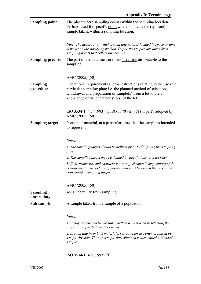| <b>Sampling point</b>          | The place where sampling occurs within the sampling location.<br>Perhaps used for specific point where duplicate (or replicate)<br>sample taken, within a sampling location.                                                                                 |
|--------------------------------|--------------------------------------------------------------------------------------------------------------------------------------------------------------------------------------------------------------------------------------------------------------|
|                                | Note: The accuracy at which a sampling point is located in space or time<br>depends on the surveying method. Duplicate samples are taken from<br>sampling points that reflect this accuracy.                                                                 |
| <b>Sampling precision</b>      | The part of the total measurement precision attributable to the<br>sampling.                                                                                                                                                                                 |
|                                | AMC (2005) [50]                                                                                                                                                                                                                                              |
| <b>Sampling</b><br>procedure   | Operational requirements and/or instructions relating to the use of a<br>particular sampling plan; i.e. the planned method of selection,<br>withdrawal and preparation of sample(s) from a lot to yield<br>knowledge of the characteristic $(s)$ of the lot. |
|                                | ISO 3534-1: 4.5 (1993) [], ISO 11704-2 [45] (in part), adopted by<br>AMC (2005) [50]                                                                                                                                                                         |
| <b>Sampling target</b>         | Portion of material, at a particular time, that the sample is intended<br>to represent.                                                                                                                                                                      |
|                                | Notes:                                                                                                                                                                                                                                                       |
|                                | 1. The sampling target should be defined prior to designing the sampling<br>plan.                                                                                                                                                                            |
|                                | 2. The sampling target may be defined by Regulations (e.g. lot size).                                                                                                                                                                                        |
|                                | 3. If the properties and characteristics (e.g. chemical composition) of the<br>certain area or period are of interest and must be known then it can be<br>considered a sampling target.                                                                      |
|                                | AMC (2005) [50]                                                                                                                                                                                                                                              |
| <b>Sampling</b><br>uncertainty | see Uncertainty from sampling                                                                                                                                                                                                                                |
| Sub-sample                     | A sample taken from a sample of a population.                                                                                                                                                                                                                |
|                                | Notes:                                                                                                                                                                                                                                                       |
|                                | 1. It may be selected by the same method as was used in selecting the<br>original sample, but need not be so.                                                                                                                                                |
|                                | 2. In sampling from bulk materials, sub-samples are often prepared by<br>sample division. The sub-sample thus obtained is also called a 'divided<br>sample'.                                                                                                 |
|                                | ISO 3534-1: 4.8 (1993) [9]                                                                                                                                                                                                                                   |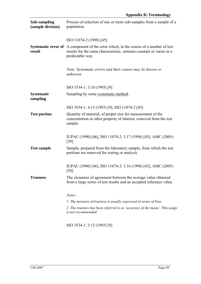| Sub-sampling<br>(sample division) | Process of selection of one or more sub-samples from a sample of a<br>population.                                                                                                        |
|-----------------------------------|------------------------------------------------------------------------------------------------------------------------------------------------------------------------------------------|
|                                   | ISO 11074-2 (1998) [45]                                                                                                                                                                  |
| result                            | <b>Systematic error of</b> A component of the error which, in the course of a number of test<br>results for the same characteristic, remains constant or varies in a<br>predictable way. |
|                                   | Note: Systematic errors and their causes may be known or<br>unknown.                                                                                                                     |
|                                   | ISO 3534-1: 3.10 (1993) [9]                                                                                                                                                              |
| <b>Systematic</b><br>sampling     | Sampling by some systematic method.                                                                                                                                                      |
|                                   | ISO 3534-1: 4.15 (1993) [9], ISO 11074-2 [45]                                                                                                                                            |
| <b>Test portion</b>               | Quantity of material, of proper size for measurement of the<br>concentration or other property of interest, removed from the test<br>sample.                                             |
|                                   | IUPAC (1990) [46], ISO 11074-2: 3.17 (1998) [45], AMC (2005)<br>[50]                                                                                                                     |
| <b>Test sample</b>                | Sample, prepared from the laboratory sample, from which the test<br>portions are removed for testing or analysis.                                                                        |
|                                   | IUPAC (1990) [46], ISO 11074-2: 3.16 (1998) [45], AMC (2005)<br>[50]                                                                                                                     |
| <b>Trueness</b>                   | The closeness of agreement between the average value obtained<br>from a large series of test results and an accepted reference value.                                                    |
|                                   | Notes:                                                                                                                                                                                   |
|                                   | 1. The measure of trueness is usually expressed in terms of bias.                                                                                                                        |
|                                   | 2. The trueness has been referred to as 'accuracy of the mean'. This usage<br>is not recommended.                                                                                        |
|                                   | ISO 3534-1: 3.12 (1993) [9]                                                                                                                                                              |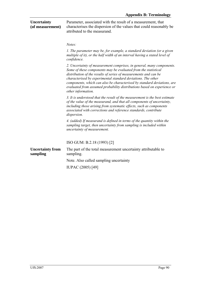| Uncertainty<br>(of measurement)     | Parameter, associated with the result of a measurement, that<br>characterises the dispersion of the values that could reasonably be<br>attributed to the measurand.                                                                                                                                                                                                                                                                                     |
|-------------------------------------|---------------------------------------------------------------------------------------------------------------------------------------------------------------------------------------------------------------------------------------------------------------------------------------------------------------------------------------------------------------------------------------------------------------------------------------------------------|
|                                     | Notes:                                                                                                                                                                                                                                                                                                                                                                                                                                                  |
|                                     | 1. The parameter may be, for example, a standard deviation (or a given<br>multiple of it), or the half width of an interval having a stated level of<br>confidence.                                                                                                                                                                                                                                                                                     |
|                                     | 2. Uncertainty of measurement comprises, in general, many components.<br>Some of these components may be evaluated from the statistical<br>distribution of the results of series of measurements and can be<br>characterised by experimental standard deviations. The other<br>components, which can also be characterised by standard deviations, are<br>evaluated from assumed probability distributions based on experience or<br>other information. |
|                                     | 3. It is understood that the result of the measurement is the best estimate<br>of the value of the measurand, and that all components of uncertainty,<br>including those arising from systematic effects, such as components<br>associated with corrections and reference standards, contribute<br>dispersion.                                                                                                                                          |
|                                     | 4. (added) If measurand is defined in terms of the quantity within the<br>sampling target, then uncertainty from sampling is included within<br>uncertainty of measurement.                                                                                                                                                                                                                                                                             |
|                                     | ISO GUM: B.2.18 (1993) [2]                                                                                                                                                                                                                                                                                                                                                                                                                              |
| <b>Uncertainty from</b><br>sampling | The part of the total measurement uncertainty attributable to<br>sampling.                                                                                                                                                                                                                                                                                                                                                                              |
|                                     | Note. Also called sampling uncertainty                                                                                                                                                                                                                                                                                                                                                                                                                  |
|                                     | IUPAC (2005) [49]                                                                                                                                                                                                                                                                                                                                                                                                                                       |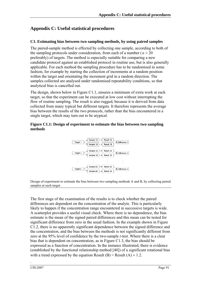# **Appendix C: Useful statistical procedures**

### **C1. Estimating bias between two sampling methods, by using paired samples**

The paired-sample method is effected by collecting one sample, according to both of the sampling protocols under consideration, from each of a number ( $n > 20$ ) preferably) of targets. The method is especially suitable for comparing a new candidate protocol against an established protocol in routine use, but is also generally applicable. For each method the sampling procedure has to be randomised in some fashion, for example by starting the collection of increments at a random position within the target and orientating the increment grid in a random direction. The samples collected are analysed under randomised repeatability conditions, so that analytical bias is cancelled out.

The design, shown below in Figure C1.1, ensures a minimum of extra work at each target, so that the experiment can be executed at low cost without interrupting the flow of routine sampling. The result is also rugged, because it is derived from data collected from many typical but different targets. It therefore represents the average bias between the results of the two protocols, rather than the bias encountered in a single target, which may turn out to be atypical.

#### **Figure C1.1: Design of experiment to estimate the bias between two sampling methods**



Design of experiment to estimate the bias between two sampling methods A and B, by collecting paired samples at each target.

The first stage of the examination of the results is to check whether the paired differences are dependent on the concentration of the analyte. This is particularly likely to happen if the concentration range encountered in successive targets is wide. A scatterplot provides a useful visual check. Where there is no dependence, the bias estimate is the mean of the signed paired differences and this mean can be tested for significant difference from zero in the usual fashion. In the example shown in Figure C1.2, there is no apparently significant dependence between the signed difference and the concentration, and the bias between the methods is not significantly different from zero at the 95% level of confidence by the two-sample *t*-test. Where there is a clear bias that is dependent on concentration, as in Figure C1.3, the bias should be expressed as a function of concentration. In the instance illustrated, there is evidence (established by the functional relationship method [40]) of a significant rotational bias with a trend expressed by the equation Result (B) = Result (A)  $\times$  1.2.

.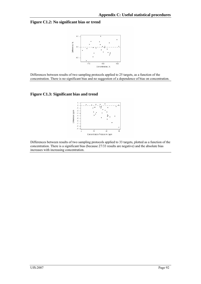### **Figure C1.2: No significant bias or trend**



Differences between results of two sampling protocols applied to 25 targets, as a function of the concentration. There is no significant bias and no suggestion of a dependence of bias on concentration.

#### **Figure C1.3: Significant bias and trend**



Differences between results of two sampling protocols applied to 33 targets, plotted as a function of the concentration. There is a significant bias (because 27/33 results are negative) and the absolute bias increases with increasing concentration.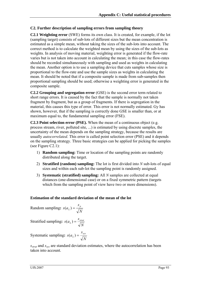#### **C2. Further description of sampling errors from sampling theory**

**C2.1 Weighting error** (SWE) forms its own class. It is created, for example, if the lot (sampling target) consists of sub-lots of different sizes but the mean concentration is estimated as a simple mean, without taking the sizes of the sub-lots into account. The correct method is to calculate the weighted mean by using the sizes of the sub-lots as weights. In analysis of moving material, weighting error is generated if the flow-rate varies but is not taken into account in calculating the mean; in this case the flow-rates should be recorded simultaneously with sampling and used as weights in calculating the mean. Another option is to use a sampling device that cuts samples whose size is proportional to the flow-rate and use the sample sizes as weights in calculating the mean. It should be noted that if a composite sample is made from sub-samples then proportional sampling should be used; otherwise a weighting error is generated in the composite sample.

**C2.2 Grouping and segregation error** (GSE) is the second error term related to short range errors. It is caused by the fact that the sample is normally not taken fragment by fragment, but as a group of fragments. If there is segregation in the material, this causes this type of error. This error is not normally estimated. Gy has shown, however, that if the sampling is correctly done GSE is smaller than, or at maximum equal to, the fundamental sampling error (FSE).

**C2.3 Point selection error (PSE).** When the mean of a continuous object (e.g. process stream, river, polluted site, ...) is estimated by using discrete samples, the uncertainty of the mean depends on the sampling strategy, because the results are usually *autocorrelated*. This error is called point selection error (PSE) and it depends on the sampling strategy. Three basic strategies can be applied for picking the samples (see Figure C2.1):

- 1) **Random sampling:** Time or location of the sampling points are randomly distributed along the target.
- 2) **Stratified (random) sampling:** The lot is first divided into *N* sub-lots of equal sizes and within each sub-lot the sampling point is randomly assigned.
- 3) **Systematic (stratified) sampling:** All *N* samples are collected at equal distances (one-dimensional case) or on a fixed symmetric pattern (targets which from the sampling point of view have two or more dimensions).

### **Estimation of the standard deviation of the mean of the lot**

Random sampling: 
$$
s(a_L) = \frac{s_p}{\sqrt{N}}
$$

Stratified sampling**:**  *N*  $s(a_L) = \frac{S_{\text{strat}}}{\sqrt{N}}$ 

Systematic sampling**:**  *N*  $s(a_L) = \frac{s_{sys}}{\sqrt{N}}$ 

*S<sub>strat</sub>* and *S<sub>sys</sub>* are standard deviation estimates, where the autocorrelation has been taken into account.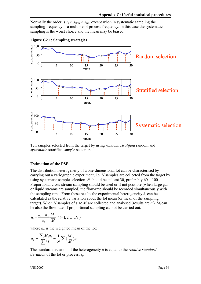Normally the order is  $s_p > s_{strat} > s_{sys}$ , except when in systematic sampling the sampling frequency is a multiple of process frequency. In this case the systematic sampling is the worst choice and the mean may be biased.





### **Estimation of the PSE**

The distribution heterogeneity of a one-dimensional lot can be characterised by carrying out a variographic experiment, i.e. *N* samples are collected from the target by using systematic sample selection. *N* should be at least 30, preferably 60…100. Proportional cross-stream sampling should be used or if not possible (when large gas or liquid streams are sampled) the flow-rate should be recorded simultaneously with the sampling time. From these results the experimental heterogeneity  $h_i$  can be calculated as the relative variation about the lot mean (or mean of the sampling target). When *N* samples of size  $M_i$  are collected and analysed (results are  $a_i$ ).  $M_i$  can be also the flow-rate, if proportional sampling cannot be carried out.

$$
h_i = \frac{a_i - a_L}{a_L} \frac{M_i}{\overline{M}} (i = 1, 2, ..., N)
$$

where  $a<sub>L</sub>$  is the weighted mean of the lot:

$$
a_L = \frac{\sum M_i a_i}{\sum M_i} = \frac{1}{N} \sum \left(\frac{M_i}{\overline{M}}\right) a_i
$$

The standard deviation of the heterogeneity *h* is equal to the *relative standard deviation* of the lot or process, *sp*.

Ten samples selected from the target by using *random*, *stratified* random and *systematic* stratified sample selection.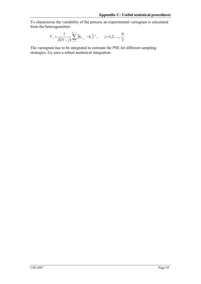To characterise the variability of the process an experimental variogram is calculated from the heterogeneities:

$$
V_j = \frac{1}{2(N-j)} \sum_{i=1}^{N-j} \left( h_{i+j} - h_i \right)^2, \quad j = 1, 2, \dots, \frac{N}{2}
$$

The variogram has to be integrated to estimate the PSE for different sampling strategies. Gy uses a robust numerical integration.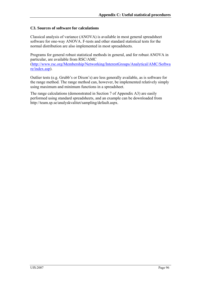#### **C3. Sources of software for calculations**

Classical analysis of variance (ANOVA) is available in most general spreadsheet software for one-way ANOVA. F-tests and other standard statistical tests for the normal distribution are also implemented in most spreadsheets.

Programs for general robust statistical methods in general, and for robust ANOVA in particular, are available from RSC/AMC

(http://www.rsc.org/Membership/Networking/InterestGroups/Analytical/AMC/Softwa re/index.asp).

Outlier tests (e.g. Grubb's or Dixon's) are less generally available, as is software for the range method. The range method can, however, be implemented relatively simply using maximum and minimum functions in a spreadsheet.

The range calculations (demonstrated in Section 7 of Appendix A3) are easily performed using standard spreadsheets, and an example can be downloaded from http://team.sp.se/analyskvalitet/sampling/default.aspx.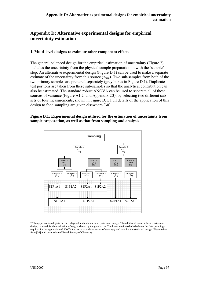# **Appendix D: Alternative experimental designs for empirical uncertainty estimation**

#### **1. Multi-level designs to estimate other component effects**

The general balanced design for the empirical estimation of uncertainty (Figure 2) includes the uncertainty from the physical sample preparation in with the 'sample' step. An alternative experimental design (Figure D.1) can be used to make a separate estimate of the uncertainty from this source ( $s_{\text{prep}}$ ). Two sub-samples from both of the two primary samples are prepared separately (grey boxes in Figure D.1). Duplicate test portions are taken from these sub-samples so that the analytical contribution can also be estimated. The standard robust ANOVA can be used to separate all of these sources of variance (Figure A1.2, and Appendix C3), by selecting two different subsets of four measurements, shown in Figure D.1. Full details of the application of this design to food sampling are given elsewhere [30].

#### **Figure D.1: Experimental design utilised for the estimation of uncertainty from sample preparation, as well as that from sampling and analysis**



\* The upper section depicts the three-layered and unbalanced experimental design. The additional layer in this experimental design, required for the evaluation of *sprep*, is shown by the grey boxes. The lower section (shaded) shows the data groupings required for the application of ANOVA so as to provide estimates of *ssamp*, *sprep* and *sana*l, i.e. the statistical design. Figure taken from [30] with permission of Royal Society of Chemistry.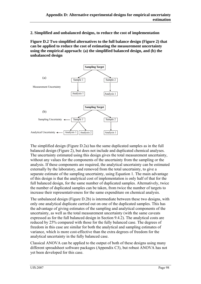**2. Simplified and unbalanced designs, to reduce the cost of implementation** 

**Figure D.2 Two simplified alternatives to the full balance design (Figure 2) that can be applied to reduce the cost of estimating the measurement uncertainty using the empirical approach: (a) the simplified balanced design, and (b) the unbalanced design** 



The simplified design (Figure D.2a) has the same duplicated samples as in the full balanced design (Figure 2), but does not include and duplicated chemical analyses. The uncertainty estimated using this design gives the total measurement uncertainty, without any values for the components of the uncertainty from the sampling or the analysis. If these components are required, the analytical uncertainty can be estimated externally by the laboratory, and removed from the total uncertainty, to give a separate estimate of the sampling uncertainty, using Equation 1. The main advantage of this design is that the analytical cost of implementation is only half of that for the full balanced design, for the same number of duplicated samples. Alternatively, twice the number of duplicated samples can be taken, from twice the number of targets to increase their representativeness for the same expenditure on chemical analysis.

The unbalanced design (Figure D.2b) is intermediate between these two designs, with only one analytical duplicate carried out on one of the duplicated samples. This has the advantage of giving estimates of the sampling and analytical components of the uncertainty, as well as the total measurement uncertainty (with the same caveats expressed as for the full balanced design in Section 9.4.2). The analytical costs are reduced by 25% compared with those for the fully balanced case. The degrees of freedom in this case are similar for both the analytical and sampling estimates of variance, which is more cost-effective than the extra degrees of freedom for the analytical uncertainty in the fully balanced case.

Classical ANOVA can be applied to the output of both of these designs using many different spreadsheet software packages (Appendix C3), but robust ANOVA has not yet been developed for this case.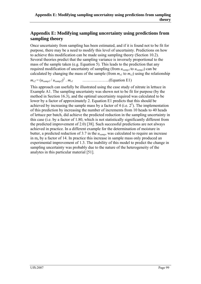# **Appendix E: Modifying sampling uncertainty using predictions from sampling theory**

Once uncertainty from sampling has been estimated, and if it is found not to be fit for purpose, there may be a need to modify this level of uncertainty. Predictions on how to achieve this modification can be made using sampling theory (Section 10.2). Several theories predict that the sampling variance is inversely proportional to the mass of the sample taken (e.g. Equation 5). This leads to the prediction that any required modification of uncertainty of sampling (from  $u_{\text{sample1}}$  to  $u_{\text{sample2}}$ ) can be calculated by changing the mass of the sample (from  $m<sub>s1</sub>$  to  $m<sub>s2</sub>$ ) using the relationship

 $m_{s2} = (u_{samp1} / u_{samp2})^2$ . *ms1* ………………..(Equation E1)

This approach can usefully be illustrated using the case study of nitrate in lettuce in Example A1. The sampling uncertainty was shown not to be fit for purpose (by the method in Section 16.3), and the optimal uncertainty required was calculated to be lower by a factor of approximately 2. Equation E1 predicts that this should be achieved by increasing the sample mass by a factor of 4 (i.e.  $2^2$ ). The implementation of this prediction by increasing the number of increments from 10 heads to 40 heads of lettuce per batch, did achieve the predicted reduction in the sampling uncertainty in this case (i.e. by a factor of 1.80, which is not statistically significantly different from the predicted improvement of 2.0) [38]. Such successful predictions are not always achieved in practice. In a different example for the determination of moisture in butter, a predicted reduction of 3.7 in the  $u_{\text{sum}}$ , was calculated to require an increase in  $m_s$  by a factor of 14. In practice this increase in sample mass only produced an experimental improvement of 1.3. The inability of this model to predict the change in sampling uncertainty was probably due to the nature of the heterogeneity of the analytes in this particular material [51].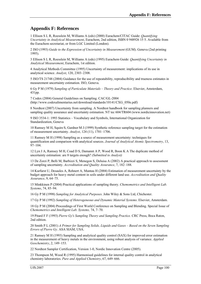### **Appendix F: References**

1 Ellison S L R, Roesslein M, Williams A (eds) (2000) Eurachem/CITAC Guide: *Quantifying Uncertainty in Analytical Measurement*, Eurachem, 2nd edition, ISBN 0 948926 15 5. Available from the Eurachem secretariat, or from LGC Limited (London).

2 ISO (1993) *Guide to the Expression of Uncertainty in Measurement* (GUM). Geneva (2nd printing 1995).

3 Ellison S L R, Roesslein M, Williams A (eds) (1995) Eurachem Guide: *Quantifying Uncertainty in Analytical Measurement*, Eurachem, 1st edition.

4 Analytical Methods Committee (1995) Uncertainty of measurement: implications of its use in analytical science. *Analyst*, 120, 2303–2308.

5 ISO/TS 21748 (2004) Guidance for the use of repeatability, reproducibility and trueness estimates in measurement uncertainty estimation. ISO, Geneva.

6 Gy P M (1979) *Sampling of Particulate Materials – Theory and Practice*. Elsevier, Amsterdam, 431pp.

7 Codex (2004) General Guidelines on Sampling. CAC/GL-2004 (http://www.codexalimentarius.net/download/standards/10141/CXG\_050e.pdf)

8 Nordtest (2007) Uncertainty from sampling. A Nordtest handbook for sampling planners and sampling quality assurance and uncertainty estimation. NT tec 604/TR604 (www.nordicinnovation.net)

9 ISO 3534-1: 1993 Statistics – Vocabulary and Symbols, International Organization for Standardization, Geneva

10 Ramsey M H, Squire S, Gardner M J (1999) Synthetic reference sampling target for the estimation of measurement uncertainty. *Analyst*, 124 (11), 1701–1706.

11 Ramsey M H (1998) Sampling as a source of measurement uncertainty: techniques for quantification and comparison with analytical sources. *Journal of Analytical Atomic Spectrometry*, 13, 97–104.

12 Lyn J A, Ramsey M H, Coad D S, Damannt A P, Wood R, Boon K A The duplicate method of uncertainty estimation: are 8 targets enough? *(Submitted to Analyst)*

13 De Zorzi P, Belli M, Barbizzi S, Menegon S, Deluisa A (2002) A practical approach to assessment of sampling uncertainty. *Accreditation and Quality Assurance*, 7, 182–188.

14 Kurfurst U, Desaules A, Rehnert A, Muntau H (2004) Estimation of measurement uncertainty by the budget approach for heavy metal content in soils under different land use. *Accreditation and Quality Assurance*, 9, 64–75.

15 Minkkinen P (2004) Practical applications of sampling theory. *Chemometrics and Intelligent Lab. Systems*, 74, 85–94.

16 Gy P M (1998) *Sampling for Analytical Purposes*. John Wiley & Sons Ltd, Chichester.

17 Gy P M (1992) *Sampling of Heterogeneous and Dynamic Material Systems*. Elsevier, Amsterdam.

18 Gy P M (2004) Proceedings of First World Conference on Sampling and Blending. Special Issue of *Chemometrics and Intelligent Lab. Systems,* 74, 7–70.

19 Pitard F F (1993) *Pierre Gy's Sampling Theory and Sampling Practice.* CRC Press, Boca Raton, 2nd edition.

20 Smith P L (2001) *A Primer for Sampling Solids, Liquids and Gases – Based on the Seven Sampling Errors of Pierre Gy*. ASA SIAM, USA.

21 Ramsey M H (1993) Sampling and analytical quality control (SAX) for improved error estimation in the measurement of heavy metals in the environment, using robust analysis of variance. *Applied Geochemistry*, 2, 149–153.

22 Nordtest Sampler Certification, Version 1-0, Nordic Innovation Centre (2005).

23 Thompson M, Wood R (1995) Harmonised guidelines for internal quality control in analytical chemistry laboratories. *Pure and Applied Chemistry*, 67, 649–666.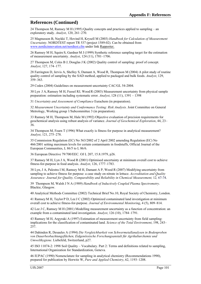## **References (Continued)**

24 Thompson M, Ramsey M H (1995) Quality concepts and practices applied to sampling – an exploratory study. *Analyst*, 120, 261–270.

25 Magnusson B, Naykki T, Hovind H, Krysell M (2003) *Handbook for Calculation of Measurement Uncertainty*. NORDTEST report TR 537 (project 1589-02). Can be obtained from www.nordicinnovation.net/nordtest.cfm under link Rapporter.

26 Ramsey M H, Squire S, Gardner M J (1999) Synthetic reference sampling target for the estimation of measurement uncertainty. *Analyst*, 124 (11), 1701–1706.

27 Thompson M, Coles B J, Douglas J K (2002) Quality control of sampling: proof of concept. *Analyst*, 127, 174–177.

28 Farrington D, Jervis A, Shelley S, Damant A, Wood R, Thompson M (2004) A pilot study of routine quality control of sampling by the SAD method, applied to packaged and bulk foods. *Analyst*, 129, 359–363.

29 Codex (2004) Guidelines on measurement uncertainty CAC/GL 54-2004.

30 Lyn J A,Ramsey M H, Fussel RJ, WoodR (2003) Measurement uncertainty from physical sample preparation: estimation including systematic error. *Analyst*, 128 (11), 1391 – 1398

31 *Uncertainty and Assessment of Compliance* Eurachem (in preparation).

32 *Measurement Uncertainty and Conformance Testing: Risk Analysis.* Joint Committee on General Metrology, Working group 1/Subcommittee 3 (in preparation).

33 Ramsey M H, Thompson M, Hale M (1992) Objective evaluation of precision requirements for geochemical analysis using robust analysis of variance. *Journal of Geochemical Exploration*, 44, 23– 36.

34 Thompson M, Fearn T (1996) What exactly is fitness for purpose in analytical measurement? *Analyst*, 121, 275–278.

35 Commission Regulation (EC) No 563/2002 of 2 April 2002 amending Regulation (EC) No 466/2001 setting maximum levels for certain contaminants in foodstuffs, Official Journal of the European Communities, L 86/5 to L 86/6.

36 European Directive 79/700/EEC. OJ L 207, 15.8.1979, p26.

37 Ramsey M H, Lyn J A, Wood R (2001) Optimised uncertainty at minimum overall cost to achieve fitness-for-purpose in food analysis. *Analyst*, 126, 1777–1783.

38 Lyn, J A, Palestra I M, Ramsey M H, Damant A P, Wood R (2007) Modifying uncertainty from sampling to achieve fitness for purpose: a case study on nitrate in lettuce. *Accreditation and Quality Assurance: Journal for Quality, Comparability and Reliability in Chemical Measurement,* 12*,* 67-74.

39 Thompson M, Walsh J N A (1989) *Handbook of Inductively Coupled Plasma Spectrometry*. Blackie, Glasgow.

40 Analytical Methods Committee (2002) Technical Brief No.10, Royal Society of Chemistry, London.

41 Ramsey M H, Taylor P D, Lee J C (2002) Optimized contaminated land investigation at minimum overall cost to achieve fitness-for-purpose. *Journal of Environmental Monitoring*, 4 (5), 809–814.

42 Lee J C, Ramsey M H (2001) Modelling measurement uncertainty as a function of concentration: an example from a contaminated land investigation. *Analyst*, 126 (10), 1784–1791.

43 Ramsey M H, Argyraki A (1997) Estimation of measurement uncertainty from field sampling: implications for the classification of contaminated land. *Science of the Total Environment*, 198, 243– 257.

44 Dahinden R, Desaules A (1994) *Die Vergleichbarkeit von Schwermetallanalysen in Bodenproben von Dauerbeobachtungsflächen, Eidgenössische Forschungsanstalt für Agrikulturchemie und Umwelthygiene*. Liebefeld, Switzerland, p27.

45 ISO 11074-2: 1998 Soil Quality – Vocabulary. Part 2: Terms and definitions related to sampling, International Organization for Standardization, Geneva.

46 IUPAC (1990) Nomenclature for sampling in analytical chemistry (Recommendations 1990), prepared for publication by Horwitz W, *Pure and Applied Chemistry*, 62, 1193–1208.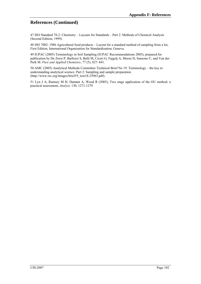## **References (Continued)**

47 ISO Standard 78-2: Chemistry – Layouts for Standards – Part 2: Methods of Chemical Analysis (Second Edition, 1999).

48 ISO 7002: 1986 Agricultural food products – Layout for a standard method of sampling from a lot, First Edition, International Organization for Standardization, Geneva.

49 IUPAC (2005) Terminology in Soil Sampling (IUPAC Recommendations 2005), prepared for publication by De Zorzi P, Barbizzi S, Belli M, Ciceri G, Fajgelj A, Moore D, Sansone U, and Van der Perk M. *Pure and Applied Chemistry*, 77 (5), 827–841.

50 AMC (2005) Analytical Methods Committee Technical Brief No 19. Terminology – the key to understanding analytical science. Part 2: Sampling and sample preparation (http://www.rsc.org/images/brief19\_tcm18-25963.pdf).

51 Lyn J A, Ramsey M H, Damant A, Wood R (2005), Two stage application of the OU method: a practical assessment, *Analyst,* 130, 1271-1279